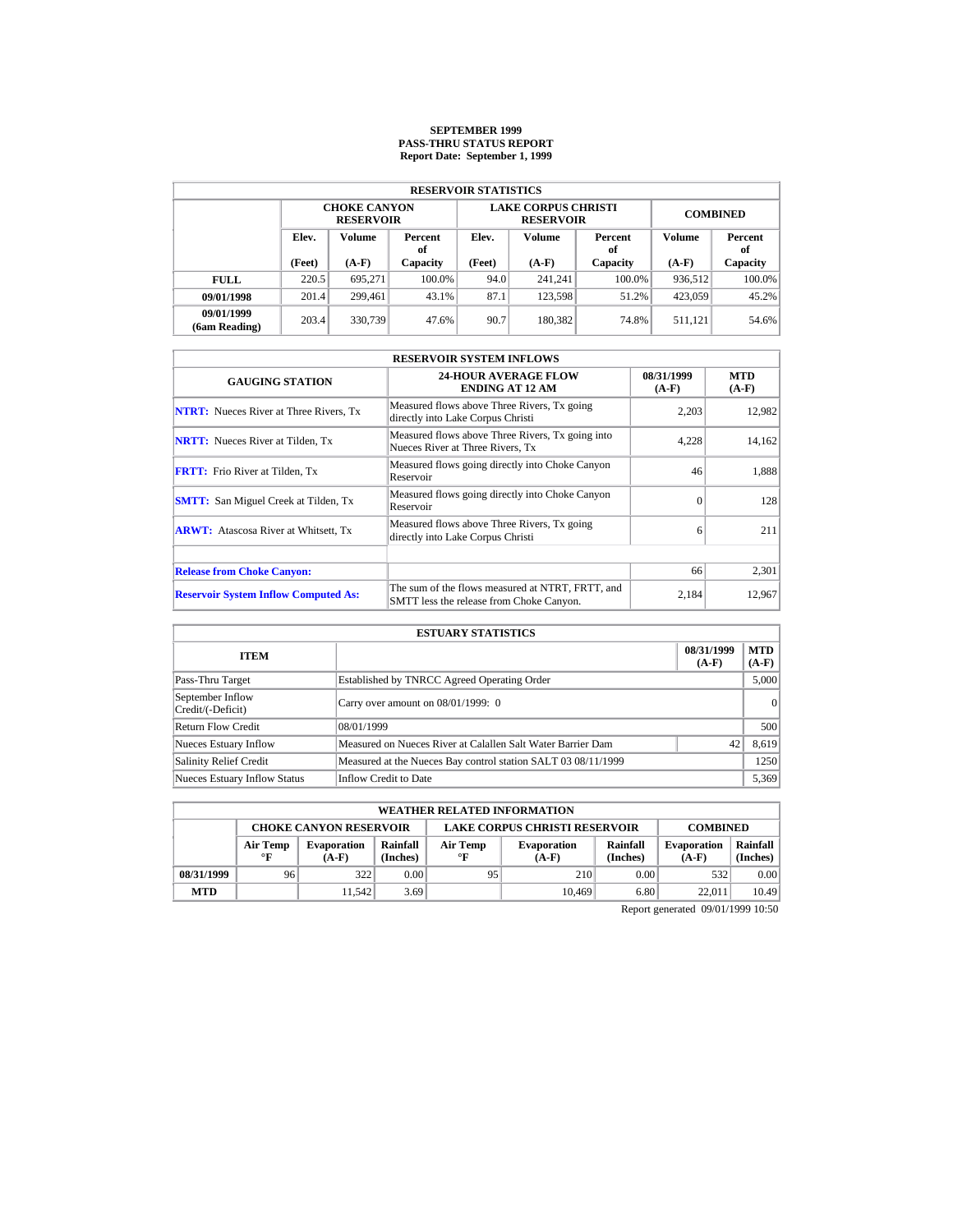# **SEPTEMBER 1999 PASS-THRU STATUS REPORT Report Date: September 1, 1999**

|                             | <b>RESERVOIR STATISTICS</b>             |                                         |          |        |                                                |                 |               |           |  |  |  |  |
|-----------------------------|-----------------------------------------|-----------------------------------------|----------|--------|------------------------------------------------|-----------------|---------------|-----------|--|--|--|--|
|                             |                                         | <b>CHOKE CANYON</b><br><b>RESERVOIR</b> |          |        | <b>LAKE CORPUS CHRISTI</b><br><b>RESERVOIR</b> | <b>COMBINED</b> |               |           |  |  |  |  |
|                             | Elev.<br><b>Volume</b><br>Percent<br>of |                                         | Elev.    | Volume | Percent<br>of                                  | Volume          | Percent<br>of |           |  |  |  |  |
|                             | (Feet)                                  | $(A-F)$                                 | Capacity | (Feet) | $(A-F)$                                        | Capacity        | $(A-F)$       | Capacity  |  |  |  |  |
| <b>FULL</b>                 | 220.5                                   | 695.271                                 | 100.0%   | 94.0   | 241.241                                        | $100.0\%$       | 936.512       | $100.0\%$ |  |  |  |  |
| 09/01/1998                  | 201.4                                   | 299.461                                 | 43.1%    | 87.1   | 123.598                                        | 51.2%           | 423,059       | 45.2%     |  |  |  |  |
| 09/01/1999<br>(6am Reading) | 203.4                                   | 330,739                                 | 47.6%    | 90.7   | 180.382                                        | 74.8%           | 511.121       | 54.6%     |  |  |  |  |

| <b>RESERVOIR SYSTEM INFLOWS</b>               |                                                                                              |                       |                       |  |  |  |  |  |  |
|-----------------------------------------------|----------------------------------------------------------------------------------------------|-----------------------|-----------------------|--|--|--|--|--|--|
| <b>GAUGING STATION</b>                        | <b>24-HOUR AVERAGE FLOW</b><br><b>ENDING AT 12 AM</b>                                        | 08/31/1999<br>$(A-F)$ | <b>MTD</b><br>$(A-F)$ |  |  |  |  |  |  |
| <b>NTRT:</b> Nueces River at Three Rivers, Tx | Measured flows above Three Rivers, Tx going<br>directly into Lake Corpus Christi             | 2.203                 | 12,982                |  |  |  |  |  |  |
| <b>NRTT:</b> Nueces River at Tilden, Tx       | Measured flows above Three Rivers, Tx going into<br>Nueces River at Three Rivers, Tx         | 4,228                 | 14,162                |  |  |  |  |  |  |
| <b>FRTT:</b> Frio River at Tilden, Tx         | Measured flows going directly into Choke Canyon<br>Reservoir                                 | 46                    | 1,888                 |  |  |  |  |  |  |
| <b>SMTT:</b> San Miguel Creek at Tilden, Tx   | Measured flows going directly into Choke Canyon<br>Reservoir                                 | $\Omega$              | 128                   |  |  |  |  |  |  |
| <b>ARWT:</b> Atascosa River at Whitsett, Tx   | Measured flows above Three Rivers, Tx going<br>directly into Lake Corpus Christi             | 6                     | 211                   |  |  |  |  |  |  |
| <b>Release from Choke Canyon:</b>             |                                                                                              | 66                    | 2,301                 |  |  |  |  |  |  |
| <b>Reservoir System Inflow Computed As:</b>   | The sum of the flows measured at NTRT, FRTT, and<br>SMTT less the release from Choke Canyon. | 2,184                 | 12,967                |  |  |  |  |  |  |

| <b>ESTUARY STATISTICS</b>             |                                                               |                       |                |  |  |  |
|---------------------------------------|---------------------------------------------------------------|-----------------------|----------------|--|--|--|
| <b>ITEM</b>                           |                                                               | 08/31/1999<br>$(A-F)$ | MTD<br>$(A-F)$ |  |  |  |
| Pass-Thru Target                      | Established by TNRCC Agreed Operating Order                   |                       | 5,000          |  |  |  |
| September Inflow<br>Credit/(-Deficit) | Carry over amount on $08/01/1999$ : 0                         |                       | $\vert$ 0      |  |  |  |
| <b>Return Flow Credit</b>             | 08/01/1999                                                    |                       | 500            |  |  |  |
| Nueces Estuary Inflow                 | Measured on Nueces River at Calallen Salt Water Barrier Dam   | 42                    | 8,619          |  |  |  |
| <b>Salinity Relief Credit</b>         | Measured at the Nueces Bay control station SALT 03 08/11/1999 |                       | 1250           |  |  |  |
| <b>Nueces Estuary Inflow Status</b>   | <b>Inflow Credit to Date</b>                                  |                       | 5,369          |  |  |  |

|                                                                                          | <b>WEATHER RELATED INFORMATION</b> |                               |                      |                                                                                |        |                               |                      |       |  |  |
|------------------------------------------------------------------------------------------|------------------------------------|-------------------------------|----------------------|--------------------------------------------------------------------------------|--------|-------------------------------|----------------------|-------|--|--|
| <b>LAKE CORPUS CHRISTI RESERVOIR</b><br><b>CHOKE CANYON RESERVOIR</b><br><b>COMBINED</b> |                                    |                               |                      |                                                                                |        |                               |                      |       |  |  |
|                                                                                          | Air Temp<br>$\mathbf{F}$           | <b>Evaporation</b><br>$(A-F)$ | Rainfall<br>(Inches) | Rainfall<br>Air Temp<br><b>Evaporation</b><br>(Inches)<br>$\circ$ F<br>$(A-F)$ |        | <b>Evaporation</b><br>$(A-F)$ | Rainfall<br>(Inches) |       |  |  |
| 08/31/1999                                                                               | 96                                 | 322                           | 0.00                 | 95                                                                             | 210    | 0.00                          | 532                  | 0.00  |  |  |
| <b>MTD</b>                                                                               |                                    | 11.542                        | 3.69                 |                                                                                | 10.469 | 6.80                          | 22,011               | 10.49 |  |  |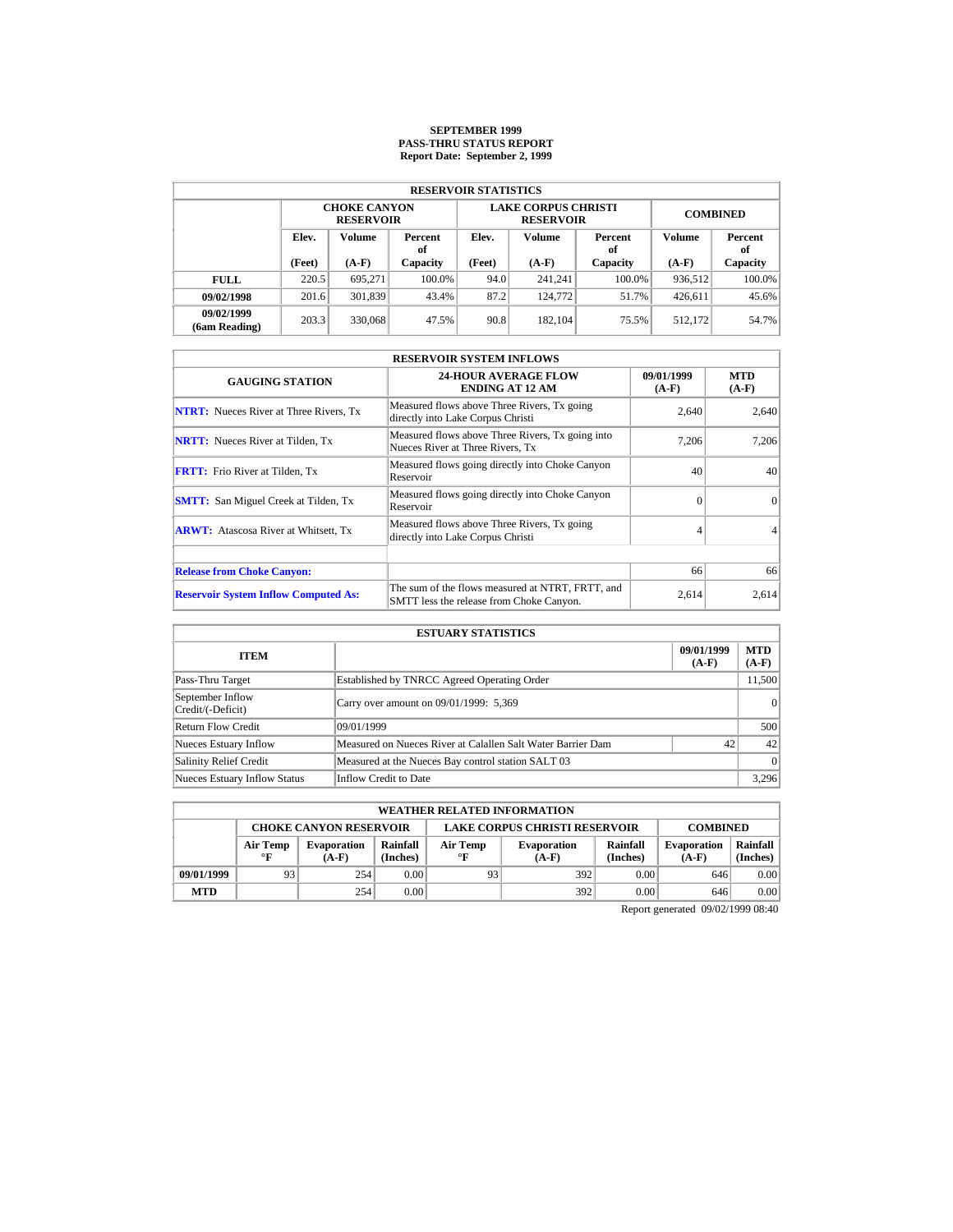# **SEPTEMBER 1999 PASS-THRU STATUS REPORT Report Date: September 2, 1999**

| <b>RESERVOIR STATISTICS</b> |                                         |                                         |          |                   |                                                |                 |               |           |  |  |  |
|-----------------------------|-----------------------------------------|-----------------------------------------|----------|-------------------|------------------------------------------------|-----------------|---------------|-----------|--|--|--|
|                             |                                         | <b>CHOKE CANYON</b><br><b>RESERVOIR</b> |          |                   | <b>LAKE CORPUS CHRISTI</b><br><b>RESERVOIR</b> | <b>COMBINED</b> |               |           |  |  |  |
|                             | Elev.<br><b>Volume</b><br>Percent<br>of |                                         | Elev.    | Volume            | Percent<br>of                                  | Volume          | Percent<br>of |           |  |  |  |
|                             | (Feet)                                  | $(A-F)$                                 | Capacity | (Feet)<br>$(A-F)$ |                                                | Capacity        | $(A-F)$       | Capacity  |  |  |  |
| <b>FULL</b>                 | 220.5                                   | 695.271                                 | 100.0%   | 94.0              | 241.241                                        | $100.0\%$       | 936.512       | $100.0\%$ |  |  |  |
| 09/02/1998                  | 201.6                                   | 301,839                                 | 43.4%    | 87.2              | 124,772                                        | 51.7%           | 426.611       | 45.6%     |  |  |  |
| 09/02/1999<br>(6am Reading) | 203.3                                   | 330,068                                 | 47.5%    | 90.8              | 182.104                                        | 75.5%           | 512.172       | 54.7%     |  |  |  |

| <b>RESERVOIR SYSTEM INFLOWS</b>               |                                                                                              |                       |                       |  |  |  |  |  |  |
|-----------------------------------------------|----------------------------------------------------------------------------------------------|-----------------------|-----------------------|--|--|--|--|--|--|
| <b>GAUGING STATION</b>                        | <b>24-HOUR AVERAGE FLOW</b><br><b>ENDING AT 12 AM</b>                                        | 09/01/1999<br>$(A-F)$ | <b>MTD</b><br>$(A-F)$ |  |  |  |  |  |  |
| <b>NTRT:</b> Nueces River at Three Rivers, Tx | Measured flows above Three Rivers, Tx going<br>directly into Lake Corpus Christi             | 2.640                 | 2.640                 |  |  |  |  |  |  |
| <b>NRTT:</b> Nueces River at Tilden, Tx       | Measured flows above Three Rivers, Tx going into<br>Nueces River at Three Rivers, Tx         | 7.206                 | 7.206                 |  |  |  |  |  |  |
| <b>FRTT:</b> Frio River at Tilden, Tx         | Measured flows going directly into Choke Canyon<br>Reservoir                                 | 40                    | 40                    |  |  |  |  |  |  |
| <b>SMTT:</b> San Miguel Creek at Tilden, Tx   | Measured flows going directly into Choke Canyon<br>Reservoir                                 | $\Omega$              | $\Omega$              |  |  |  |  |  |  |
| <b>ARWT:</b> Atascosa River at Whitsett, Tx   | Measured flows above Three Rivers, Tx going<br>directly into Lake Corpus Christi             |                       |                       |  |  |  |  |  |  |
| <b>Release from Choke Canyon:</b>             |                                                                                              | 66                    | 66                    |  |  |  |  |  |  |
| <b>Reservoir System Inflow Computed As:</b>   | The sum of the flows measured at NTRT, FRTT, and<br>SMTT less the release from Choke Canyon. | 2,614                 | 2,614                 |  |  |  |  |  |  |

| <b>ESTUARY STATISTICS</b>             |                                                             |                       |                       |  |  |  |  |
|---------------------------------------|-------------------------------------------------------------|-----------------------|-----------------------|--|--|--|--|
| <b>ITEM</b>                           |                                                             | 09/01/1999<br>$(A-F)$ | <b>MTD</b><br>$(A-F)$ |  |  |  |  |
| Pass-Thru Target                      | Established by TNRCC Agreed Operating Order                 |                       | 11,500                |  |  |  |  |
| September Inflow<br>Credit/(-Deficit) | Carry over amount on 09/01/1999: 5,369                      |                       | 0                     |  |  |  |  |
| Return Flow Credit                    | 09/01/1999                                                  |                       | 500                   |  |  |  |  |
| Nueces Estuary Inflow                 | Measured on Nueces River at Calallen Salt Water Barrier Dam | 42                    | 42                    |  |  |  |  |
| <b>Salinity Relief Credit</b>         | Measured at the Nueces Bay control station SALT 03          |                       | 0                     |  |  |  |  |
| <b>Nueces Estuary Inflow Status</b>   | Inflow Credit to Date                                       |                       | 3,296                 |  |  |  |  |

| <b>WEATHER RELATED INFORMATION</b>                                                       |                          |                               |                      |                       |                               |                      |                               |                      |  |
|------------------------------------------------------------------------------------------|--------------------------|-------------------------------|----------------------|-----------------------|-------------------------------|----------------------|-------------------------------|----------------------|--|
| <b>LAKE CORPUS CHRISTI RESERVOIR</b><br><b>CHOKE CANYON RESERVOIR</b><br><b>COMBINED</b> |                          |                               |                      |                       |                               |                      |                               |                      |  |
|                                                                                          | Air Temp<br>$\mathbf{F}$ | <b>Evaporation</b><br>$(A-F)$ | Rainfall<br>(Inches) | Air Temp<br>$\circ$ F | <b>Evaporation</b><br>$(A-F)$ | Rainfall<br>(Inches) | <b>Evaporation</b><br>$(A-F)$ | Rainfall<br>(Inches) |  |
| 09/01/1999                                                                               | 93                       | 254                           | 0.00                 | 93                    | 392                           | 0.00                 | 646                           | 0.00                 |  |
| <b>MTD</b>                                                                               |                          | 254                           | 0.00                 |                       | 392                           | 0.00                 | 646                           | 0.00                 |  |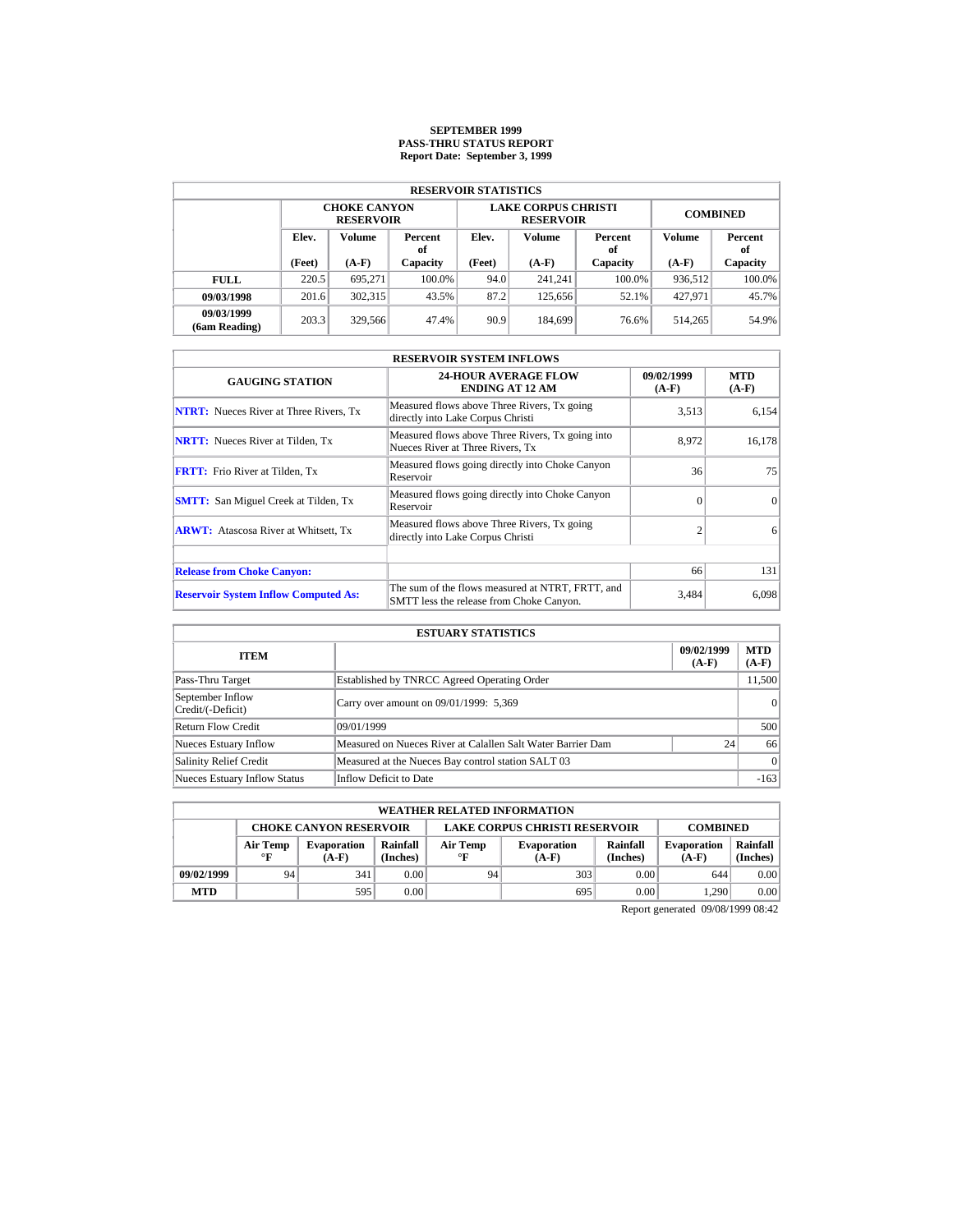# **SEPTEMBER 1999 PASS-THRU STATUS REPORT Report Date: September 3, 1999**

|                             | <b>RESERVOIR STATISTICS</b>             |                                         |          |        |                                                |                 |               |           |  |  |  |  |
|-----------------------------|-----------------------------------------|-----------------------------------------|----------|--------|------------------------------------------------|-----------------|---------------|-----------|--|--|--|--|
|                             |                                         | <b>CHOKE CANYON</b><br><b>RESERVOIR</b> |          |        | <b>LAKE CORPUS CHRISTI</b><br><b>RESERVOIR</b> | <b>COMBINED</b> |               |           |  |  |  |  |
|                             | Elev.<br><b>Volume</b><br>Percent<br>of |                                         | Elev.    | Volume | Percent<br>of                                  | Volume          | Percent<br>of |           |  |  |  |  |
|                             | (Feet)                                  | $(A-F)$                                 | Capacity | (Feet) | $(A-F)$                                        | Capacity        | $(A-F)$       | Capacity  |  |  |  |  |
| <b>FULL</b>                 | 220.5                                   | 695.271                                 | 100.0%   | 94.0   | 241.241                                        | $100.0\%$       | 936.512       | $100.0\%$ |  |  |  |  |
| 09/03/1998                  | 201.6                                   | 302,315                                 | 43.5%    | 87.2   | 125,656                                        | 52.1%           | 427,971       | 45.7%     |  |  |  |  |
| 09/03/1999<br>(6am Reading) | 203.3                                   | 329,566                                 | 47.4%    | 90.9   | 184.699                                        | 76.6%           | 514,265       | 54.9%     |  |  |  |  |

| <b>RESERVOIR SYSTEM INFLOWS</b>               |                                                                                              |                       |                       |  |  |  |  |  |  |
|-----------------------------------------------|----------------------------------------------------------------------------------------------|-----------------------|-----------------------|--|--|--|--|--|--|
| <b>GAUGING STATION</b>                        | <b>24-HOUR AVERAGE FLOW</b><br><b>ENDING AT 12 AM</b>                                        | 09/02/1999<br>$(A-F)$ | <b>MTD</b><br>$(A-F)$ |  |  |  |  |  |  |
| <b>NTRT:</b> Nueces River at Three Rivers, Tx | Measured flows above Three Rivers, Tx going<br>directly into Lake Corpus Christi             | 3.513                 | 6.154                 |  |  |  |  |  |  |
| <b>NRTT:</b> Nueces River at Tilden, Tx       | Measured flows above Three Rivers, Tx going into<br>Nueces River at Three Rivers, Tx         | 8.972                 | 16,178                |  |  |  |  |  |  |
| <b>FRTT:</b> Frio River at Tilden, Tx         | Measured flows going directly into Choke Canyon<br>Reservoir                                 | 36                    | 75                    |  |  |  |  |  |  |
| <b>SMTT:</b> San Miguel Creek at Tilden, Tx   | Measured flows going directly into Choke Canyon<br>Reservoir                                 | $\Omega$              | $\Omega$              |  |  |  |  |  |  |
| <b>ARWT:</b> Atascosa River at Whitsett, Tx   | Measured flows above Three Rivers, Tx going<br>directly into Lake Corpus Christi             | $\overline{c}$        | 6                     |  |  |  |  |  |  |
| <b>Release from Choke Canyon:</b>             |                                                                                              | 66                    | 131                   |  |  |  |  |  |  |
| <b>Reservoir System Inflow Computed As:</b>   | The sum of the flows measured at NTRT, FRTT, and<br>SMTT less the release from Choke Canyon. | 3,484                 | 6,098                 |  |  |  |  |  |  |

| <b>ESTUARY STATISTICS</b>             |                                                             |                       |                       |  |  |  |  |
|---------------------------------------|-------------------------------------------------------------|-----------------------|-----------------------|--|--|--|--|
| <b>ITEM</b>                           |                                                             | 09/02/1999<br>$(A-F)$ | <b>MTD</b><br>$(A-F)$ |  |  |  |  |
| Pass-Thru Target                      | Established by TNRCC Agreed Operating Order                 |                       | 11,500                |  |  |  |  |
| September Inflow<br>Credit/(-Deficit) | Carry over amount on 09/01/1999: 5,369                      |                       | 0                     |  |  |  |  |
| Return Flow Credit                    | 09/01/1999                                                  |                       | 500                   |  |  |  |  |
| Nueces Estuary Inflow                 | Measured on Nueces River at Calallen Salt Water Barrier Dam | 24                    | 66                    |  |  |  |  |
| <b>Salinity Relief Credit</b>         | Measured at the Nueces Bay control station SALT 03          |                       | 0                     |  |  |  |  |
| <b>Nueces Estuary Inflow Status</b>   | Inflow Deficit to Date                                      |                       | $-163$                |  |  |  |  |

|                                                                                          | <b>WEATHER RELATED INFORMATION</b> |                               |                      |                       |                               |                      |                               |                      |  |  |
|------------------------------------------------------------------------------------------|------------------------------------|-------------------------------|----------------------|-----------------------|-------------------------------|----------------------|-------------------------------|----------------------|--|--|
| <b>LAKE CORPUS CHRISTI RESERVOIR</b><br><b>CHOKE CANYON RESERVOIR</b><br><b>COMBINED</b> |                                    |                               |                      |                       |                               |                      |                               |                      |  |  |
|                                                                                          | Air Temp<br>$^{\circ}$ F           | <b>Evaporation</b><br>$(A-F)$ | Rainfall<br>(Inches) | Air Temp<br>$\circ$ F | <b>Evaporation</b><br>$(A-F)$ | Rainfall<br>(Inches) | <b>Evaporation</b><br>$(A-F)$ | Rainfall<br>(Inches) |  |  |
| 09/02/1999                                                                               | 94                                 | 341                           | 0.00                 | 94                    | 303                           | 0.00                 | 644                           | 0.00                 |  |  |
| <b>MTD</b>                                                                               |                                    | 595                           | 0.00                 |                       | 695                           | 0.00                 | 1.290                         | 0.00                 |  |  |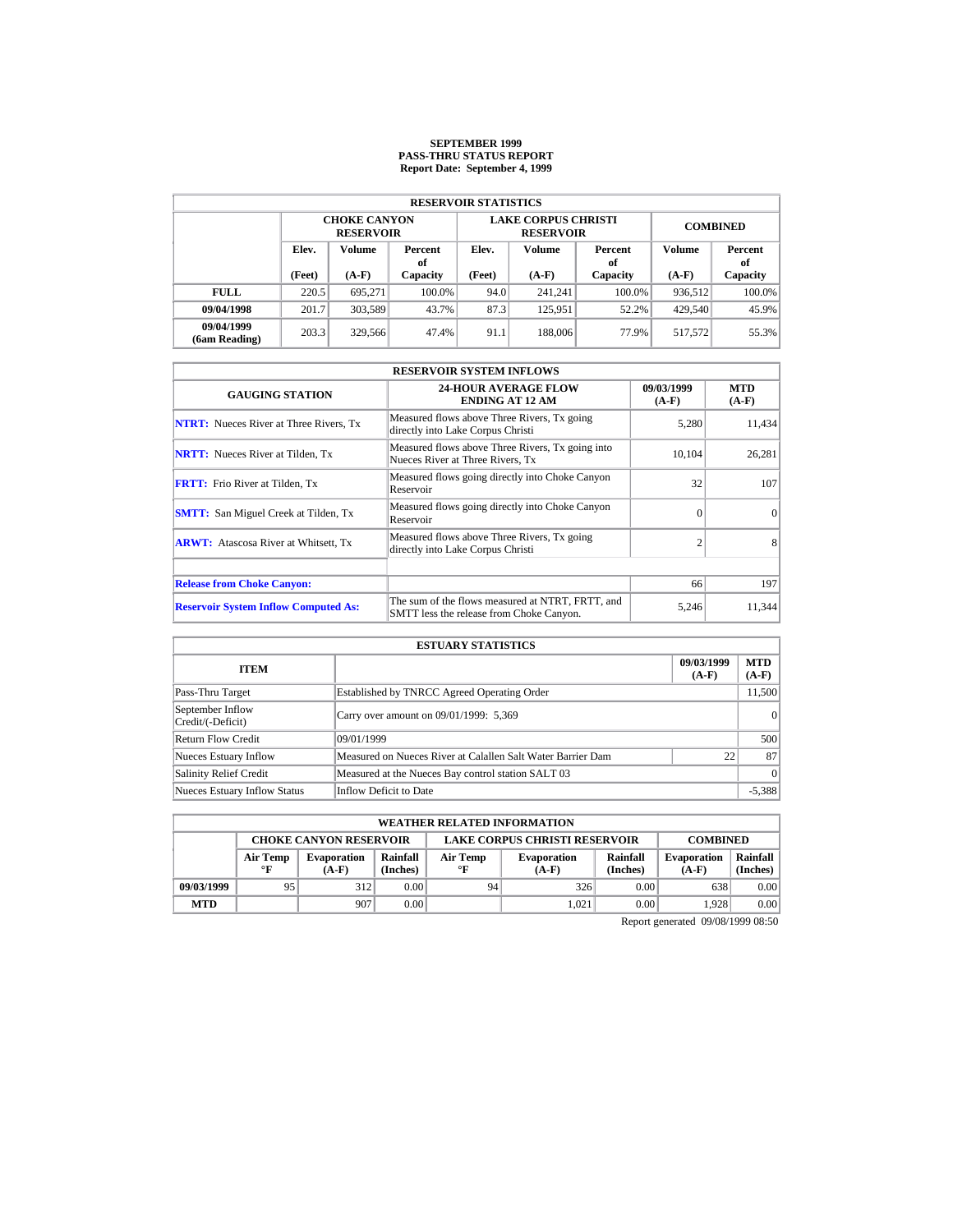### **SEPTEMBER 1999 PASS-THRU STATUS REPORT Report Date: September 4, 1999**

| <b>RESERVOIR STATISTICS</b> |                                  |                                         |                 |        |                                                |                 |               |          |  |  |  |
|-----------------------------|----------------------------------|-----------------------------------------|-----------------|--------|------------------------------------------------|-----------------|---------------|----------|--|--|--|
|                             |                                  | <b>CHOKE CANYON</b><br><b>RESERVOIR</b> |                 |        | <b>LAKE CORPUS CHRISTI</b><br><b>RESERVOIR</b> | <b>COMBINED</b> |               |          |  |  |  |
|                             | Elev.<br>Volume<br>Percent<br>оf |                                         | Elev.<br>Volume |        | Percent<br>оf                                  | Volume          | Percent<br>оf |          |  |  |  |
|                             | (Feet)                           | $(A-F)$<br>Capacity                     |                 | (Feet) | $(A-F)$                                        | Capacity        | $(A-F)$       | Capacity |  |  |  |
| <b>FULL</b>                 | 220.5                            | 695.271                                 | 100.0%          | 94.0   | 241.241                                        | $100.0\%$       | 936,512       | 100.0%   |  |  |  |
| 09/04/1998                  | 201.7                            | 303,589                                 | 43.7%           | 87.3   | 125.951                                        | 52.2%           | 429,540       | 45.9%    |  |  |  |
| 09/04/1999<br>(6am Reading) | 203.3                            | 329,566                                 | 47.4%           | 91.1   | 188,006                                        | 77.9%           | 517.572       | 55.3%    |  |  |  |

| <b>RESERVOIR SYSTEM INFLOWS</b>               |                                                                                              |                       |                       |  |  |  |  |  |
|-----------------------------------------------|----------------------------------------------------------------------------------------------|-----------------------|-----------------------|--|--|--|--|--|
| <b>GAUGING STATION</b>                        | <b>24-HOUR AVERAGE FLOW</b><br><b>ENDING AT 12 AM</b>                                        | 09/03/1999<br>$(A-F)$ | <b>MTD</b><br>$(A-F)$ |  |  |  |  |  |
| <b>NTRT:</b> Nueces River at Three Rivers. Tx | Measured flows above Three Rivers, Tx going<br>directly into Lake Corpus Christi             | 5.280                 | 11,434                |  |  |  |  |  |
| <b>NRTT:</b> Nueces River at Tilden, Tx       | Measured flows above Three Rivers, Tx going into<br>Nueces River at Three Rivers, Tx         | 10,104                | 26,281                |  |  |  |  |  |
| <b>FRTT:</b> Frio River at Tilden, Tx         | Measured flows going directly into Choke Canyon<br>Reservoir                                 | 32                    | 107                   |  |  |  |  |  |
| <b>SMTT:</b> San Miguel Creek at Tilden, Tx   | Measured flows going directly into Choke Canyon<br>Reservoir                                 | $\Omega$              | $\Omega$              |  |  |  |  |  |
| <b>ARWT:</b> Atascosa River at Whitsett, Tx   | Measured flows above Three Rivers, Tx going<br>directly into Lake Corpus Christi             |                       | 8                     |  |  |  |  |  |
| <b>Release from Choke Canyon:</b>             |                                                                                              | 66                    | 197                   |  |  |  |  |  |
|                                               |                                                                                              |                       |                       |  |  |  |  |  |
| <b>Reservoir System Inflow Computed As:</b>   | The sum of the flows measured at NTRT, FRTT, and<br>SMTT less the release from Choke Canyon. | 5,246                 | 11,344                |  |  |  |  |  |

| <b>ESTUARY STATISTICS</b>             |                                                             |                       |                       |  |  |  |  |  |
|---------------------------------------|-------------------------------------------------------------|-----------------------|-----------------------|--|--|--|--|--|
| <b>ITEM</b>                           |                                                             | 09/03/1999<br>$(A-F)$ | <b>MTD</b><br>$(A-F)$ |  |  |  |  |  |
| Pass-Thru Target                      | Established by TNRCC Agreed Operating Order                 |                       | 11,500                |  |  |  |  |  |
| September Inflow<br>Credit/(-Deficit) | Carry over amount on 09/01/1999: 5,369                      |                       | 0                     |  |  |  |  |  |
| Return Flow Credit                    | 09/01/1999                                                  |                       | 500                   |  |  |  |  |  |
| Nueces Estuary Inflow                 | Measured on Nueces River at Calallen Salt Water Barrier Dam | 22                    | 87                    |  |  |  |  |  |
| <b>Salinity Relief Credit</b>         | Measured at the Nueces Bay control station SALT 03          |                       | $\Omega$              |  |  |  |  |  |
| <b>Nueces Estuary Inflow Status</b>   | Inflow Deficit to Date                                      |                       | $-5,388$              |  |  |  |  |  |

|            | <b>WEATHER RELATED INFORMATION</b> |                               |                      |                |                                                                                        |      |                 |      |  |  |  |
|------------|------------------------------------|-------------------------------|----------------------|----------------|----------------------------------------------------------------------------------------|------|-----------------|------|--|--|--|
|            |                                    | <b>CHOKE CANYON RESERVOIR</b> |                      |                | <b>LAKE CORPUS CHRISTI RESERVOIR</b>                                                   |      | <b>COMBINED</b> |      |  |  |  |
|            | Air Temp<br>$\circ$ F              | <b>Evaporation</b><br>$(A-F)$ | Rainfall<br>(Inches) | Air Temp<br>°F | Rainfall<br><b>Evaporation</b><br><b>Evaporation</b><br>(Inches)<br>$(A-F)$<br>$(A-F)$ |      |                 |      |  |  |  |
| 09/03/1999 | 95                                 | 312                           | 0.00                 | 94             | 326                                                                                    | 0.00 | 638             | 0.00 |  |  |  |
| <b>MTD</b> |                                    | 907                           | 0.00                 |                | 1.021                                                                                  | 0.00 | 1.928           | 0.00 |  |  |  |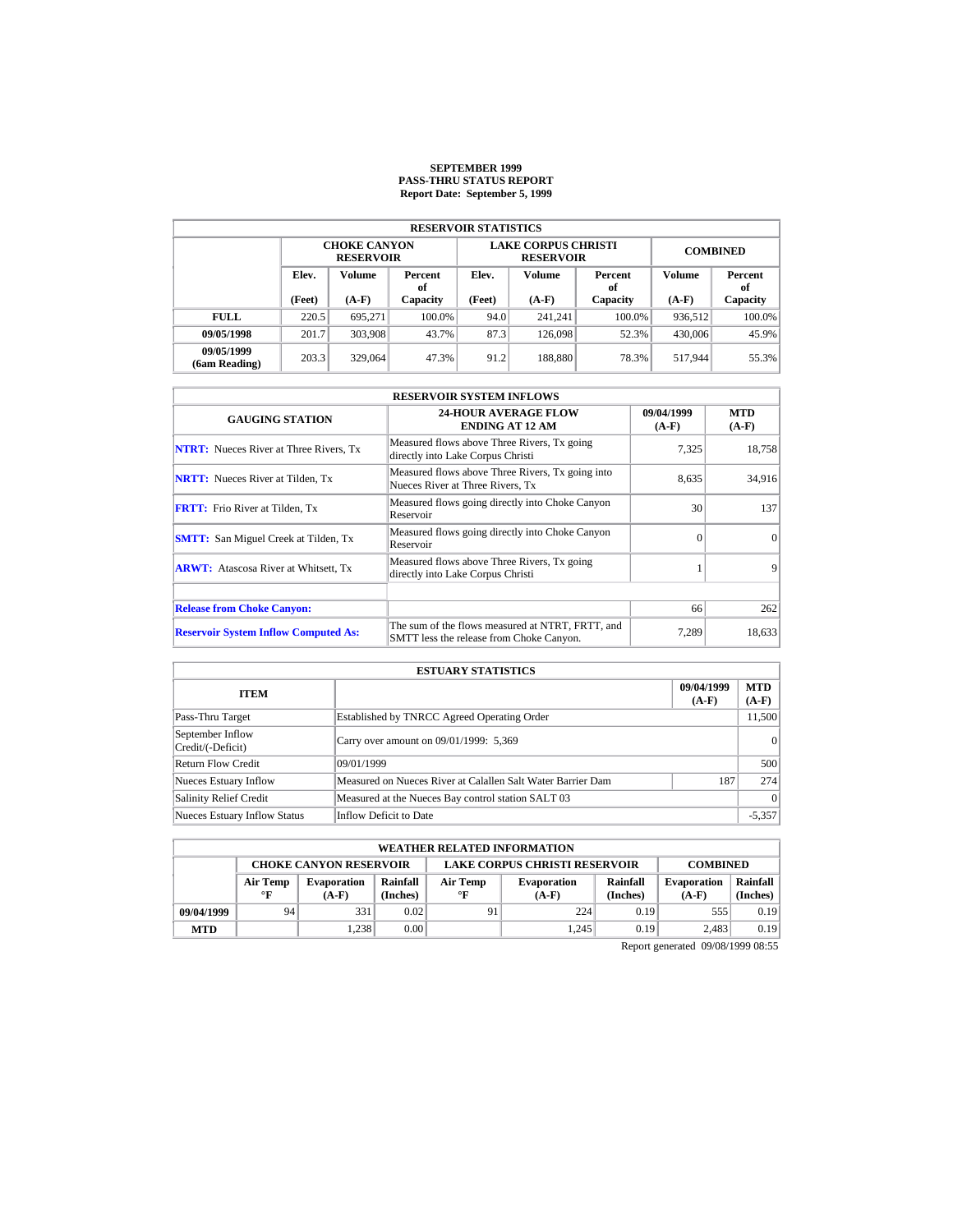### **SEPTEMBER 1999 PASS-THRU STATUS REPORT Report Date: September 5, 1999**

| <b>RESERVOIR STATISTICS</b> |                                  |                                         |                                  |                   |                                                |                 |               |          |  |  |  |
|-----------------------------|----------------------------------|-----------------------------------------|----------------------------------|-------------------|------------------------------------------------|-----------------|---------------|----------|--|--|--|
|                             |                                  | <b>CHOKE CANYON</b><br><b>RESERVOIR</b> |                                  |                   | <b>LAKE CORPUS CHRISTI</b><br><b>RESERVOIR</b> | <b>COMBINED</b> |               |          |  |  |  |
|                             | Elev.<br>Volume<br>Percent<br>οf |                                         | Elev.<br>Volume<br>Percent<br>of |                   |                                                | <b>Volume</b>   | Percent<br>of |          |  |  |  |
|                             | (Feet)                           | $(A-F)$<br>Capacity                     |                                  | (Feet)<br>$(A-F)$ |                                                | Capacity        | $(A-F)$       | Capacity |  |  |  |
| <b>FULL</b>                 | 220.5                            | 695.271                                 | 100.0%                           | 94.0              | 241.241                                        | $100.0\%$       | 936.512       | 100.0%   |  |  |  |
| 09/05/1998                  | 201.7                            | 303,908                                 | 43.7%                            | 87.3              | 126,098                                        | 52.3%           | 430,006       | 45.9%    |  |  |  |
| 09/05/1999<br>(6am Reading) | 203.3                            | 329,064                                 | 47.3%                            | 91.2              | 188,880                                        | 78.3%           | 517.944       | 55.3%    |  |  |  |

| <b>RESERVOIR SYSTEM INFLOWS</b>               |                                                                                              |                       |                       |  |  |  |  |  |  |
|-----------------------------------------------|----------------------------------------------------------------------------------------------|-----------------------|-----------------------|--|--|--|--|--|--|
| <b>GAUGING STATION</b>                        | <b>24-HOUR AVERAGE FLOW</b><br><b>ENDING AT 12 AM</b>                                        | 09/04/1999<br>$(A-F)$ | <b>MTD</b><br>$(A-F)$ |  |  |  |  |  |  |
| <b>NTRT:</b> Nueces River at Three Rivers, Tx | Measured flows above Three Rivers, Tx going<br>directly into Lake Corpus Christi             | 7,325                 | 18,758                |  |  |  |  |  |  |
| <b>NRTT:</b> Nueces River at Tilden, Tx       | Measured flows above Three Rivers, Tx going into<br>Nueces River at Three Rivers, Tx         | 8.635                 | 34,916                |  |  |  |  |  |  |
| <b>FRTT:</b> Frio River at Tilden, Tx         | Measured flows going directly into Choke Canyon<br>Reservoir                                 | 30                    | 137                   |  |  |  |  |  |  |
| <b>SMTT:</b> San Miguel Creek at Tilden, Tx   | Measured flows going directly into Choke Canyon<br>Reservoir                                 | $\Omega$              | $\Omega$              |  |  |  |  |  |  |
| <b>ARWT:</b> Atascosa River at Whitsett, Tx   | Measured flows above Three Rivers, Tx going<br>directly into Lake Corpus Christi             |                       | 9                     |  |  |  |  |  |  |
|                                               |                                                                                              |                       |                       |  |  |  |  |  |  |
| <b>Release from Choke Canyon:</b>             |                                                                                              | 66                    | 262                   |  |  |  |  |  |  |
| <b>Reservoir System Inflow Computed As:</b>   | The sum of the flows measured at NTRT, FRTT, and<br>SMTT less the release from Choke Canyon. | 7.289                 | 18,633                |  |  |  |  |  |  |

| <b>ESTUARY STATISTICS</b>             |                                                             |                       |                       |  |  |  |  |  |
|---------------------------------------|-------------------------------------------------------------|-----------------------|-----------------------|--|--|--|--|--|
| <b>ITEM</b>                           |                                                             | 09/04/1999<br>$(A-F)$ | <b>MTD</b><br>$(A-F)$ |  |  |  |  |  |
| Pass-Thru Target                      | Established by TNRCC Agreed Operating Order                 |                       | 11.500                |  |  |  |  |  |
| September Inflow<br>Credit/(-Deficit) | Carry over amount on 09/01/1999: 5,369                      |                       | 0                     |  |  |  |  |  |
| <b>Return Flow Credit</b>             | 09/01/1999                                                  |                       | 500                   |  |  |  |  |  |
| Nueces Estuary Inflow                 | Measured on Nueces River at Calallen Salt Water Barrier Dam | 187                   | 274                   |  |  |  |  |  |
| <b>Salinity Relief Credit</b>         | Measured at the Nueces Bay control station SALT 03          |                       | $\Omega$              |  |  |  |  |  |
| <b>Nueces Estuary Inflow Status</b>   | Inflow Deficit to Date                                      |                       | $-5,357$              |  |  |  |  |  |

|            | <b>WEATHER RELATED INFORMATION</b> |                               |                      |                                      |                               |                      |                                                       |      |  |  |  |
|------------|------------------------------------|-------------------------------|----------------------|--------------------------------------|-------------------------------|----------------------|-------------------------------------------------------|------|--|--|--|
|            |                                    | <b>CHOKE CANYON RESERVOIR</b> |                      | <b>LAKE CORPUS CHRISTI RESERVOIR</b> |                               | <b>COMBINED</b>      |                                                       |      |  |  |  |
|            | Air Temp<br>$^{\circ}$ F           | <b>Evaporation</b><br>$(A-F)$ | Rainfall<br>(Inches) | Air Temp<br>$\circ$ F                | <b>Evaporation</b><br>$(A-F)$ | Rainfall<br>(Inches) | Rainfall<br><b>Evaporation</b><br>(Inches)<br>$(A-F)$ |      |  |  |  |
| 09/04/1999 | 94                                 | 331                           | 0.02                 | 91                                   | 224                           | 0.19                 | 555                                                   | 0.19 |  |  |  |
| <b>MTD</b> |                                    | 1.238                         | 0.00                 |                                      | 1.245                         | 0.19                 | 2.483                                                 | 0.19 |  |  |  |
|            |                                    |                               |                      |                                      |                               |                      | $\mathbb{R}$ . I comparison on $\mathbb{R}$           |      |  |  |  |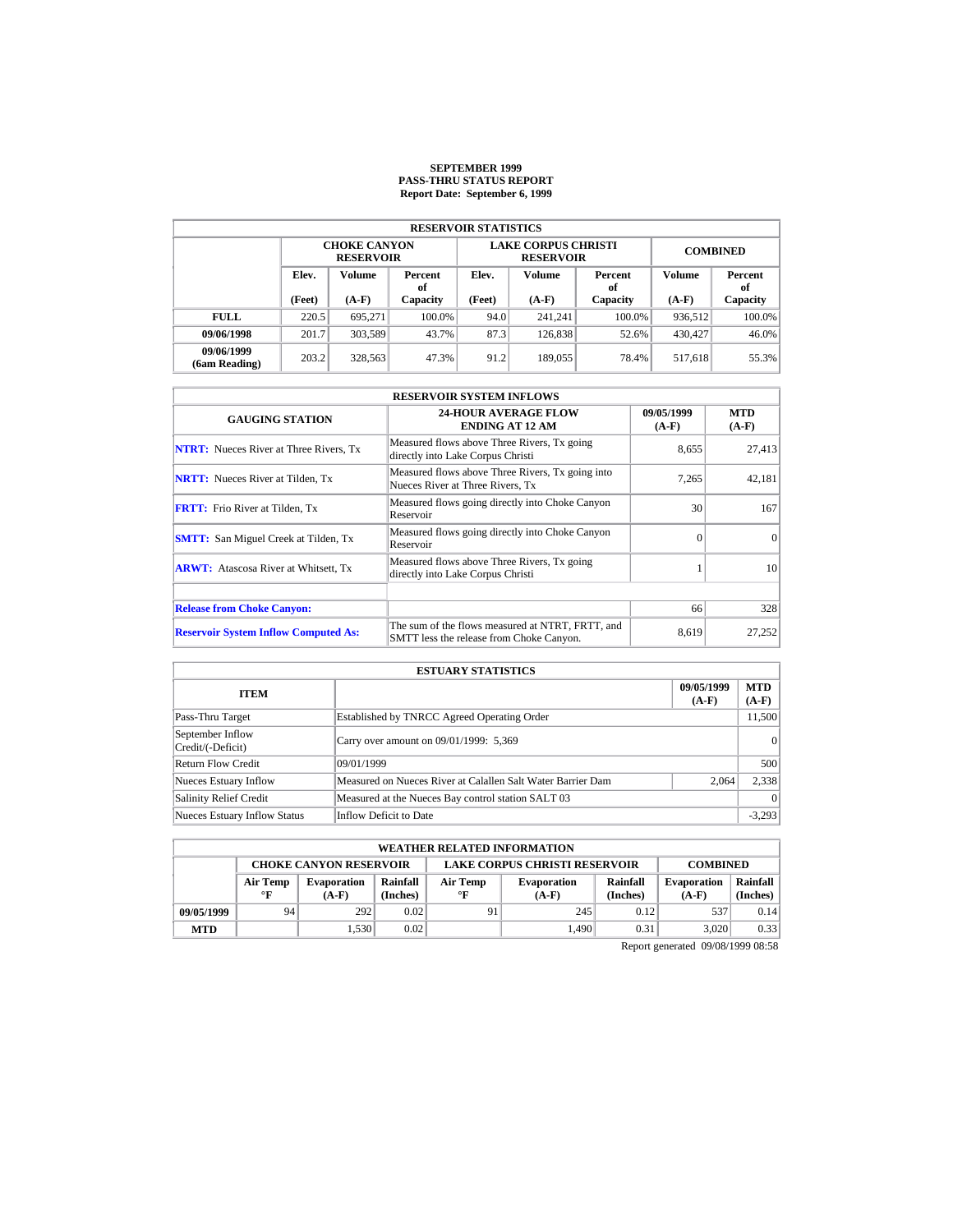### **SEPTEMBER 1999 PASS-THRU STATUS REPORT Report Date: September 6, 1999**

|                                  | <b>RESERVOIR STATISTICS</b> |                                         |        |                   |                                                |                 |         |          |  |  |  |  |
|----------------------------------|-----------------------------|-----------------------------------------|--------|-------------------|------------------------------------------------|-----------------|---------|----------|--|--|--|--|
|                                  |                             | <b>CHOKE CANYON</b><br><b>RESERVOIR</b> |        |                   | <b>LAKE CORPUS CHRISTI</b><br><b>RESERVOIR</b> | <b>COMBINED</b> |         |          |  |  |  |  |
| Elev.<br>Volume<br>Percent<br>оf |                             | Elev.                                   | Volume | Percent<br>of     | Volume                                         | Percent<br>of   |         |          |  |  |  |  |
|                                  | (Feet)                      | $(A-F)$<br>Capacity                     |        | (Feet)<br>$(A-F)$ |                                                | Capacity        | $(A-F)$ | Capacity |  |  |  |  |
| <b>FULL</b>                      | 220.5                       | 695.271                                 | 100.0% | 94.0              | 241.241                                        | $100.0\%$       | 936,512 | 100.0%   |  |  |  |  |
| 09/06/1998                       | 201.7                       | 303.589                                 | 43.7%  | 87.3              | 126,838                                        | 52.6%           | 430,427 | 46.0%    |  |  |  |  |
| 09/06/1999<br>(6am Reading)      | 203.2                       | 328.563                                 | 47.3%  | 91.2              | 189,055                                        | 78.4%           | 517.618 | 55.3%    |  |  |  |  |

| <b>RESERVOIR SYSTEM INFLOWS</b>               |                                                                                              |                       |                       |  |  |  |  |  |  |
|-----------------------------------------------|----------------------------------------------------------------------------------------------|-----------------------|-----------------------|--|--|--|--|--|--|
| <b>GAUGING STATION</b>                        | <b>24-HOUR AVERAGE FLOW</b><br><b>ENDING AT 12 AM</b>                                        | 09/05/1999<br>$(A-F)$ | <b>MTD</b><br>$(A-F)$ |  |  |  |  |  |  |
| <b>NTRT:</b> Nueces River at Three Rivers, Tx | Measured flows above Three Rivers, Tx going<br>directly into Lake Corpus Christi             | 8,655                 | 27,413                |  |  |  |  |  |  |
| <b>NRTT:</b> Nueces River at Tilden, Tx       | Measured flows above Three Rivers, Tx going into<br>Nueces River at Three Rivers, Tx         | 7.265                 | 42,181                |  |  |  |  |  |  |
| <b>FRTT:</b> Frio River at Tilden, Tx         | Measured flows going directly into Choke Canyon<br>Reservoir                                 | 30                    | 167                   |  |  |  |  |  |  |
| <b>SMTT:</b> San Miguel Creek at Tilden, Tx   | Measured flows going directly into Choke Canyon<br>Reservoir                                 | $\Omega$              | $\Omega$              |  |  |  |  |  |  |
| <b>ARWT:</b> Atascosa River at Whitsett, Tx   | Measured flows above Three Rivers, Tx going<br>directly into Lake Corpus Christi             |                       | 10                    |  |  |  |  |  |  |
|                                               |                                                                                              |                       |                       |  |  |  |  |  |  |
| <b>Release from Choke Canyon:</b>             |                                                                                              | 66                    | 328                   |  |  |  |  |  |  |
| <b>Reservoir System Inflow Computed As:</b>   | The sum of the flows measured at NTRT, FRTT, and<br>SMTT less the release from Choke Canyon. | 8.619                 | 27,252                |  |  |  |  |  |  |

| <b>ESTUARY STATISTICS</b>             |                                                             |                       |                       |  |  |  |  |  |
|---------------------------------------|-------------------------------------------------------------|-----------------------|-----------------------|--|--|--|--|--|
| <b>ITEM</b>                           |                                                             | 09/05/1999<br>$(A-F)$ | <b>MTD</b><br>$(A-F)$ |  |  |  |  |  |
| Pass-Thru Target                      | Established by TNRCC Agreed Operating Order                 |                       | 11.500                |  |  |  |  |  |
| September Inflow<br>Credit/(-Deficit) | Carry over amount on 09/01/1999: 5,369                      |                       | 0                     |  |  |  |  |  |
| <b>Return Flow Credit</b>             | 09/01/1999                                                  |                       | 500                   |  |  |  |  |  |
| Nueces Estuary Inflow                 | Measured on Nueces River at Calallen Salt Water Barrier Dam | 2.064                 | 2,338                 |  |  |  |  |  |
| <b>Salinity Relief Credit</b>         | Measured at the Nueces Bay control station SALT 03          |                       | $\Omega$              |  |  |  |  |  |
| <b>Nueces Estuary Inflow Status</b>   | Inflow Deficit to Date                                      |                       | $-3,293$              |  |  |  |  |  |

|            | <b>WEATHER RELATED INFORMATION</b> |                               |                      |                                                                                                                    |       |                                                                                                                                                                                                                                      |       |                      |  |  |  |
|------------|------------------------------------|-------------------------------|----------------------|--------------------------------------------------------------------------------------------------------------------|-------|--------------------------------------------------------------------------------------------------------------------------------------------------------------------------------------------------------------------------------------|-------|----------------------|--|--|--|
|            |                                    | <b>CHOKE CANYON RESERVOIR</b> |                      | <b>LAKE CORPUS CHRISTI RESERVOIR</b><br><b>COMBINED</b>                                                            |       |                                                                                                                                                                                                                                      |       |                      |  |  |  |
|            | Air Temp<br>$^{\circ}$ F           | <b>Evaporation</b><br>$(A-F)$ | Rainfall<br>(Inches) | Rainfall<br>Air Temp<br><b>Evaporation</b><br><b>Evaporation</b><br>(Inches)<br>$\mathbf{F}$<br>$(A-F)$<br>$(A-F)$ |       |                                                                                                                                                                                                                                      |       | Rainfall<br>(Inches) |  |  |  |
| 09/05/1999 | 94                                 | 292                           | 0.02                 | 91                                                                                                                 | 245   | 0.12                                                                                                                                                                                                                                 | 537   | 0.14                 |  |  |  |
| <b>MTD</b> |                                    | 1.530                         | 0.02                 |                                                                                                                    | 1.490 | 0.31                                                                                                                                                                                                                                 | 3.020 | 0.33                 |  |  |  |
|            |                                    |                               |                      |                                                                                                                    |       | <b>Service Contract Contract Contract Contract Contract Contract Contract Contract Contract Contract Contract Contract Contract Contract Contract Contract Contract Contract Contract Contract Contract Contract Contract Contra</b> |       |                      |  |  |  |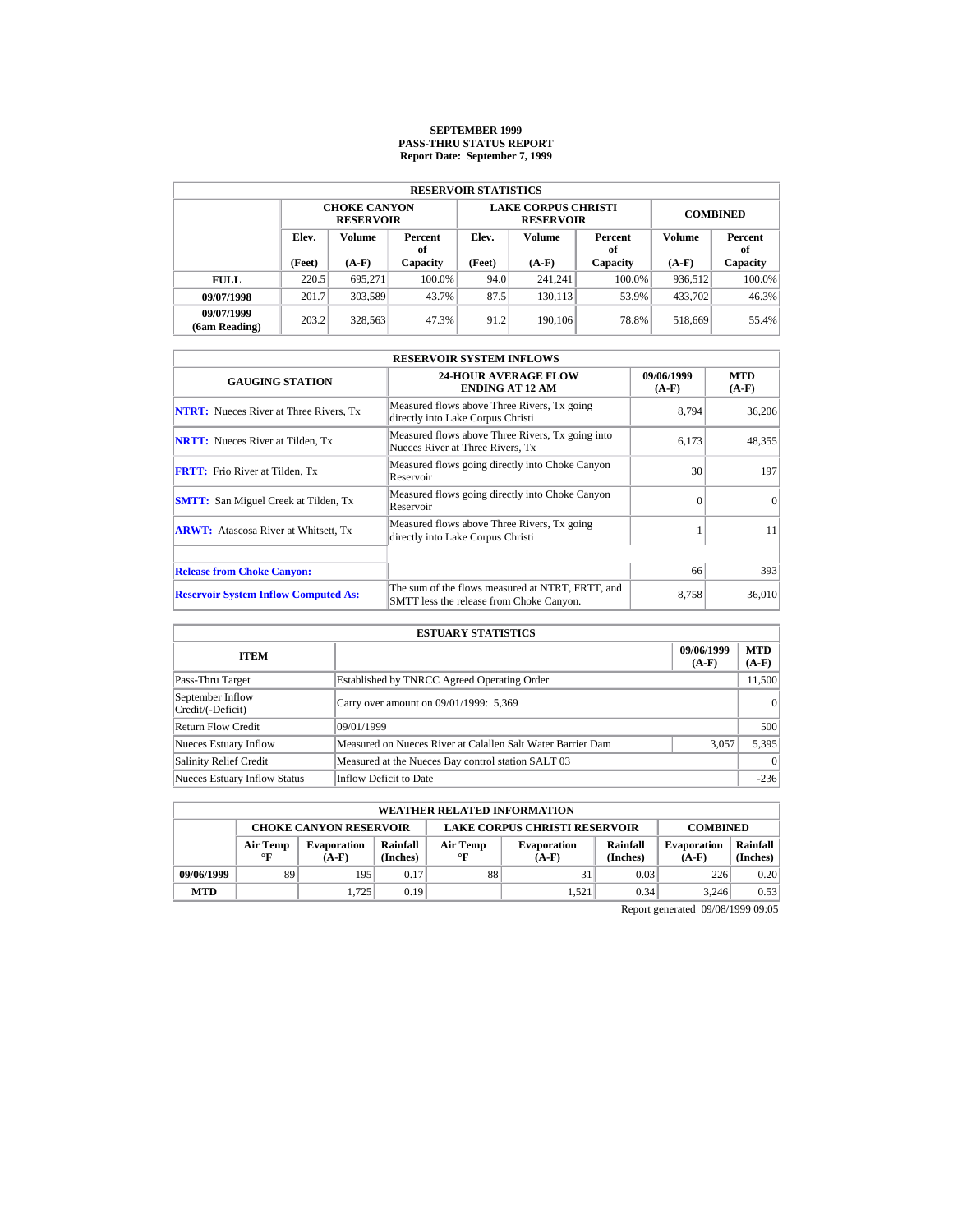# **SEPTEMBER 1999 PASS-THRU STATUS REPORT Report Date: September 7, 1999**

| <b>RESERVOIR STATISTICS</b> |        |                                         |               |        |                                                |                 |         |               |  |  |  |
|-----------------------------|--------|-----------------------------------------|---------------|--------|------------------------------------------------|-----------------|---------|---------------|--|--|--|
|                             |        | <b>CHOKE CANYON</b><br><b>RESERVOIR</b> |               |        | <b>LAKE CORPUS CHRISTI</b><br><b>RESERVOIR</b> | <b>COMBINED</b> |         |               |  |  |  |
| Elev.                       |        | Volume                                  | Percent<br>оf | Elev.  | Volume                                         | Percent<br>of   | Volume  | Percent<br>of |  |  |  |
|                             | (Feet) | $(A-F)$                                 | Capacity      | (Feet) | $(A-F)$                                        | Capacity        | $(A-F)$ | Capacity      |  |  |  |
| <b>FULL</b>                 | 220.5  | 695.271                                 | 100.0%        | 94.0   | 241.241                                        | $100.0\%$       | 936,512 | $100.0\%$     |  |  |  |
| 09/07/1998                  | 201.7  | 303,589                                 | 43.7%         | 87.5   | 130.113                                        | 53.9%           | 433.702 | 46.3%         |  |  |  |
| 09/07/1999<br>(6am Reading) | 203.2  | 328,563                                 | 47.3%         | 91.2   | 190,106                                        | 78.8%           | 518,669 | 55.4%         |  |  |  |

| <b>RESERVOIR SYSTEM INFLOWS</b>               |                                                                                              |                       |                       |  |  |  |  |  |  |
|-----------------------------------------------|----------------------------------------------------------------------------------------------|-----------------------|-----------------------|--|--|--|--|--|--|
| <b>GAUGING STATION</b>                        | <b>24-HOUR AVERAGE FLOW</b><br><b>ENDING AT 12 AM</b>                                        | 09/06/1999<br>$(A-F)$ | <b>MTD</b><br>$(A-F)$ |  |  |  |  |  |  |
| <b>NTRT:</b> Nueces River at Three Rivers, Tx | Measured flows above Three Rivers, Tx going<br>directly into Lake Corpus Christi             | 8.794                 | 36,206                |  |  |  |  |  |  |
| <b>NRTT:</b> Nueces River at Tilden, Tx       | Measured flows above Three Rivers, Tx going into<br>Nueces River at Three Rivers, Tx         | 6.173                 | 48,355                |  |  |  |  |  |  |
| <b>FRTT:</b> Frio River at Tilden, Tx         | Measured flows going directly into Choke Canyon<br>Reservoir                                 | 30                    | 197                   |  |  |  |  |  |  |
| <b>SMTT:</b> San Miguel Creek at Tilden, Tx   | Measured flows going directly into Choke Canyon<br>Reservoir                                 | $\Omega$              | $\Omega$              |  |  |  |  |  |  |
| <b>ARWT:</b> Atascosa River at Whitsett, Tx   | Measured flows above Three Rivers, Tx going<br>directly into Lake Corpus Christi             |                       | 11                    |  |  |  |  |  |  |
| <b>Release from Choke Canyon:</b>             |                                                                                              | 66                    | 393                   |  |  |  |  |  |  |
| <b>Reservoir System Inflow Computed As:</b>   | The sum of the flows measured at NTRT, FRTT, and<br>SMTT less the release from Choke Canyon. | 8.758                 | 36,010                |  |  |  |  |  |  |

| <b>ESTUARY STATISTICS</b>             |                                                             |                       |                       |  |  |  |  |
|---------------------------------------|-------------------------------------------------------------|-----------------------|-----------------------|--|--|--|--|
| <b>ITEM</b>                           |                                                             | 09/06/1999<br>$(A-F)$ | <b>MTD</b><br>$(A-F)$ |  |  |  |  |
| Pass-Thru Target                      | Established by TNRCC Agreed Operating Order                 |                       | 11,500                |  |  |  |  |
| September Inflow<br>Credit/(-Deficit) | Carry over amount on 09/01/1999: 5,369                      |                       | 0                     |  |  |  |  |
| Return Flow Credit                    | 09/01/1999                                                  |                       | 500                   |  |  |  |  |
| <b>Nueces Estuary Inflow</b>          | Measured on Nueces River at Calallen Salt Water Barrier Dam | 3.057                 | 5,395                 |  |  |  |  |
| <b>Salinity Relief Credit</b>         | Measured at the Nueces Bay control station SALT 03          |                       | 0                     |  |  |  |  |
| <b>Nueces Estuary Inflow Status</b>   | Inflow Deficit to Date                                      |                       | $-236$                |  |  |  |  |

|            | <b>WEATHER RELATED INFORMATION</b>                                                       |                                                                                                                                         |      |    |       |                               |                      |      |  |  |  |
|------------|------------------------------------------------------------------------------------------|-----------------------------------------------------------------------------------------------------------------------------------------|------|----|-------|-------------------------------|----------------------|------|--|--|--|
|            | <b>LAKE CORPUS CHRISTI RESERVOIR</b><br><b>CHOKE CANYON RESERVOIR</b><br><b>COMBINED</b> |                                                                                                                                         |      |    |       |                               |                      |      |  |  |  |
|            | Air Temp<br>$^{\circ}$ F                                                                 | Rainfall<br>Rainfall<br>Air Temp<br><b>Evaporation</b><br><b>Evaporation</b><br>(Inches)<br>$\circ$ F<br>(Inches)<br>$(A-F)$<br>$(A-F)$ |      |    |       | <b>Evaporation</b><br>$(A-F)$ | Rainfall<br>(Inches) |      |  |  |  |
| 09/06/1999 | 89                                                                                       | 195                                                                                                                                     | 0.17 | 88 | 31    | 0.03                          | 226                  | 0.20 |  |  |  |
| <b>MTD</b> |                                                                                          | 1.725                                                                                                                                   | 0.19 |    | 1.521 | 0.34                          | 3.246                | 0.53 |  |  |  |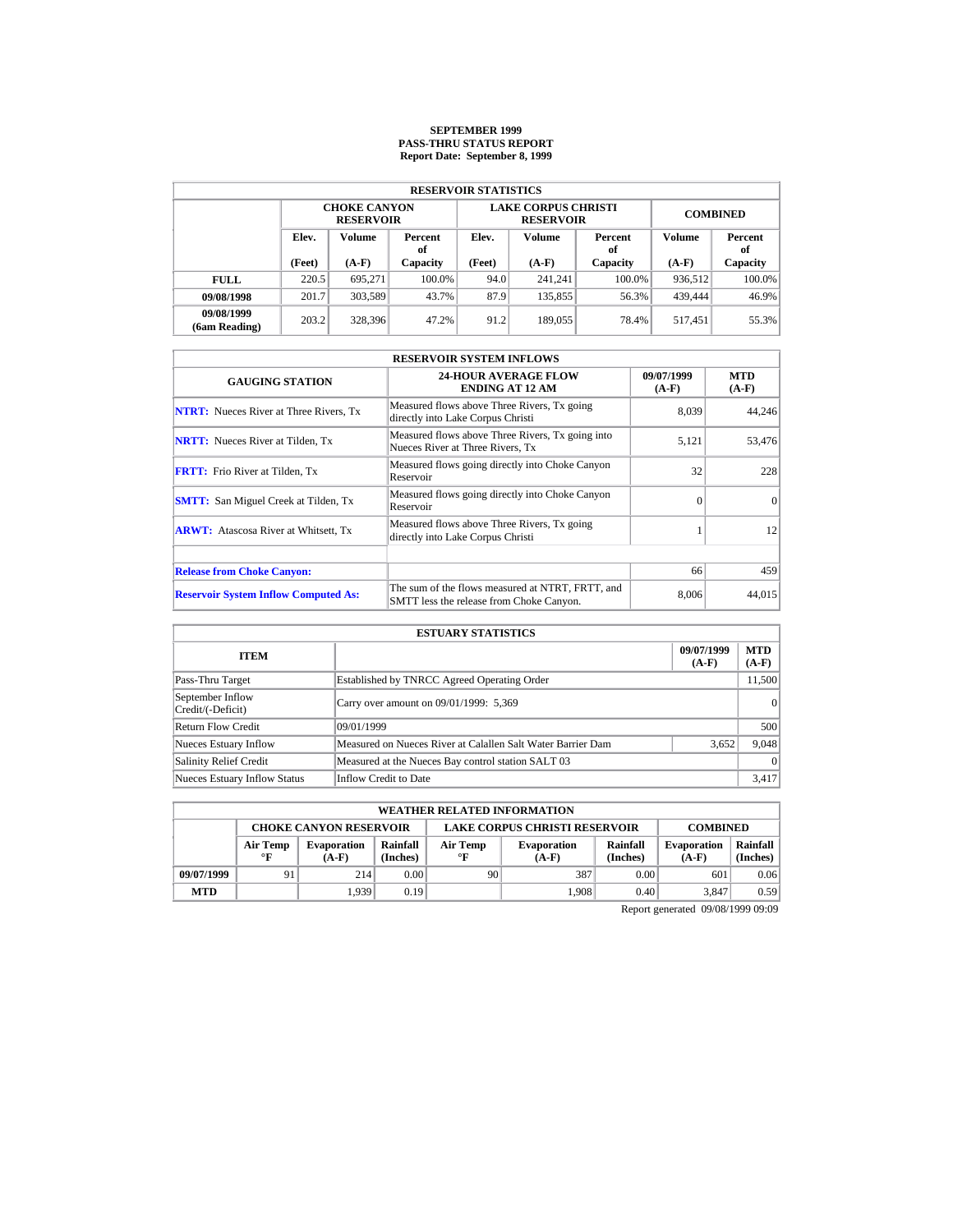# **SEPTEMBER 1999 PASS-THRU STATUS REPORT Report Date: September 8, 1999**

| <b>RESERVOIR STATISTICS</b> |        |                                         |               |        |                                                |                 |         |               |  |  |  |
|-----------------------------|--------|-----------------------------------------|---------------|--------|------------------------------------------------|-----------------|---------|---------------|--|--|--|
|                             |        | <b>CHOKE CANYON</b><br><b>RESERVOIR</b> |               |        | <b>LAKE CORPUS CHRISTI</b><br><b>RESERVOIR</b> | <b>COMBINED</b> |         |               |  |  |  |
|                             | Elev.  | Volume                                  | Percent<br>оf | Elev.  | Volume                                         | Percent<br>of   | Volume  | Percent<br>of |  |  |  |
|                             | (Feet) | $(A-F)$                                 | Capacity      | (Feet) | $(A-F)$                                        | Capacity        | $(A-F)$ | Capacity      |  |  |  |
| <b>FULL</b>                 | 220.5  | 695.271                                 | 100.0%        | 94.0   | 241.241                                        | $100.0\%$       | 936,512 | $100.0\%$     |  |  |  |
| 09/08/1998                  | 201.7  | 303,589                                 | 43.7%         | 87.9   | 135,855                                        | 56.3%           | 439,444 | 46.9%         |  |  |  |
| 09/08/1999<br>(6am Reading) | 203.2  | 328.396                                 | 47.2%         | 91.2   | 189,055                                        | 78.4%           | 517.451 | 55.3%         |  |  |  |

| <b>RESERVOIR SYSTEM INFLOWS</b>               |                                                                                              |                       |                       |  |  |  |  |  |
|-----------------------------------------------|----------------------------------------------------------------------------------------------|-----------------------|-----------------------|--|--|--|--|--|
| <b>GAUGING STATION</b>                        | <b>24-HOUR AVERAGE FLOW</b><br><b>ENDING AT 12 AM</b>                                        | 09/07/1999<br>$(A-F)$ | <b>MTD</b><br>$(A-F)$ |  |  |  |  |  |
| <b>NTRT:</b> Nueces River at Three Rivers, Tx | Measured flows above Three Rivers, Tx going<br>directly into Lake Corpus Christi             | 8.039                 | 44,246                |  |  |  |  |  |
| <b>NRTT:</b> Nueces River at Tilden, Tx       | Measured flows above Three Rivers, Tx going into<br>Nueces River at Three Rivers. Tx         | 5,121                 | 53,476                |  |  |  |  |  |
| <b>FRTT:</b> Frio River at Tilden, Tx         | Measured flows going directly into Choke Canyon<br>Reservoir                                 | 32                    | 228                   |  |  |  |  |  |
| <b>SMTT:</b> San Miguel Creek at Tilden, Tx   | Measured flows going directly into Choke Canyon<br>Reservoir                                 | $\Omega$              | $\Omega$              |  |  |  |  |  |
| <b>ARWT:</b> Atascosa River at Whitsett, Tx   | Measured flows above Three Rivers, Tx going<br>directly into Lake Corpus Christi             |                       | 12                    |  |  |  |  |  |
|                                               |                                                                                              |                       |                       |  |  |  |  |  |
| <b>Release from Choke Canyon:</b>             |                                                                                              | 66                    | 459                   |  |  |  |  |  |
| <b>Reservoir System Inflow Computed As:</b>   | The sum of the flows measured at NTRT, FRTT, and<br>SMTT less the release from Choke Canyon. | 8.006                 | 44.015                |  |  |  |  |  |

| <b>ESTUARY STATISTICS</b>             |                                                             |                       |                  |  |  |  |  |
|---------------------------------------|-------------------------------------------------------------|-----------------------|------------------|--|--|--|--|
| <b>ITEM</b>                           |                                                             | 09/07/1999<br>$(A-F)$ | MTD  <br>$(A-F)$ |  |  |  |  |
| Pass-Thru Target                      | Established by TNRCC Agreed Operating Order                 |                       | 11,500           |  |  |  |  |
| September Inflow<br>Credit/(-Deficit) | Carry over amount on 09/01/1999: 5,369                      |                       | $\vert$ 0        |  |  |  |  |
| <b>Return Flow Credit</b>             | 09/01/1999                                                  |                       | 500              |  |  |  |  |
| Nueces Estuary Inflow                 | Measured on Nueces River at Calallen Salt Water Barrier Dam | 3,652                 | 9,048            |  |  |  |  |
| <b>Salinity Relief Credit</b>         | Measured at the Nueces Bay control station SALT 03          |                       | $\vert$ 0        |  |  |  |  |
| <b>Nueces Estuary Inflow Status</b>   | Inflow Credit to Date                                       |                       | 3.417            |  |  |  |  |

|            | <b>WEATHER RELATED INFORMATION</b>                                                       |                               |                                                                                                        |    |       |      |                               |                      |  |  |  |
|------------|------------------------------------------------------------------------------------------|-------------------------------|--------------------------------------------------------------------------------------------------------|----|-------|------|-------------------------------|----------------------|--|--|--|
|            | <b>LAKE CORPUS CHRISTI RESERVOIR</b><br><b>CHOKE CANYON RESERVOIR</b><br><b>COMBINED</b> |                               |                                                                                                        |    |       |      |                               |                      |  |  |  |
|            | Air Temp<br>$^{\circ}$ F                                                                 | <b>Evaporation</b><br>$(A-F)$ | Rainfall<br>Rainfall<br>Air Temp<br><b>Evaporation</b><br>(Inches)<br>(Inches)<br>$\circ$ F<br>$(A-F)$ |    |       |      | <b>Evaporation</b><br>$(A-F)$ | Rainfall<br>(Inches) |  |  |  |
| 09/07/1999 | 91                                                                                       | 214                           | 0.00                                                                                                   | 90 | 387   | 0.00 | 601                           | 0.06                 |  |  |  |
| <b>MTD</b> |                                                                                          | 1.939                         | 0.19                                                                                                   |    | 1.908 | 0.40 | 3.847                         | 0.59                 |  |  |  |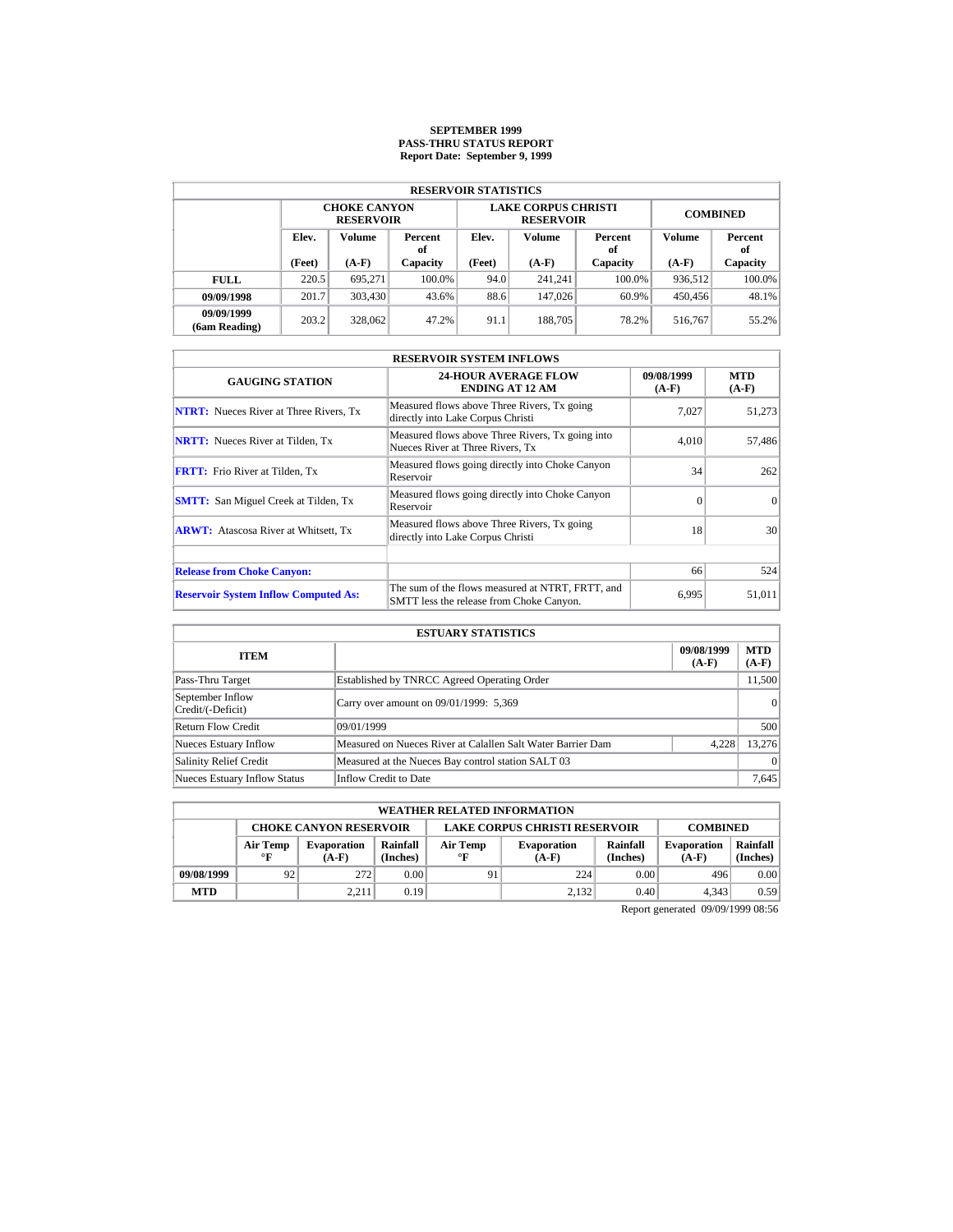# **SEPTEMBER 1999 PASS-THRU STATUS REPORT Report Date: September 9, 1999**

| <b>RESERVOIR STATISTICS</b>             |        |                                         |          |        |                                                |                 |               |           |  |  |  |
|-----------------------------------------|--------|-----------------------------------------|----------|--------|------------------------------------------------|-----------------|---------------|-----------|--|--|--|
|                                         |        | <b>CHOKE CANYON</b><br><b>RESERVOIR</b> |          |        | <b>LAKE CORPUS CHRISTI</b><br><b>RESERVOIR</b> | <b>COMBINED</b> |               |           |  |  |  |
| Elev.<br><b>Volume</b><br>Percent<br>of |        |                                         | Elev.    | Volume | Percent<br>of                                  | Volume          | Percent<br>of |           |  |  |  |
|                                         | (Feet) | $(A-F)$                                 | Capacity | (Feet) | $(A-F)$                                        | Capacity        | $(A-F)$       | Capacity  |  |  |  |
| <b>FULL</b>                             | 220.5  | 695.271                                 | 100.0%   | 94.0   | 241.241                                        | $100.0\%$       | 936.512       | $100.0\%$ |  |  |  |
| 09/09/1998                              | 201.7  | 303,430                                 | 43.6%    | 88.6   | 147,026                                        | 60.9%           | 450,456       | 48.1%     |  |  |  |
| 09/09/1999<br>(6am Reading)             | 203.2  | 328,062                                 | 47.2%    | 91.1   | 188,705                                        | 78.2%           | 516,767       | 55.2%     |  |  |  |

| <b>RESERVOIR SYSTEM INFLOWS</b>               |                                                                                              |                       |                       |  |  |  |  |  |  |
|-----------------------------------------------|----------------------------------------------------------------------------------------------|-----------------------|-----------------------|--|--|--|--|--|--|
| <b>GAUGING STATION</b>                        | <b>24-HOUR AVERAGE FLOW</b><br><b>ENDING AT 12 AM</b>                                        | 09/08/1999<br>$(A-F)$ | <b>MTD</b><br>$(A-F)$ |  |  |  |  |  |  |
| <b>NTRT:</b> Nueces River at Three Rivers, Tx | Measured flows above Three Rivers, Tx going<br>directly into Lake Corpus Christi             | 7.027                 | 51,273                |  |  |  |  |  |  |
| <b>NRTT:</b> Nueces River at Tilden, Tx       | Measured flows above Three Rivers, Tx going into<br>Nueces River at Three Rivers, Tx         | 4.010                 | 57,486                |  |  |  |  |  |  |
| <b>FRTT:</b> Frio River at Tilden, Tx         | Measured flows going directly into Choke Canyon<br>Reservoir                                 | 34                    | 262                   |  |  |  |  |  |  |
| <b>SMTT:</b> San Miguel Creek at Tilden, Tx   | Measured flows going directly into Choke Canyon<br>Reservoir                                 | $\Omega$              | $\Omega$              |  |  |  |  |  |  |
| <b>ARWT:</b> Atascosa River at Whitsett, Tx   | Measured flows above Three Rivers, Tx going<br>directly into Lake Corpus Christi             | 18                    | 30                    |  |  |  |  |  |  |
|                                               |                                                                                              | 66                    | 524                   |  |  |  |  |  |  |
| <b>Release from Choke Canyon:</b>             |                                                                                              |                       |                       |  |  |  |  |  |  |
| <b>Reservoir System Inflow Computed As:</b>   | The sum of the flows measured at NTRT, FRTT, and<br>SMTT less the release from Choke Canyon. | 6.995                 | 51,011                |  |  |  |  |  |  |

| <b>ESTUARY STATISTICS</b>             |                                                             |                       |                       |  |  |  |  |
|---------------------------------------|-------------------------------------------------------------|-----------------------|-----------------------|--|--|--|--|
| <b>ITEM</b>                           |                                                             | 09/08/1999<br>$(A-F)$ | <b>MTD</b><br>$(A-F)$ |  |  |  |  |
| Pass-Thru Target                      | Established by TNRCC Agreed Operating Order                 |                       | 11,500                |  |  |  |  |
| September Inflow<br>Credit/(-Deficit) | Carry over amount on 09/01/1999: 5,369                      |                       | 0                     |  |  |  |  |
| Return Flow Credit                    | 09/01/1999                                                  |                       | 500                   |  |  |  |  |
| <b>Nueces Estuary Inflow</b>          | Measured on Nueces River at Calallen Salt Water Barrier Dam | 4.228                 | 13.276                |  |  |  |  |
| <b>Salinity Relief Credit</b>         | Measured at the Nueces Bay control station SALT 03          |                       | $\Omega$              |  |  |  |  |
| <b>Nueces Estuary Inflow Status</b>   | Inflow Credit to Date                                       |                       | 7,645                 |  |  |  |  |

|            | <b>WEATHER RELATED INFORMATION</b>                                                       |                               |                                                                                                        |    |       |      |                               |                      |  |  |  |
|------------|------------------------------------------------------------------------------------------|-------------------------------|--------------------------------------------------------------------------------------------------------|----|-------|------|-------------------------------|----------------------|--|--|--|
|            | <b>LAKE CORPUS CHRISTI RESERVOIR</b><br><b>CHOKE CANYON RESERVOIR</b><br><b>COMBINED</b> |                               |                                                                                                        |    |       |      |                               |                      |  |  |  |
|            | Air Temp<br>$^{\circ}$ F                                                                 | <b>Evaporation</b><br>$(A-F)$ | Rainfall<br>Rainfall<br>Air Temp<br><b>Evaporation</b><br>(Inches)<br>$\circ$ F<br>(Inches)<br>$(A-F)$ |    |       |      | <b>Evaporation</b><br>$(A-F)$ | Rainfall<br>(Inches) |  |  |  |
| 09/08/1999 | 92                                                                                       | 272                           | 0.00                                                                                                   | 91 | 224   | 0.00 | 496                           | 0.00                 |  |  |  |
| <b>MTD</b> |                                                                                          | 2.211                         | 0.19                                                                                                   |    | 2.132 | 0.40 | 4.343                         | 0.59                 |  |  |  |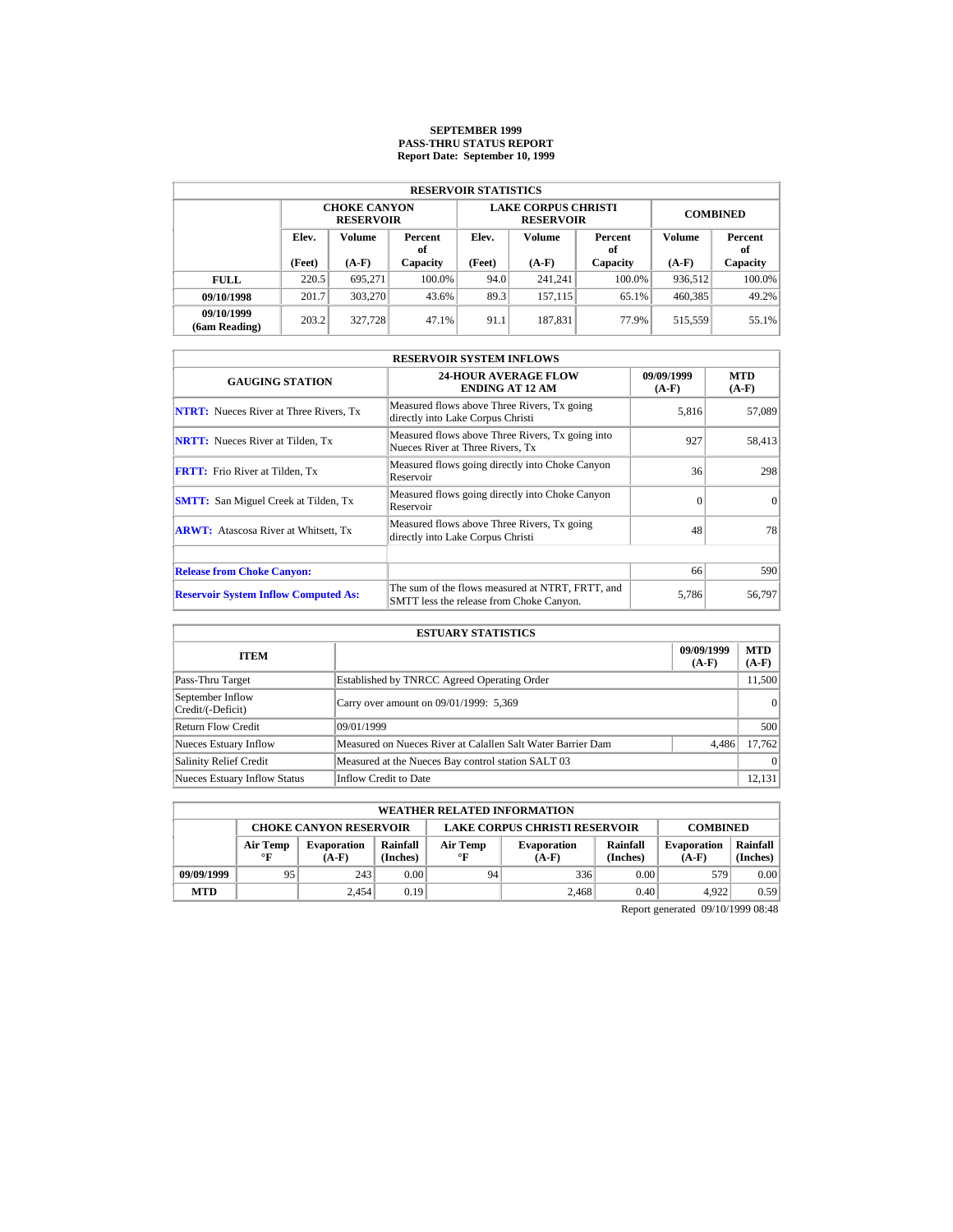# **SEPTEMBER 1999 PASS-THRU STATUS REPORT Report Date: September 10, 1999**

| <b>RESERVOIR STATISTICS</b>             |        |                                         |          |                   |                                                |                 |               |           |  |  |  |  |
|-----------------------------------------|--------|-----------------------------------------|----------|-------------------|------------------------------------------------|-----------------|---------------|-----------|--|--|--|--|
|                                         |        | <b>CHOKE CANYON</b><br><b>RESERVOIR</b> |          |                   | <b>LAKE CORPUS CHRISTI</b><br><b>RESERVOIR</b> | <b>COMBINED</b> |               |           |  |  |  |  |
| Elev.<br><b>Volume</b><br>Percent<br>оf |        |                                         | Elev.    | Volume            | Percent<br>of                                  | Volume          | Percent<br>of |           |  |  |  |  |
|                                         | (Feet) | $(A-F)$                                 | Capacity | (Feet)<br>$(A-F)$ |                                                | Capacity        | $(A-F)$       | Capacity  |  |  |  |  |
| <b>FULL</b>                             | 220.5  | 695.271                                 | 100.0%   | 94.0              | 241.241                                        | $100.0\%$       | 936,512       | $100.0\%$ |  |  |  |  |
| 09/10/1998                              | 201.7  | 303.270                                 | 43.6%    | 89.3              | 157,115                                        | 65.1%           | 460,385       | 49.2%     |  |  |  |  |
| 09/10/1999<br>(6am Reading)             | 203.2  | 327,728                                 | 47.1%    | 91.1              | 187,831                                        | 77.9%           | 515.559       | 55.1%     |  |  |  |  |

| <b>RESERVOIR SYSTEM INFLOWS</b>               |                                                                                              |                       |                       |  |  |  |  |  |
|-----------------------------------------------|----------------------------------------------------------------------------------------------|-----------------------|-----------------------|--|--|--|--|--|
| <b>GAUGING STATION</b>                        | <b>24-HOUR AVERAGE FLOW</b><br><b>ENDING AT 12 AM</b>                                        | 09/09/1999<br>$(A-F)$ | <b>MTD</b><br>$(A-F)$ |  |  |  |  |  |
| <b>NTRT:</b> Nueces River at Three Rivers, Tx | Measured flows above Three Rivers, Tx going<br>directly into Lake Corpus Christi             | 5,816                 | 57,089                |  |  |  |  |  |
| <b>NRTT:</b> Nueces River at Tilden, Tx       | Measured flows above Three Rivers, Tx going into<br>Nueces River at Three Rivers, Tx         | 927                   | 58,413                |  |  |  |  |  |
| <b>FRTT:</b> Frio River at Tilden, Tx         | Measured flows going directly into Choke Canyon<br>Reservoir                                 | 36                    | 298                   |  |  |  |  |  |
| <b>SMTT:</b> San Miguel Creek at Tilden, Tx   | Measured flows going directly into Choke Canyon<br>Reservoir                                 | $\Omega$              | $\Omega$              |  |  |  |  |  |
| <b>ARWT:</b> Atascosa River at Whitsett, Tx   | Measured flows above Three Rivers, Tx going<br>directly into Lake Corpus Christi             | 48                    | 78                    |  |  |  |  |  |
|                                               |                                                                                              |                       |                       |  |  |  |  |  |
| <b>Release from Choke Canyon:</b>             |                                                                                              | 66                    | 590                   |  |  |  |  |  |
| <b>Reservoir System Inflow Computed As:</b>   | The sum of the flows measured at NTRT, FRTT, and<br>SMTT less the release from Choke Canyon. | 5,786                 | 56,797                |  |  |  |  |  |

| <b>ESTUARY STATISTICS</b>             |                                                             |                       |                       |  |  |  |  |  |
|---------------------------------------|-------------------------------------------------------------|-----------------------|-----------------------|--|--|--|--|--|
| <b>ITEM</b>                           |                                                             | 09/09/1999<br>$(A-F)$ | <b>MTD</b><br>$(A-F)$ |  |  |  |  |  |
| Pass-Thru Target                      | Established by TNRCC Agreed Operating Order                 |                       | 11,500                |  |  |  |  |  |
| September Inflow<br>Credit/(-Deficit) | Carry over amount on 09/01/1999: 5,369                      |                       | 0                     |  |  |  |  |  |
| Return Flow Credit                    | 09/01/1999                                                  |                       | 500                   |  |  |  |  |  |
| <b>Nueces Estuary Inflow</b>          | Measured on Nueces River at Calallen Salt Water Barrier Dam | 4,486                 | 17.762                |  |  |  |  |  |
| <b>Salinity Relief Credit</b>         | Measured at the Nueces Bay control station SALT 03          |                       | $\Omega$              |  |  |  |  |  |
| <b>Nueces Estuary Inflow Status</b>   | Inflow Credit to Date                                       |                       | 12,131                |  |  |  |  |  |

|            | <b>WEATHER RELATED INFORMATION</b>                                                                                                                                  |       |      |    |       |                               |                      |      |  |  |  |
|------------|---------------------------------------------------------------------------------------------------------------------------------------------------------------------|-------|------|----|-------|-------------------------------|----------------------|------|--|--|--|
|            | <b>LAKE CORPUS CHRISTI RESERVOIR</b><br><b>CHOKE CANYON RESERVOIR</b><br><b>COMBINED</b>                                                                            |       |      |    |       |                               |                      |      |  |  |  |
|            | Rainfall<br>Rainfall<br>Air Temp<br>Air Temp<br><b>Evaporation</b><br><b>Evaporation</b><br>$\circ$ F<br>(Inches)<br>$^{\circ}$ F<br>(Inches)<br>$(A-F)$<br>$(A-F)$ |       |      |    |       | <b>Evaporation</b><br>$(A-F)$ | Rainfall<br>(Inches) |      |  |  |  |
| 09/09/1999 | 95                                                                                                                                                                  | 243   | 0.00 | 94 | 336   | 0.00                          | 579                  | 0.00 |  |  |  |
| <b>MTD</b> |                                                                                                                                                                     | 2.454 | 0.19 |    | 2.468 | 0.40                          | 4.922                | 0.59 |  |  |  |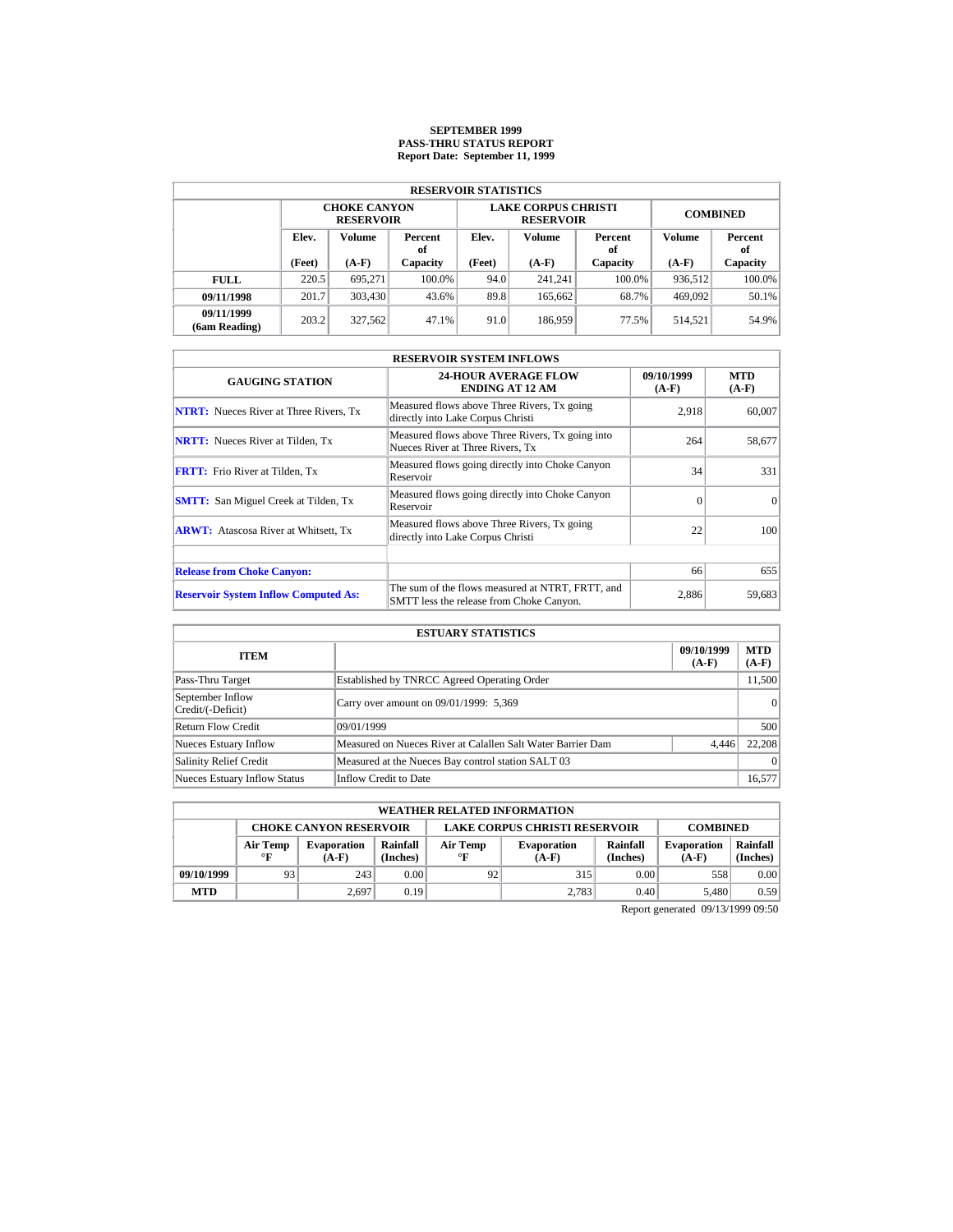# **SEPTEMBER 1999 PASS-THRU STATUS REPORT Report Date: September 11, 1999**

| <b>RESERVOIR STATISTICS</b> |        |                                         |          |                   |                                                |                 |               |           |  |  |  |  |
|-----------------------------|--------|-----------------------------------------|----------|-------------------|------------------------------------------------|-----------------|---------------|-----------|--|--|--|--|
|                             |        | <b>CHOKE CANYON</b><br><b>RESERVOIR</b> |          |                   | <b>LAKE CORPUS CHRISTI</b><br><b>RESERVOIR</b> | <b>COMBINED</b> |               |           |  |  |  |  |
| Elev.<br><b>Volume</b>      |        | Percent<br>оf                           | Elev.    | Volume            | Percent<br>of                                  | Volume          | Percent<br>of |           |  |  |  |  |
|                             | (Feet) | $(A-F)$                                 | Capacity | (Feet)<br>$(A-F)$ |                                                | Capacity        | $(A-F)$       | Capacity  |  |  |  |  |
| <b>FULL</b>                 | 220.5  | 695.271                                 | 100.0%   | 94.0              | 241.241                                        | $100.0\%$       | 936,512       | $100.0\%$ |  |  |  |  |
| 09/11/1998                  | 201.7  | 303,430                                 | 43.6%    | 89.8              | 165,662                                        | 68.7%           | 469,092       | 50.1%     |  |  |  |  |
| 09/11/1999<br>(6am Reading) | 203.2  | 327,562                                 | 47.1%    | 91.0              | 186,959                                        | 77.5%           | 514.521       | 54.9%     |  |  |  |  |

| <b>RESERVOIR SYSTEM INFLOWS</b>               |                                                                                              |                       |                       |  |  |  |  |  |
|-----------------------------------------------|----------------------------------------------------------------------------------------------|-----------------------|-----------------------|--|--|--|--|--|
| <b>GAUGING STATION</b>                        | <b>24-HOUR AVERAGE FLOW</b><br><b>ENDING AT 12 AM</b>                                        | 09/10/1999<br>$(A-F)$ | <b>MTD</b><br>$(A-F)$ |  |  |  |  |  |
| <b>NTRT:</b> Nueces River at Three Rivers, Tx | Measured flows above Three Rivers, Tx going<br>directly into Lake Corpus Christi             | 2.918                 | 60,007                |  |  |  |  |  |
| <b>NRTT:</b> Nueces River at Tilden, Tx       | Measured flows above Three Rivers, Tx going into<br>Nueces River at Three Rivers. Tx         | 264                   | 58,677                |  |  |  |  |  |
| <b>FRTT:</b> Frio River at Tilden, Tx         | Measured flows going directly into Choke Canyon<br>Reservoir                                 | 34                    | 331                   |  |  |  |  |  |
| <b>SMTT:</b> San Miguel Creek at Tilden, Tx   | Measured flows going directly into Choke Canyon<br>Reservoir                                 | $\Omega$              | $\Omega$              |  |  |  |  |  |
| <b>ARWT:</b> Atascosa River at Whitsett, Tx   | Measured flows above Three Rivers, Tx going<br>directly into Lake Corpus Christi             | 22                    | 100                   |  |  |  |  |  |
|                                               |                                                                                              |                       |                       |  |  |  |  |  |
| <b>Release from Choke Canyon:</b>             |                                                                                              | 66                    | 655                   |  |  |  |  |  |
| <b>Reservoir System Inflow Computed As:</b>   | The sum of the flows measured at NTRT, FRTT, and<br>SMTT less the release from Choke Canyon. | 2,886                 | 59,683                |  |  |  |  |  |

| <b>ESTUARY STATISTICS</b>             |                                                             |                       |                       |  |  |  |  |  |
|---------------------------------------|-------------------------------------------------------------|-----------------------|-----------------------|--|--|--|--|--|
| <b>ITEM</b>                           |                                                             | 09/10/1999<br>$(A-F)$ | <b>MTD</b><br>$(A-F)$ |  |  |  |  |  |
| Pass-Thru Target                      | Established by TNRCC Agreed Operating Order                 |                       | 11,500                |  |  |  |  |  |
| September Inflow<br>Credit/(-Deficit) | Carry over amount on 09/01/1999: 5,369                      |                       | 0                     |  |  |  |  |  |
| Return Flow Credit                    | 09/01/1999                                                  |                       | 500                   |  |  |  |  |  |
| <b>Nueces Estuary Inflow</b>          | Measured on Nueces River at Calallen Salt Water Barrier Dam | 4.446                 | 22,208                |  |  |  |  |  |
| <b>Salinity Relief Credit</b>         | Measured at the Nueces Bay control station SALT 03          |                       | $\Omega$              |  |  |  |  |  |
| <b>Nueces Estuary Inflow Status</b>   | Inflow Credit to Date                                       |                       | 16,577                |  |  |  |  |  |

|            | <b>WEATHER RELATED INFORMATION</b>                                                                                                                                  |       |      |    |       |      |                               |                      |  |  |  |
|------------|---------------------------------------------------------------------------------------------------------------------------------------------------------------------|-------|------|----|-------|------|-------------------------------|----------------------|--|--|--|
|            | <b>LAKE CORPUS CHRISTI RESERVOIR</b><br><b>CHOKE CANYON RESERVOIR</b><br><b>COMBINED</b>                                                                            |       |      |    |       |      |                               |                      |  |  |  |
|            | Rainfall<br>Rainfall<br>Air Temp<br>Air Temp<br><b>Evaporation</b><br><b>Evaporation</b><br>(Inches)<br>(Inches)<br>$\circ$ F<br>$\mathbf{F}$<br>$(A-F)$<br>$(A-F)$ |       |      |    |       |      | <b>Evaporation</b><br>$(A-F)$ | Rainfall<br>(Inches) |  |  |  |
| 09/10/1999 | 93                                                                                                                                                                  | 243   | 0.00 | 92 | 315   | 0.00 | 558                           | 0.00                 |  |  |  |
| <b>MTD</b> |                                                                                                                                                                     | 2.697 | 0.19 |    | 2.783 | 0.40 | 5.480                         | 0.59                 |  |  |  |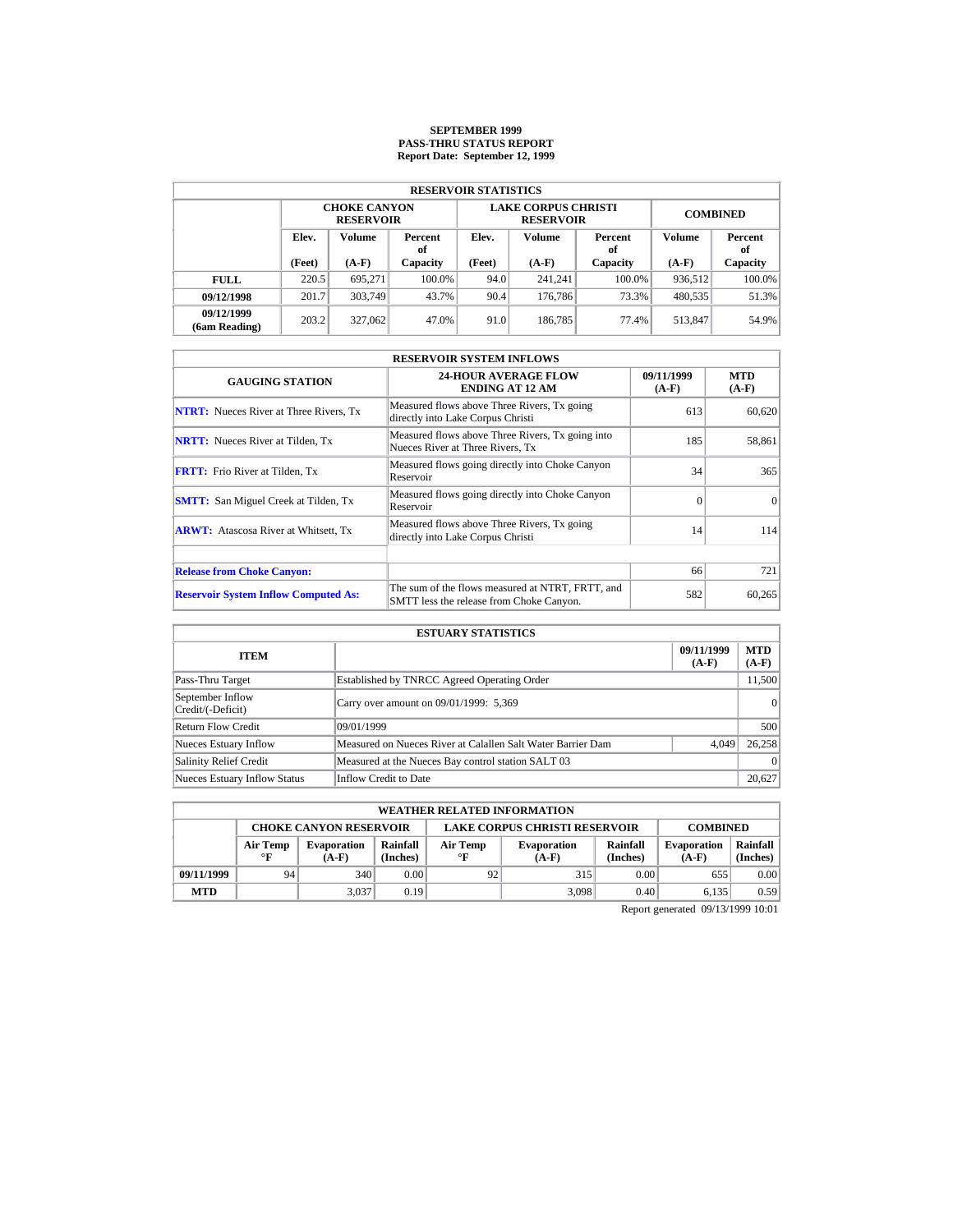# **SEPTEMBER 1999 PASS-THRU STATUS REPORT Report Date: September 12, 1999**

| <b>RESERVOIR STATISTICS</b> |                                  |                                         |          |        |                                                |                 |               |           |  |  |  |
|-----------------------------|----------------------------------|-----------------------------------------|----------|--------|------------------------------------------------|-----------------|---------------|-----------|--|--|--|
|                             |                                  | <b>CHOKE CANYON</b><br><b>RESERVOIR</b> |          |        | <b>LAKE CORPUS CHRISTI</b><br><b>RESERVOIR</b> | <b>COMBINED</b> |               |           |  |  |  |
|                             | Elev.<br>Volume<br>Percent<br>оf |                                         | Elev.    | Volume | Percent<br>of                                  | Volume          | Percent<br>of |           |  |  |  |
|                             | (Feet)                           | $(A-F)$                                 | Capacity | (Feet) | $(A-F)$                                        | Capacity        | $(A-F)$       | Capacity  |  |  |  |
| <b>FULL</b>                 | 220.5                            | 695.271                                 | 100.0%   | 94.0   | 241.241                                        | $100.0\%$       | 936,512       | $100.0\%$ |  |  |  |
| 09/12/1998                  | 201.7                            | 303.749                                 | 43.7%    | 90.4   | 176,786                                        | 73.3%           | 480,535       | 51.3%     |  |  |  |
| 09/12/1999<br>(6am Reading) | 203.2                            | 327,062                                 | 47.0%    | 91.0   | 186,785                                        | 77.4%           | 513,847       | 54.9%     |  |  |  |

| <b>RESERVOIR SYSTEM INFLOWS</b>               |                                                                                              |                       |                       |  |  |  |  |  |
|-----------------------------------------------|----------------------------------------------------------------------------------------------|-----------------------|-----------------------|--|--|--|--|--|
| <b>GAUGING STATION</b>                        | <b>24-HOUR AVERAGE FLOW</b><br><b>ENDING AT 12 AM</b>                                        | 09/11/1999<br>$(A-F)$ | <b>MTD</b><br>$(A-F)$ |  |  |  |  |  |
| <b>NTRT:</b> Nueces River at Three Rivers, Tx | Measured flows above Three Rivers, Tx going<br>directly into Lake Corpus Christi             | 613                   | 60,620                |  |  |  |  |  |
| <b>NRTT:</b> Nueces River at Tilden, Tx       | Measured flows above Three Rivers, Tx going into<br>Nueces River at Three Rivers, Tx         | 185                   | 58,861                |  |  |  |  |  |
| <b>FRTT:</b> Frio River at Tilden, Tx         | Measured flows going directly into Choke Canyon<br>Reservoir                                 | 34                    | 365                   |  |  |  |  |  |
| <b>SMTT:</b> San Miguel Creek at Tilden, Tx   | Measured flows going directly into Choke Canyon<br>Reservoir                                 | $\Omega$              | $\Omega$              |  |  |  |  |  |
| <b>ARWT:</b> Atascosa River at Whitsett, Tx   | Measured flows above Three Rivers, Tx going<br>directly into Lake Corpus Christi             | 14                    | 114                   |  |  |  |  |  |
|                                               |                                                                                              |                       |                       |  |  |  |  |  |
| <b>Release from Choke Canyon:</b>             |                                                                                              | 66                    | 721                   |  |  |  |  |  |
| <b>Reservoir System Inflow Computed As:</b>   | The sum of the flows measured at NTRT, FRTT, and<br>SMTT less the release from Choke Canyon. | 582                   | 60,265                |  |  |  |  |  |

| <b>ESTUARY STATISTICS</b>             |                                                             |                       |                       |  |  |  |  |  |
|---------------------------------------|-------------------------------------------------------------|-----------------------|-----------------------|--|--|--|--|--|
| <b>ITEM</b>                           |                                                             | 09/11/1999<br>$(A-F)$ | <b>MTD</b><br>$(A-F)$ |  |  |  |  |  |
| Pass-Thru Target                      | Established by TNRCC Agreed Operating Order                 |                       | 11,500                |  |  |  |  |  |
| September Inflow<br>Credit/(-Deficit) | Carry over amount on 09/01/1999: 5,369                      |                       | 0                     |  |  |  |  |  |
| Return Flow Credit                    | 09/01/1999                                                  |                       | 500                   |  |  |  |  |  |
| <b>Nueces Estuary Inflow</b>          | Measured on Nueces River at Calallen Salt Water Barrier Dam | 4.049                 | 26.258                |  |  |  |  |  |
| <b>Salinity Relief Credit</b>         | Measured at the Nueces Bay control station SALT 03          |                       | $\Omega$              |  |  |  |  |  |
| <b>Nueces Estuary Inflow Status</b>   | Inflow Credit to Date                                       |                       | 20,627                |  |  |  |  |  |

| <b>WEATHER RELATED INFORMATION</b> |                                                                                                                                                                     |       |      |    |       |                               |                      |      |  |  |
|------------------------------------|---------------------------------------------------------------------------------------------------------------------------------------------------------------------|-------|------|----|-------|-------------------------------|----------------------|------|--|--|
|                                    | <b>LAKE CORPUS CHRISTI RESERVOIR</b><br><b>CHOKE CANYON RESERVOIR</b><br><b>COMBINED</b>                                                                            |       |      |    |       |                               |                      |      |  |  |
|                                    | Rainfall<br>Rainfall<br>Air Temp<br>Air Temp<br><b>Evaporation</b><br><b>Evaporation</b><br>(Inches)<br>(Inches)<br>$\mathbf{F}$<br>$\circ$ F<br>$(A-F)$<br>$(A-F)$ |       |      |    |       | <b>Evaporation</b><br>$(A-F)$ | Rainfall<br>(Inches) |      |  |  |
| 09/11/1999                         | 94                                                                                                                                                                  | 340   | 0.00 | 92 | 315   | 0.00                          | 655                  | 0.00 |  |  |
| <b>MTD</b>                         |                                                                                                                                                                     | 3.037 | 0.19 |    | 3.098 | 0.40                          | 6.135                | 0.59 |  |  |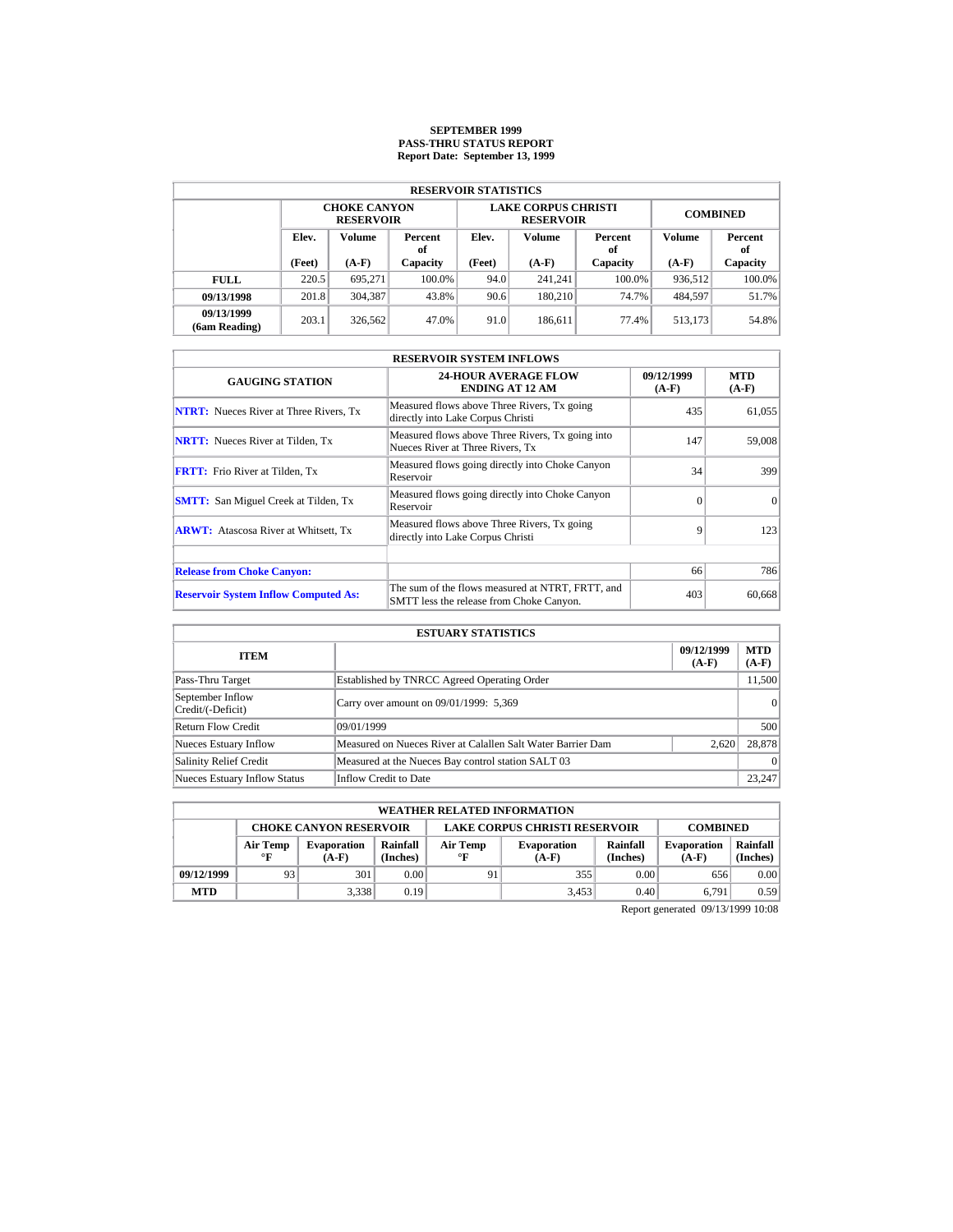# **SEPTEMBER 1999 PASS-THRU STATUS REPORT Report Date: September 13, 1999**

| <b>RESERVOIR STATISTICS</b> |                                         |                                         |          |                   |                                                |                 |               |          |  |  |  |
|-----------------------------|-----------------------------------------|-----------------------------------------|----------|-------------------|------------------------------------------------|-----------------|---------------|----------|--|--|--|
|                             |                                         | <b>CHOKE CANYON</b><br><b>RESERVOIR</b> |          |                   | <b>LAKE CORPUS CHRISTI</b><br><b>RESERVOIR</b> | <b>COMBINED</b> |               |          |  |  |  |
|                             | Elev.<br><b>Volume</b><br>Percent<br>оf |                                         | Elev.    | Volume            | Percent<br>of                                  | Volume          | Percent<br>of |          |  |  |  |
|                             | (Feet)                                  | $(A-F)$                                 | Capacity | (Feet)<br>$(A-F)$ |                                                | Capacity        | $(A-F)$       | Capacity |  |  |  |
| <b>FULL</b>                 | 220.5                                   | 695.271                                 | 100.0%   | 94.0              | 241.241                                        | $100.0\%$       | 936,512       | 100.0%   |  |  |  |
| 09/13/1998                  | 201.8                                   | 304.387                                 | 43.8%    | 90.6              | 180.210                                        | 74.7%           | 484,597       | 51.7%    |  |  |  |
| 09/13/1999<br>(6am Reading) | 203.1                                   | 326,562                                 | 47.0%    | 91.0              | 186.611                                        | 77.4%           | 513.173       | 54.8%    |  |  |  |

| <b>RESERVOIR SYSTEM INFLOWS</b>               |                                                                                              |                       |                       |  |  |  |  |  |
|-----------------------------------------------|----------------------------------------------------------------------------------------------|-----------------------|-----------------------|--|--|--|--|--|
| <b>GAUGING STATION</b>                        | <b>24-HOUR AVERAGE FLOW</b><br><b>ENDING AT 12 AM</b>                                        | 09/12/1999<br>$(A-F)$ | <b>MTD</b><br>$(A-F)$ |  |  |  |  |  |
| <b>NTRT:</b> Nueces River at Three Rivers, Tx | Measured flows above Three Rivers, Tx going<br>directly into Lake Corpus Christi             | 435                   | 61,055                |  |  |  |  |  |
| <b>NRTT:</b> Nueces River at Tilden, Tx       | Measured flows above Three Rivers, Tx going into<br>Nueces River at Three Rivers. Tx         | 147                   | 59,008                |  |  |  |  |  |
| <b>FRTT:</b> Frio River at Tilden, Tx         | Measured flows going directly into Choke Canyon<br>Reservoir                                 | 34                    | 399                   |  |  |  |  |  |
| <b>SMTT:</b> San Miguel Creek at Tilden, Tx   | Measured flows going directly into Choke Canyon<br>Reservoir                                 | $\Omega$              | $\Omega$              |  |  |  |  |  |
| <b>ARWT:</b> Atascosa River at Whitsett, Tx   | Measured flows above Three Rivers, Tx going<br>directly into Lake Corpus Christi             | 9                     | 123                   |  |  |  |  |  |
| <b>Release from Choke Canyon:</b>             |                                                                                              | 66                    | 786                   |  |  |  |  |  |
| <b>Reservoir System Inflow Computed As:</b>   | The sum of the flows measured at NTRT, FRTT, and<br>SMTT less the release from Choke Canyon. | 403                   | 60.668                |  |  |  |  |  |

|                                       | <b>ESTUARY STATISTICS</b>                                   |                       |                       |
|---------------------------------------|-------------------------------------------------------------|-----------------------|-----------------------|
| <b>ITEM</b>                           |                                                             | 09/12/1999<br>$(A-F)$ | <b>MTD</b><br>$(A-F)$ |
| Pass-Thru Target                      | Established by TNRCC Agreed Operating Order                 |                       | 11,500                |
| September Inflow<br>Credit/(-Deficit) | Carry over amount on 09/01/1999: 5,369                      |                       | 0                     |
| Return Flow Credit                    | 09/01/1999                                                  |                       | 500                   |
| <b>Nueces Estuary Inflow</b>          | Measured on Nueces River at Calallen Salt Water Barrier Dam | 2,620                 | 28,878                |
| <b>Salinity Relief Credit</b>         | Measured at the Nueces Bay control station SALT 03          |                       | $\Omega$              |
| <b>Nueces Estuary Inflow Status</b>   | Inflow Credit to Date                                       |                       | 23,247                |

|            | <b>WEATHER RELATED INFORMATION</b>                                                                                                                                  |       |      |    |       |                               |                      |      |  |  |
|------------|---------------------------------------------------------------------------------------------------------------------------------------------------------------------|-------|------|----|-------|-------------------------------|----------------------|------|--|--|
|            | <b>LAKE CORPUS CHRISTI RESERVOIR</b><br><b>CHOKE CANYON RESERVOIR</b><br><b>COMBINED</b>                                                                            |       |      |    |       |                               |                      |      |  |  |
|            | Rainfall<br>Rainfall<br>Air Temp<br>Air Temp<br><b>Evaporation</b><br><b>Evaporation</b><br>(Inches)<br>(Inches)<br>$\mathbf{F}$<br>$\circ$ F<br>$(A-F)$<br>$(A-F)$ |       |      |    |       | <b>Evaporation</b><br>$(A-F)$ | Rainfall<br>(Inches) |      |  |  |
| 09/12/1999 | 93                                                                                                                                                                  | 301   | 0.00 | 91 | 355   | 0.00                          | 656                  | 0.00 |  |  |
| <b>MTD</b> |                                                                                                                                                                     | 3.338 | 0.19 |    | 3,453 | 0.40                          | 6.791                | 0.59 |  |  |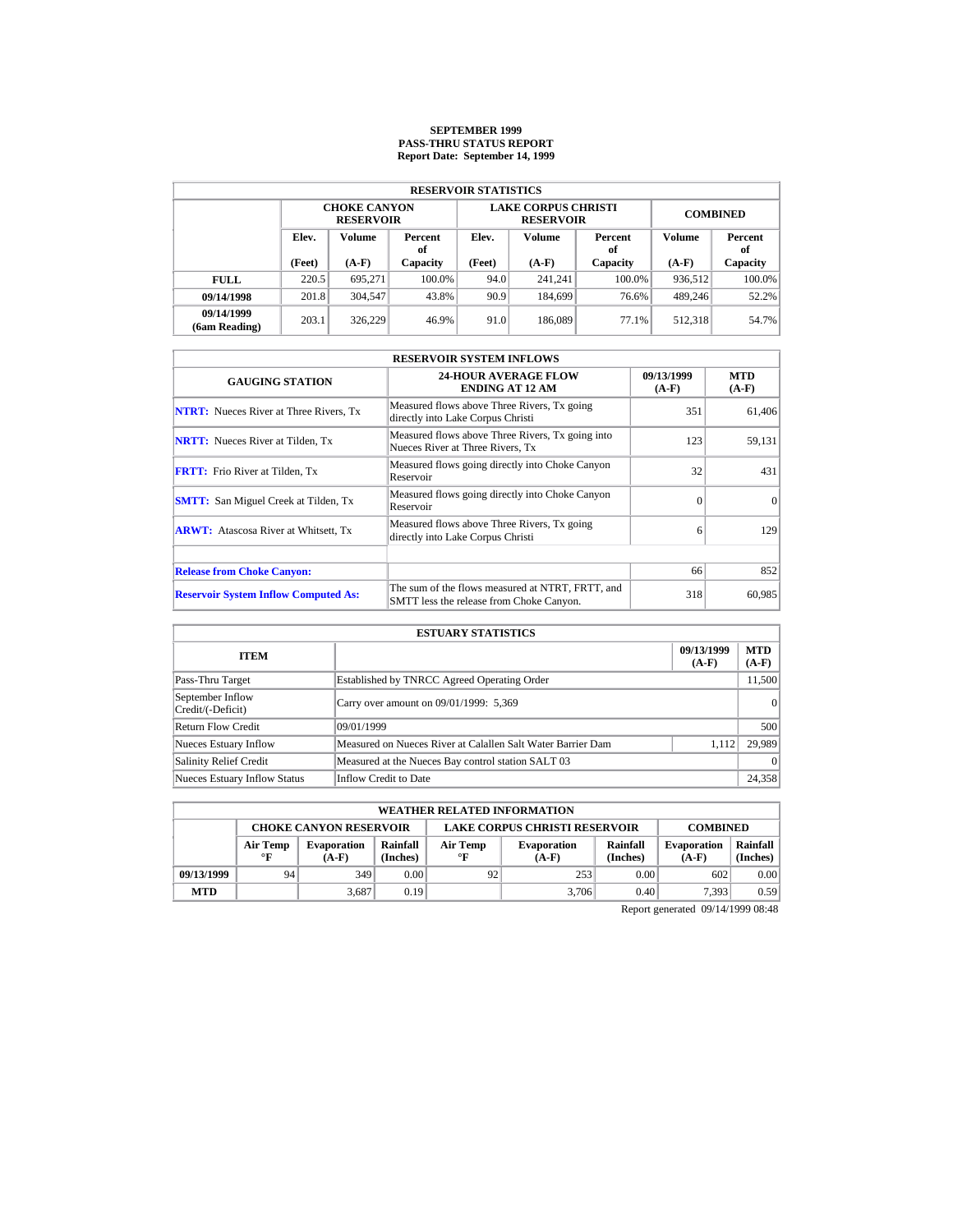# **SEPTEMBER 1999 PASS-THRU STATUS REPORT Report Date: September 14, 1999**

| <b>RESERVOIR STATISTICS</b> |                                         |         |          |                   |                                                |                 |               |           |  |  |  |
|-----------------------------|-----------------------------------------|---------|----------|-------------------|------------------------------------------------|-----------------|---------------|-----------|--|--|--|
|                             | <b>CHOKE CANYON</b><br><b>RESERVOIR</b> |         |          |                   | <b>LAKE CORPUS CHRISTI</b><br><b>RESERVOIR</b> | <b>COMBINED</b> |               |           |  |  |  |
|                             | Elev.<br>Volume<br>Percent<br>оf        |         | Elev.    | Volume            | Percent<br>of                                  | Volume          | Percent<br>of |           |  |  |  |
|                             | (Feet)                                  | $(A-F)$ | Capacity | (Feet)<br>$(A-F)$ |                                                | Capacity        | $(A-F)$       | Capacity  |  |  |  |
| <b>FULL</b>                 | 220.5                                   | 695.271 | 100.0%   | 94.0              | 241.241                                        | $100.0\%$       | 936,512       | $100.0\%$ |  |  |  |
| 09/14/1998                  | 201.8                                   | 304,547 | 43.8%    | 90.9              | 184,699                                        | 76.6%           | 489,246       | 52.2%     |  |  |  |
| 09/14/1999<br>(6am Reading) | 203.1                                   | 326.229 | 46.9%    | 91.0              | 186,089                                        | 77.1%           | 512.318       | 54.7%     |  |  |  |

| <b>RESERVOIR SYSTEM INFLOWS</b>               |                                                                                              |                       |                       |  |  |  |  |  |
|-----------------------------------------------|----------------------------------------------------------------------------------------------|-----------------------|-----------------------|--|--|--|--|--|
| <b>GAUGING STATION</b>                        | <b>24-HOUR AVERAGE FLOW</b><br><b>ENDING AT 12 AM</b>                                        | 09/13/1999<br>$(A-F)$ | <b>MTD</b><br>$(A-F)$ |  |  |  |  |  |
| <b>NTRT:</b> Nueces River at Three Rivers, Tx | Measured flows above Three Rivers, Tx going<br>directly into Lake Corpus Christi             | 351                   | 61,406                |  |  |  |  |  |
| <b>NRTT:</b> Nueces River at Tilden, Tx       | Measured flows above Three Rivers, Tx going into<br>Nueces River at Three Rivers. Tx         | 123                   | 59,131                |  |  |  |  |  |
| <b>FRTT:</b> Frio River at Tilden, Tx         | Measured flows going directly into Choke Canyon<br>Reservoir                                 | 32                    | 431                   |  |  |  |  |  |
| <b>SMTT:</b> San Miguel Creek at Tilden, Tx   | Measured flows going directly into Choke Canyon<br>Reservoir                                 | $\Omega$              | $\Omega$              |  |  |  |  |  |
| <b>ARWT:</b> Atascosa River at Whitsett, Tx   | Measured flows above Three Rivers, Tx going<br>directly into Lake Corpus Christi             | 6                     | 129                   |  |  |  |  |  |
| <b>Release from Choke Canyon:</b>             |                                                                                              | 66                    | 852                   |  |  |  |  |  |
| <b>Reservoir System Inflow Computed As:</b>   | The sum of the flows measured at NTRT, FRTT, and<br>SMTT less the release from Choke Canyon. | 318                   | 60.985                |  |  |  |  |  |

|                                       | <b>ESTUARY STATISTICS</b>                                   |                       |                       |
|---------------------------------------|-------------------------------------------------------------|-----------------------|-----------------------|
| <b>ITEM</b>                           |                                                             | 09/13/1999<br>$(A-F)$ | <b>MTD</b><br>$(A-F)$ |
| Pass-Thru Target                      | Established by TNRCC Agreed Operating Order                 |                       | 11,500                |
| September Inflow<br>Credit/(-Deficit) | Carry over amount on 09/01/1999: 5,369                      |                       | 0                     |
| Return Flow Credit                    | 09/01/1999                                                  |                       | 500                   |
| <b>Nueces Estuary Inflow</b>          | Measured on Nueces River at Calallen Salt Water Barrier Dam | 1.112                 | 29.989                |
| <b>Salinity Relief Credit</b>         | Measured at the Nueces Bay control station SALT 03          |                       | $\Omega$              |
| <b>Nueces Estuary Inflow Status</b>   | Inflow Credit to Date                                       |                       | 24,358                |

|            | <b>WEATHER RELATED INFORMATION</b>                                                       |                               |                      |                       |                               |                               |                      |      |  |  |  |
|------------|------------------------------------------------------------------------------------------|-------------------------------|----------------------|-----------------------|-------------------------------|-------------------------------|----------------------|------|--|--|--|
|            | <b>LAKE CORPUS CHRISTI RESERVOIR</b><br><b>CHOKE CANYON RESERVOIR</b><br><b>COMBINED</b> |                               |                      |                       |                               |                               |                      |      |  |  |  |
|            | Air Temp<br>$\mathbf{F}$                                                                 | <b>Evaporation</b><br>$(A-F)$ | Rainfall<br>(Inches) | Air Temp<br>$\circ$ F | <b>Evaporation</b><br>$(A-F)$ | <b>Evaporation</b><br>$(A-F)$ | Rainfall<br>(Inches) |      |  |  |  |
| 09/13/1999 | 94                                                                                       | 349                           | 0.00                 | 92                    | 253                           | 0.00                          | 602                  | 0.00 |  |  |  |
| <b>MTD</b> |                                                                                          | 3.687                         | 0.19                 |                       | 3.706                         | 0.40                          | 7.393                | 0.59 |  |  |  |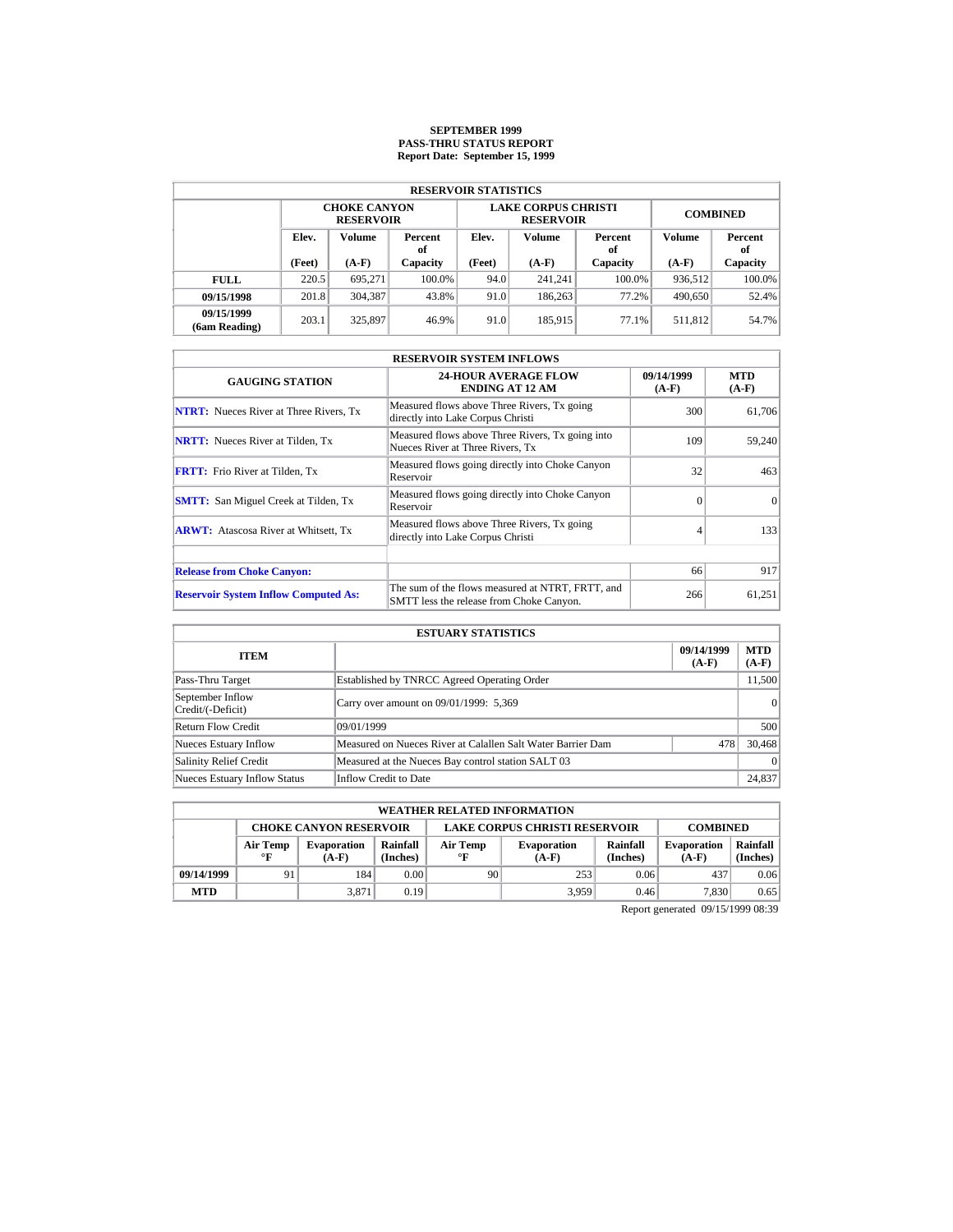# **SEPTEMBER 1999 PASS-THRU STATUS REPORT Report Date: September 15, 1999**

| <b>RESERVOIR STATISTICS</b> |                                  |                                         |          |        |                                                |                 |               |           |  |  |  |
|-----------------------------|----------------------------------|-----------------------------------------|----------|--------|------------------------------------------------|-----------------|---------------|-----------|--|--|--|
|                             |                                  | <b>CHOKE CANYON</b><br><b>RESERVOIR</b> |          |        | <b>LAKE CORPUS CHRISTI</b><br><b>RESERVOIR</b> | <b>COMBINED</b> |               |           |  |  |  |
|                             | Elev.<br>Volume<br>Percent<br>оf |                                         | Elev.    | Volume | Percent<br>of                                  | Volume          | Percent<br>of |           |  |  |  |
|                             | (Feet)                           | $(A-F)$                                 | Capacity | (Feet) | $(A-F)$                                        | Capacity        | $(A-F)$       | Capacity  |  |  |  |
| <b>FULL</b>                 | 220.5                            | 695.271                                 | 100.0%   | 94.0   | 241.241                                        | $100.0\%$       | 936,512       | $100.0\%$ |  |  |  |
| 09/15/1998                  | 201.8                            | 304,387                                 | 43.8%    | 91.0   | 186,263                                        | 77.2%           | 490,650       | 52.4%     |  |  |  |
| 09/15/1999<br>(6am Reading) | 203.1                            | 325,897                                 | 46.9%    | 91.0   | 185,915                                        | 77.1%           | 511,812       | 54.7%     |  |  |  |

| <b>RESERVOIR SYSTEM INFLOWS</b>               |                                                                                              |                       |                       |  |  |  |  |  |
|-----------------------------------------------|----------------------------------------------------------------------------------------------|-----------------------|-----------------------|--|--|--|--|--|
| <b>GAUGING STATION</b>                        | <b>24-HOUR AVERAGE FLOW</b><br><b>ENDING AT 12 AM</b>                                        | 09/14/1999<br>$(A-F)$ | <b>MTD</b><br>$(A-F)$ |  |  |  |  |  |
| <b>NTRT:</b> Nueces River at Three Rivers, Tx | Measured flows above Three Rivers, Tx going<br>directly into Lake Corpus Christi             | 300                   | 61,706                |  |  |  |  |  |
| <b>NRTT:</b> Nueces River at Tilden, Tx       | Measured flows above Three Rivers, Tx going into<br>Nueces River at Three Rivers, Tx         | 109                   | 59,240                |  |  |  |  |  |
| <b>FRTT:</b> Frio River at Tilden, Tx         | Measured flows going directly into Choke Canyon<br>Reservoir                                 | 32                    | 463                   |  |  |  |  |  |
| <b>SMTT:</b> San Miguel Creek at Tilden, Tx   | Measured flows going directly into Choke Canyon<br>Reservoir                                 | $\Omega$              | $\Omega$              |  |  |  |  |  |
| <b>ARWT:</b> Atascosa River at Whitsett, Tx   | Measured flows above Three Rivers, Tx going<br>directly into Lake Corpus Christi             | 4                     | 133                   |  |  |  |  |  |
|                                               |                                                                                              |                       |                       |  |  |  |  |  |
| <b>Release from Choke Canyon:</b>             |                                                                                              | 66                    | 917                   |  |  |  |  |  |
| <b>Reservoir System Inflow Computed As:</b>   | The sum of the flows measured at NTRT, FRTT, and<br>SMTT less the release from Choke Canyon. | 266                   | 61,251                |  |  |  |  |  |

|                                       | <b>ESTUARY STATISTICS</b>                                   |                       |                       |
|---------------------------------------|-------------------------------------------------------------|-----------------------|-----------------------|
| <b>ITEM</b>                           |                                                             | 09/14/1999<br>$(A-F)$ | <b>MTD</b><br>$(A-F)$ |
| Pass-Thru Target                      | Established by TNRCC Agreed Operating Order                 |                       | 11,500                |
| September Inflow<br>Credit/(-Deficit) | Carry over amount on 09/01/1999: 5,369                      |                       | 0                     |
| <b>Return Flow Credit</b>             | 09/01/1999                                                  |                       | 500                   |
| <b>Nueces Estuary Inflow</b>          | Measured on Nueces River at Calallen Salt Water Barrier Dam | 478                   | 30,468                |
| <b>Salinity Relief Credit</b>         | Measured at the Nueces Bay control station SALT 03          |                       | $\Omega$              |
| <b>Nueces Estuary Inflow Status</b>   | Inflow Credit to Date                                       |                       | 24,837                |

| <b>WEATHER RELATED INFORMATION</b> |                                                                                                                                                                     |       |      |    |       |                               |                      |      |  |
|------------------------------------|---------------------------------------------------------------------------------------------------------------------------------------------------------------------|-------|------|----|-------|-------------------------------|----------------------|------|--|
|                                    | <b>LAKE CORPUS CHRISTI RESERVOIR</b><br><b>CHOKE CANYON RESERVOIR</b><br><b>COMBINED</b>                                                                            |       |      |    |       |                               |                      |      |  |
|                                    | Rainfall<br>Rainfall<br>Air Temp<br>Air Temp<br><b>Evaporation</b><br><b>Evaporation</b><br>(Inches)<br>(Inches)<br>$\circ$ F<br>$\mathbf{F}$<br>$(A-F)$<br>$(A-F)$ |       |      |    |       | <b>Evaporation</b><br>$(A-F)$ | Rainfall<br>(Inches) |      |  |
| 09/14/1999                         | 91                                                                                                                                                                  | 184   | 0.00 | 90 | 253   | 0.06                          | 437                  | 0.06 |  |
| <b>MTD</b>                         |                                                                                                                                                                     | 3.871 | 0.19 |    | 3.959 | 0.46                          | 7.830                | 0.65 |  |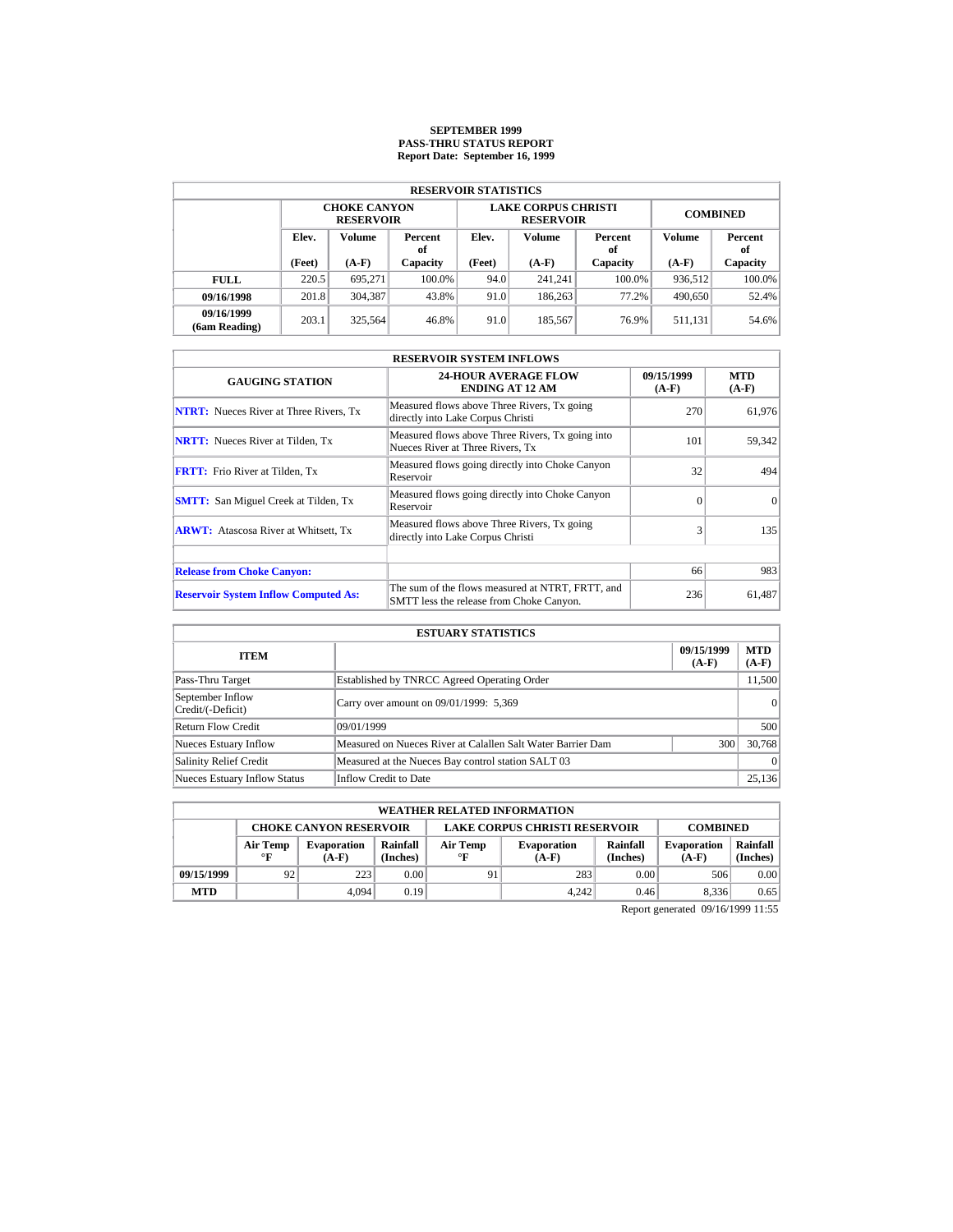# **SEPTEMBER 1999 PASS-THRU STATUS REPORT Report Date: September 16, 1999**

| <b>RESERVOIR STATISTICS</b> |                                  |                                         |          |                   |                                                |                 |               |           |  |  |  |
|-----------------------------|----------------------------------|-----------------------------------------|----------|-------------------|------------------------------------------------|-----------------|---------------|-----------|--|--|--|
|                             |                                  | <b>CHOKE CANYON</b><br><b>RESERVOIR</b> |          |                   | <b>LAKE CORPUS CHRISTI</b><br><b>RESERVOIR</b> | <b>COMBINED</b> |               |           |  |  |  |
|                             | Elev.<br>Volume<br>Percent<br>оf |                                         | Elev.    | Volume            | Percent<br>of                                  | Volume          | Percent<br>of |           |  |  |  |
|                             | (Feet)                           | $(A-F)$                                 | Capacity | (Feet)<br>$(A-F)$ |                                                | Capacity        | $(A-F)$       | Capacity  |  |  |  |
| <b>FULL</b>                 | 220.5                            | 695.271                                 | 100.0%   | 94.0              | 241.241                                        | $100.0\%$       | 936,512       | $100.0\%$ |  |  |  |
| 09/16/1998                  | 201.8                            | 304.387                                 | 43.8%    | 91.0              | 186,263                                        | 77.2%           | 490,650       | 52.4%     |  |  |  |
| 09/16/1999<br>(6am Reading) | 203.1                            | 325.564                                 | 46.8%    | 91.0              | 185,567                                        | 76.9%           | 511.131       | 54.6%     |  |  |  |

| <b>RESERVOIR SYSTEM INFLOWS</b>               |                                                                                              |                       |                       |  |  |  |  |  |
|-----------------------------------------------|----------------------------------------------------------------------------------------------|-----------------------|-----------------------|--|--|--|--|--|
| <b>GAUGING STATION</b>                        | <b>24-HOUR AVERAGE FLOW</b><br><b>ENDING AT 12 AM</b>                                        | 09/15/1999<br>$(A-F)$ | <b>MTD</b><br>$(A-F)$ |  |  |  |  |  |
| <b>NTRT:</b> Nueces River at Three Rivers, Tx | Measured flows above Three Rivers, Tx going<br>directly into Lake Corpus Christi             | 270                   | 61,976                |  |  |  |  |  |
| <b>NRTT:</b> Nueces River at Tilden, Tx       | Measured flows above Three Rivers, Tx going into<br>Nueces River at Three Rivers, Tx         | 101                   | 59,342                |  |  |  |  |  |
| <b>FRTT:</b> Frio River at Tilden, Tx         | Measured flows going directly into Choke Canyon<br>Reservoir                                 | 32                    | 494                   |  |  |  |  |  |
| <b>SMTT:</b> San Miguel Creek at Tilden, Tx   | Measured flows going directly into Choke Canyon<br>Reservoir                                 | $\Omega$              | $\Omega$              |  |  |  |  |  |
| <b>ARWT:</b> Atascosa River at Whitsett, Tx   | Measured flows above Three Rivers, Tx going<br>directly into Lake Corpus Christi             | 3                     | 135                   |  |  |  |  |  |
| <b>Release from Choke Canyon:</b>             |                                                                                              | 66                    | 983                   |  |  |  |  |  |
|                                               |                                                                                              |                       |                       |  |  |  |  |  |
| <b>Reservoir System Inflow Computed As:</b>   | The sum of the flows measured at NTRT, FRTT, and<br>SMTT less the release from Choke Canyon. | 236                   | 61,487                |  |  |  |  |  |

| <b>ESTUARY STATISTICS</b>             |                                                             |                       |                       |  |  |  |  |
|---------------------------------------|-------------------------------------------------------------|-----------------------|-----------------------|--|--|--|--|
| <b>ITEM</b>                           |                                                             | 09/15/1999<br>$(A-F)$ | <b>MTD</b><br>$(A-F)$ |  |  |  |  |
| Pass-Thru Target                      | Established by TNRCC Agreed Operating Order                 |                       | 11,500                |  |  |  |  |
| September Inflow<br>Credit/(-Deficit) | Carry over amount on 09/01/1999: 5,369                      |                       | 0                     |  |  |  |  |
| Return Flow Credit                    | 09/01/1999                                                  |                       | 500                   |  |  |  |  |
| <b>Nueces Estuary Inflow</b>          | Measured on Nueces River at Calallen Salt Water Barrier Dam | 300                   | 30.768                |  |  |  |  |
| <b>Salinity Relief Credit</b>         | Measured at the Nueces Bay control station SALT 03          |                       | $\Omega$              |  |  |  |  |
| <b>Nueces Estuary Inflow Status</b>   | Inflow Credit to Date                                       |                       | 25,136                |  |  |  |  |

|            | <b>WEATHER RELATED INFORMATION</b>                                                                                                                                  |       |      |    |       |      |                               |                      |  |  |
|------------|---------------------------------------------------------------------------------------------------------------------------------------------------------------------|-------|------|----|-------|------|-------------------------------|----------------------|--|--|
|            | <b>LAKE CORPUS CHRISTI RESERVOIR</b><br><b>CHOKE CANYON RESERVOIR</b><br><b>COMBINED</b>                                                                            |       |      |    |       |      |                               |                      |  |  |
|            | Rainfall<br>Rainfall<br>Air Temp<br>Air Temp<br><b>Evaporation</b><br><b>Evaporation</b><br>(Inches)<br>(Inches)<br>$\mathbf{F}$<br>$\circ$ F<br>$(A-F)$<br>$(A-F)$ |       |      |    |       |      | <b>Evaporation</b><br>$(A-F)$ | Rainfall<br>(Inches) |  |  |
| 09/15/1999 | 92                                                                                                                                                                  | 223   | 0.00 | 91 | 283   | 0.00 | 506                           | 0.00                 |  |  |
| <b>MTD</b> |                                                                                                                                                                     | 4.094 | 0.19 |    | 4.242 | 0.46 | 8.336                         | 0.65                 |  |  |

Report generated 09/16/1999 11:55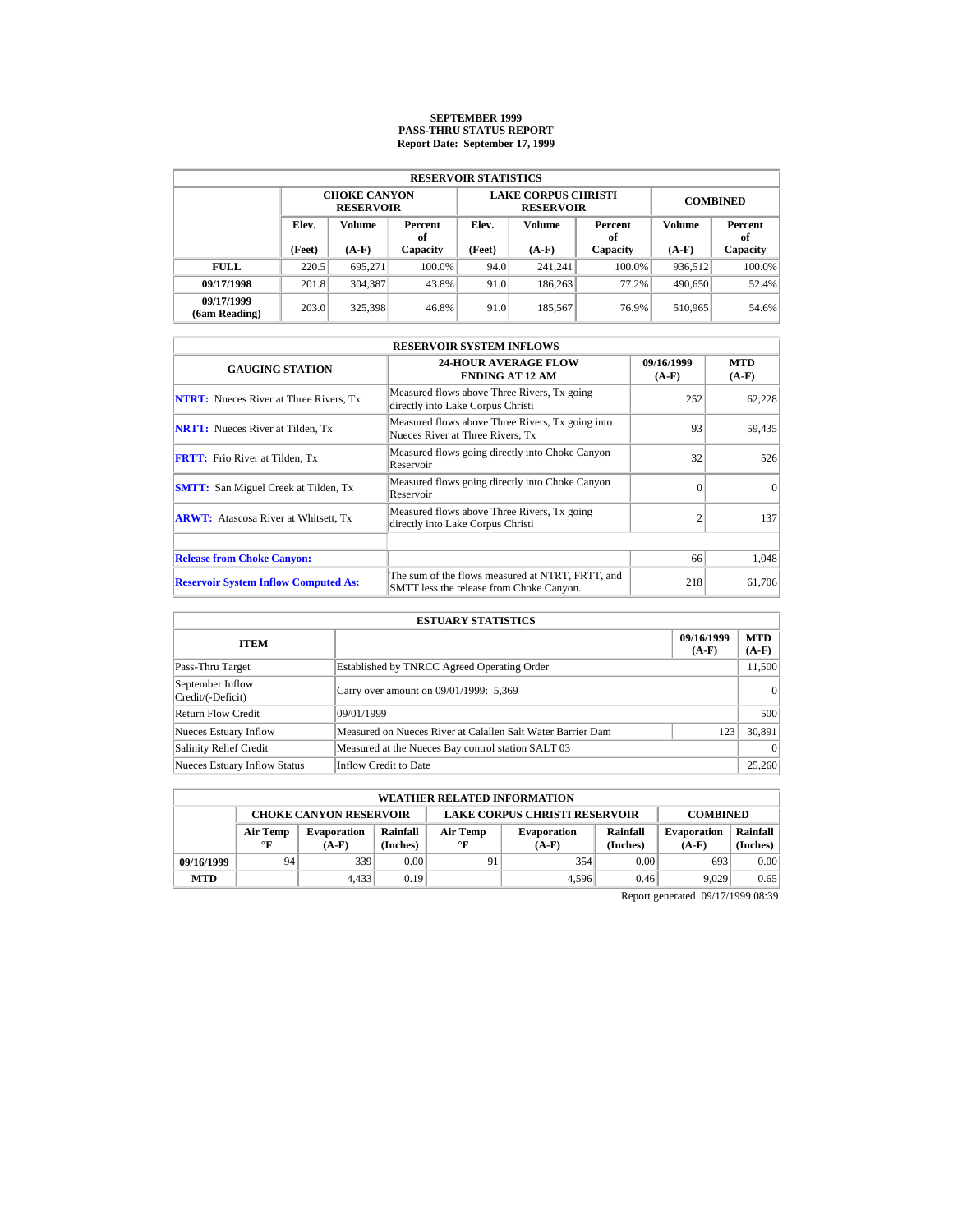### **SEPTEMBER 1999 PASS-THRU STATUS REPORT Report Date: September 17, 1999**

| <b>RESERVOIR STATISTICS</b> |        |                                         |          |        |                                                |                 |         |               |  |  |  |
|-----------------------------|--------|-----------------------------------------|----------|--------|------------------------------------------------|-----------------|---------|---------------|--|--|--|
|                             |        | <b>CHOKE CANYON</b><br><b>RESERVOIR</b> |          |        | <b>LAKE CORPUS CHRISTI</b><br><b>RESERVOIR</b> | <b>COMBINED</b> |         |               |  |  |  |
|                             | Elev.  | Volume<br>Percent<br>of                 |          | Elev.  | Volume                                         | Percent<br>of   | Volume  | Percent<br>of |  |  |  |
|                             | (Feet) | $(A-F)$                                 | Capacity | (Feet) | $(A-F)$                                        | Capacity        | $(A-F)$ | Capacity      |  |  |  |
| <b>FULL</b>                 | 220.5  | 695.271                                 | 100.0%   | 94.0   | 241.241                                        | $100.0\%$       | 936.512 | $100.0\%$     |  |  |  |
| 09/17/1998                  | 201.8  | 304.387                                 | 43.8%    | 91.0   | 186,263                                        | 77.2%           | 490.650 | 52.4%         |  |  |  |
| 09/17/1999<br>(6am Reading) | 203.0  | 325.398                                 | 46.8%    | 91.0   | 185,567                                        | 76.9%           | 510.965 | 54.6%         |  |  |  |

| <b>RESERVOIR SYSTEM INFLOWS</b>               |                                                                                              |                       |                       |  |  |  |  |  |
|-----------------------------------------------|----------------------------------------------------------------------------------------------|-----------------------|-----------------------|--|--|--|--|--|
| <b>GAUGING STATION</b>                        | <b>24-HOUR AVERAGE FLOW</b><br><b>ENDING AT 12 AM</b>                                        | 09/16/1999<br>$(A-F)$ | <b>MTD</b><br>$(A-F)$ |  |  |  |  |  |
| <b>NTRT:</b> Nueces River at Three Rivers, Tx | Measured flows above Three Rivers, Tx going<br>directly into Lake Corpus Christi             | 252                   | 62,228                |  |  |  |  |  |
| <b>NRTT:</b> Nueces River at Tilden, Tx       | Measured flows above Three Rivers, Tx going into<br>Nueces River at Three Rivers, Tx         | 93                    | 59,435                |  |  |  |  |  |
| <b>FRTT:</b> Frio River at Tilden, Tx         | Measured flows going directly into Choke Canyon<br>Reservoir                                 | 32                    | 526                   |  |  |  |  |  |
| <b>SMTT:</b> San Miguel Creek at Tilden, Tx   | Measured flows going directly into Choke Canyon<br>Reservoir                                 | $\Omega$              | $\Omega$              |  |  |  |  |  |
| <b>ARWT:</b> Atascosa River at Whitsett, Tx   | Measured flows above Three Rivers, Tx going<br>directly into Lake Corpus Christi             | $\overline{c}$        | 137                   |  |  |  |  |  |
|                                               |                                                                                              |                       |                       |  |  |  |  |  |
| <b>Release from Choke Canyon:</b>             |                                                                                              | 66                    | 1.048                 |  |  |  |  |  |
| <b>Reservoir System Inflow Computed As:</b>   | The sum of the flows measured at NTRT, FRTT, and<br>SMTT less the release from Choke Canyon. | 218                   | 61,706                |  |  |  |  |  |

| <b>ESTUARY STATISTICS</b>             |                                                             |                       |                  |  |  |  |  |
|---------------------------------------|-------------------------------------------------------------|-----------------------|------------------|--|--|--|--|
| <b>ITEM</b>                           |                                                             | 09/16/1999<br>$(A-F)$ | MTD  <br>$(A-F)$ |  |  |  |  |
| Pass-Thru Target                      | Established by TNRCC Agreed Operating Order                 |                       | 11,500           |  |  |  |  |
| September Inflow<br>Credit/(-Deficit) | Carry over amount on 09/01/1999: 5,369                      |                       | $\vert$ 0        |  |  |  |  |
| Return Flow Credit                    | 09/01/1999                                                  |                       | 500              |  |  |  |  |
| Nueces Estuary Inflow                 | Measured on Nueces River at Calallen Salt Water Barrier Dam | 123                   | 30,891           |  |  |  |  |
| <b>Salinity Relief Credit</b>         | Measured at the Nueces Bay control station SALT 03          |                       | $\vert$ 0        |  |  |  |  |
| <b>Nueces Estuary Inflow Status</b>   | Inflow Credit to Date                                       |                       | 25,260           |  |  |  |  |

|            | <b>WEATHER RELATED INFORMATION</b>                                                       |         |          |              |         |          |                    |          |  |  |  |
|------------|------------------------------------------------------------------------------------------|---------|----------|--------------|---------|----------|--------------------|----------|--|--|--|
|            | <b>CHOKE CANYON RESERVOIR</b><br><b>LAKE CORPUS CHRISTI RESERVOIR</b><br><b>COMBINED</b> |         |          |              |         |          |                    |          |  |  |  |
|            | Rainfall<br>Rainfall<br>Air Temp<br>Air Temp<br><b>Evaporation</b><br><b>Evaporation</b> |         |          |              |         |          | <b>Evaporation</b> | Rainfall |  |  |  |
|            | °F                                                                                       | $(A-F)$ | (Inches) | $\mathbf{F}$ | $(A-F)$ | (Inches) | $(A-F)$            | (Inches) |  |  |  |
| 09/16/1999 | 94                                                                                       | 339     | 0.00     | 91           | 354     | 0.00     | 693                | 0.00     |  |  |  |
| <b>MTD</b> |                                                                                          | 4.433   | 0.19     |              | 4.596   | 0.46     | 9.029              | 0.65     |  |  |  |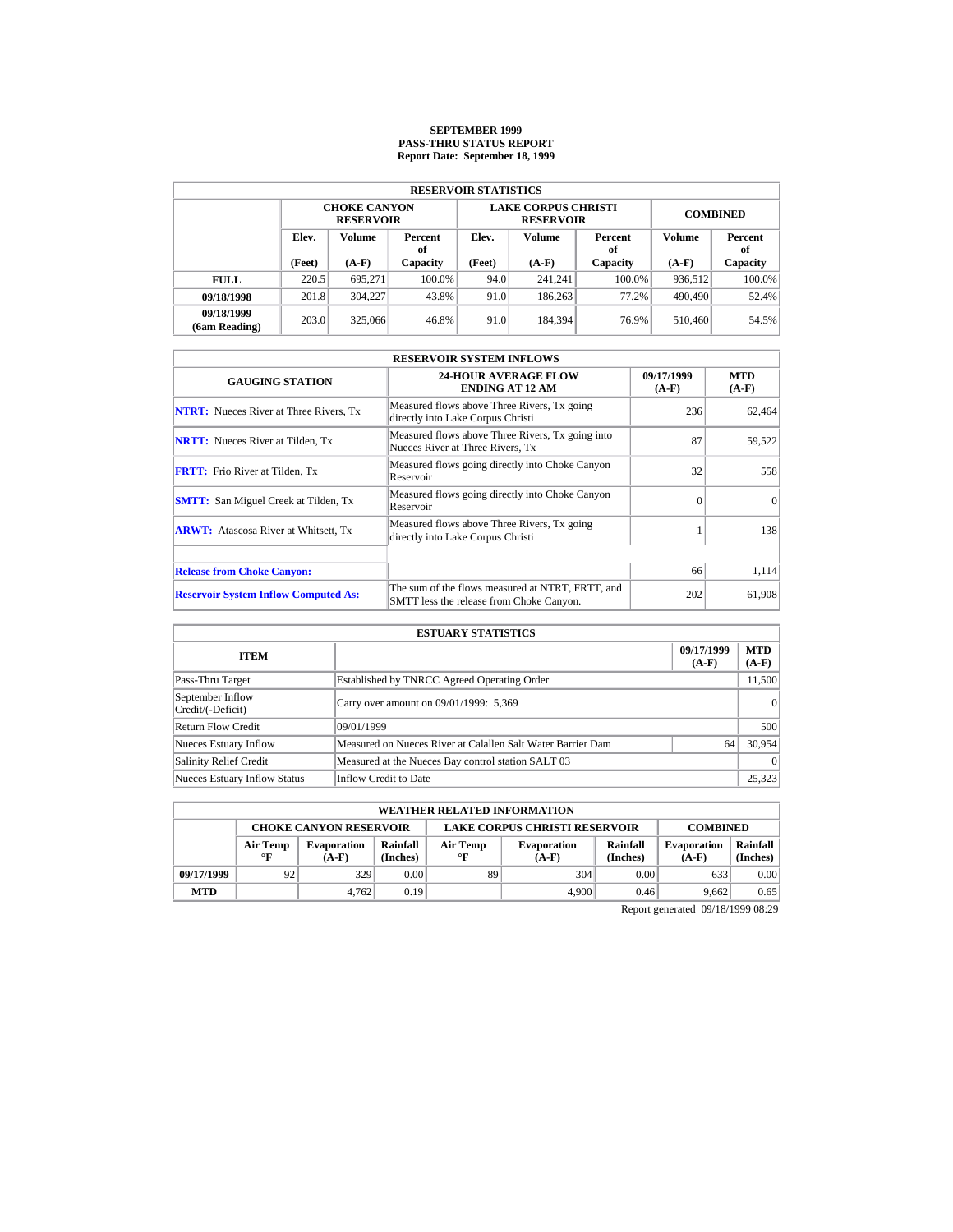# **SEPTEMBER 1999 PASS-THRU STATUS REPORT Report Date: September 18, 1999**

|                             | <b>RESERVOIR STATISTICS</b>      |                                         |          |        |                                                |                 |               |           |  |  |  |  |
|-----------------------------|----------------------------------|-----------------------------------------|----------|--------|------------------------------------------------|-----------------|---------------|-----------|--|--|--|--|
|                             |                                  | <b>CHOKE CANYON</b><br><b>RESERVOIR</b> |          |        | <b>LAKE CORPUS CHRISTI</b><br><b>RESERVOIR</b> | <b>COMBINED</b> |               |           |  |  |  |  |
|                             | Elev.<br>Volume<br>Percent<br>оf |                                         | Elev.    | Volume | Percent<br>of                                  | Volume          | Percent<br>of |           |  |  |  |  |
|                             | (Feet)                           | $(A-F)$                                 | Capacity | (Feet) | $(A-F)$                                        | Capacity        | $(A-F)$       | Capacity  |  |  |  |  |
| <b>FULL</b>                 | 220.5                            | 695.271                                 | 100.0%   | 94.0   | 241.241                                        | $100.0\%$       | 936.512       | $100.0\%$ |  |  |  |  |
| 09/18/1998                  | 201.8                            | 304,227                                 | 43.8%    | 91.0   | 186,263                                        | 77.2%           | 490,490       | 52.4%     |  |  |  |  |
| 09/18/1999<br>(6am Reading) | 203.0                            | 325,066                                 | 46.8%    | 91.0   | 184.394                                        | 76.9%           | 510.460       | 54.5%     |  |  |  |  |

| <b>RESERVOIR SYSTEM INFLOWS</b>               |                                                                                              |                       |                       |  |  |  |  |  |
|-----------------------------------------------|----------------------------------------------------------------------------------------------|-----------------------|-----------------------|--|--|--|--|--|
| <b>GAUGING STATION</b>                        | <b>24-HOUR AVERAGE FLOW</b><br><b>ENDING AT 12 AM</b>                                        | 09/17/1999<br>$(A-F)$ | <b>MTD</b><br>$(A-F)$ |  |  |  |  |  |
| <b>NTRT:</b> Nueces River at Three Rivers, Tx | Measured flows above Three Rivers, Tx going<br>directly into Lake Corpus Christi             | 236                   | 62,464                |  |  |  |  |  |
| <b>NRTT:</b> Nueces River at Tilden, Tx       | Measured flows above Three Rivers, Tx going into<br>Nueces River at Three Rivers. Tx         | 87                    | 59,522                |  |  |  |  |  |
| <b>FRTT:</b> Frio River at Tilden, Tx         | Measured flows going directly into Choke Canyon<br>Reservoir                                 | 32                    | 558                   |  |  |  |  |  |
| <b>SMTT:</b> San Miguel Creek at Tilden, Tx   | Measured flows going directly into Choke Canyon<br>Reservoir                                 | $\Omega$              | $\Omega$              |  |  |  |  |  |
| <b>ARWT:</b> Atascosa River at Whitsett, Tx   | Measured flows above Three Rivers, Tx going<br>directly into Lake Corpus Christi             |                       | 138                   |  |  |  |  |  |
| <b>Release from Choke Canyon:</b>             |                                                                                              | 66                    | 1,114                 |  |  |  |  |  |
| <b>Reservoir System Inflow Computed As:</b>   | The sum of the flows measured at NTRT, FRTT, and<br>SMTT less the release from Choke Canyon. | 202                   | 61,908                |  |  |  |  |  |

| <b>ESTUARY STATISTICS</b>             |                                                             |                       |                       |  |  |  |  |
|---------------------------------------|-------------------------------------------------------------|-----------------------|-----------------------|--|--|--|--|
| <b>ITEM</b>                           |                                                             | 09/17/1999<br>$(A-F)$ | <b>MTD</b><br>$(A-F)$ |  |  |  |  |
| Pass-Thru Target                      | Established by TNRCC Agreed Operating Order                 |                       | 11,500                |  |  |  |  |
| September Inflow<br>Credit/(-Deficit) | Carry over amount on 09/01/1999: 5,369                      |                       | 0                     |  |  |  |  |
| Return Flow Credit                    | 09/01/1999                                                  |                       | 500                   |  |  |  |  |
| <b>Nueces Estuary Inflow</b>          | Measured on Nueces River at Calallen Salt Water Barrier Dam | 64                    | 30.954                |  |  |  |  |
| <b>Salinity Relief Credit</b>         | Measured at the Nueces Bay control station SALT 03          |                       | $\Omega$              |  |  |  |  |
| <b>Nueces Estuary Inflow Status</b>   | Inflow Credit to Date                                       |                       | 25,323                |  |  |  |  |

|            | <b>WEATHER RELATED INFORMATION</b>                                                                                                                                  |       |      |    |       |      |                               |                      |  |  |
|------------|---------------------------------------------------------------------------------------------------------------------------------------------------------------------|-------|------|----|-------|------|-------------------------------|----------------------|--|--|
|            | <b>LAKE CORPUS CHRISTI RESERVOIR</b><br><b>CHOKE CANYON RESERVOIR</b><br><b>COMBINED</b>                                                                            |       |      |    |       |      |                               |                      |  |  |
|            | Rainfall<br>Rainfall<br>Air Temp<br>Air Temp<br><b>Evaporation</b><br><b>Evaporation</b><br>(Inches)<br>(Inches)<br>$\mathbf{F}$<br>$\circ$ F<br>$(A-F)$<br>$(A-F)$ |       |      |    |       |      | <b>Evaporation</b><br>$(A-F)$ | Rainfall<br>(Inches) |  |  |
| 09/17/1999 | 92                                                                                                                                                                  | 329   | 0.00 | 89 | 304   | 0.00 | 633                           | 0.00                 |  |  |
| <b>MTD</b> |                                                                                                                                                                     | 4.762 | 0.19 |    | 4.900 | 0.46 | 9.662                         | 0.65                 |  |  |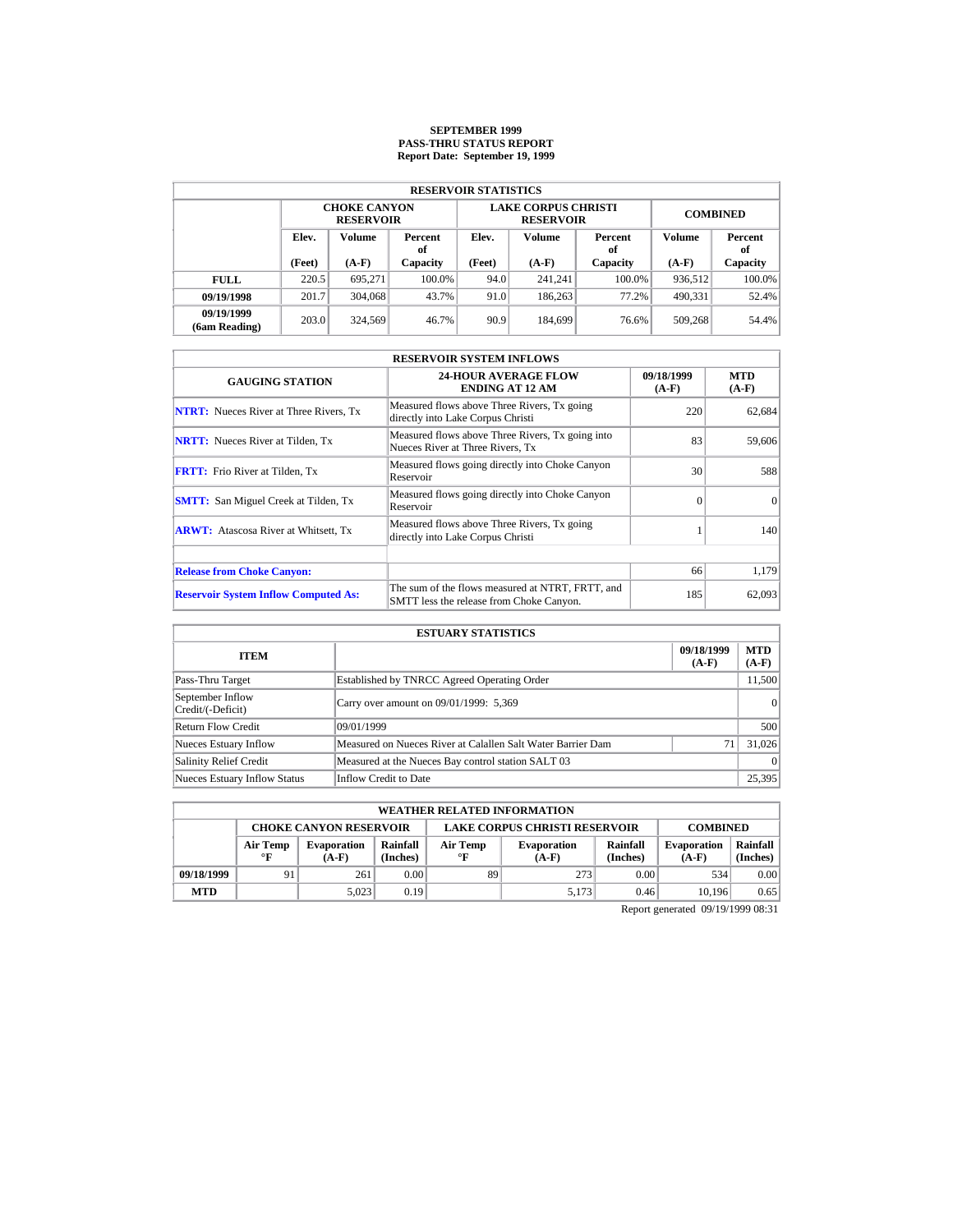# **SEPTEMBER 1999 PASS-THRU STATUS REPORT Report Date: September 19, 1999**

| <b>RESERVOIR STATISTICS</b> |        |                                         |          |                   |                                                |                 |         |               |  |  |  |
|-----------------------------|--------|-----------------------------------------|----------|-------------------|------------------------------------------------|-----------------|---------|---------------|--|--|--|
|                             |        | <b>CHOKE CANYON</b><br><b>RESERVOIR</b> |          |                   | <b>LAKE CORPUS CHRISTI</b><br><b>RESERVOIR</b> | <b>COMBINED</b> |         |               |  |  |  |
|                             | Elev.  | <b>Volume</b><br>Percent<br>оf          |          | Elev.             | Volume                                         | Percent<br>of   | Volume  | Percent<br>of |  |  |  |
|                             | (Feet) | $(A-F)$                                 | Capacity | (Feet)<br>$(A-F)$ |                                                | Capacity        | $(A-F)$ | Capacity      |  |  |  |
| <b>FULL</b>                 | 220.5  | 695.271                                 | 100.0%   | 94.0              | 241.241                                        | $100.0\%$       | 936,512 | $100.0\%$     |  |  |  |
| 09/19/1998                  | 201.7  | 304,068                                 | 43.7%    | 91.0              | 186,263                                        | 77.2%           | 490,331 | 52.4%         |  |  |  |
| 09/19/1999<br>(6am Reading) | 203.0  | 324,569                                 | 46.7%    | 90.9              | 184.699                                        | 76.6%           | 509,268 | 54.4%         |  |  |  |

| <b>RESERVOIR SYSTEM INFLOWS</b>               |                                                                                              |                       |                       |  |  |  |  |  |
|-----------------------------------------------|----------------------------------------------------------------------------------------------|-----------------------|-----------------------|--|--|--|--|--|
| <b>GAUGING STATION</b>                        | <b>24-HOUR AVERAGE FLOW</b><br><b>ENDING AT 12 AM</b>                                        | 09/18/1999<br>$(A-F)$ | <b>MTD</b><br>$(A-F)$ |  |  |  |  |  |
| <b>NTRT:</b> Nueces River at Three Rivers, Tx | Measured flows above Three Rivers, Tx going<br>directly into Lake Corpus Christi             | 220                   | 62,684                |  |  |  |  |  |
| <b>NRTT:</b> Nueces River at Tilden, Tx       | Measured flows above Three Rivers, Tx going into<br>Nueces River at Three Rivers. Tx         | 83                    | 59,606                |  |  |  |  |  |
| <b>FRTT:</b> Frio River at Tilden, Tx         | Measured flows going directly into Choke Canyon<br>Reservoir                                 | 30                    | 588                   |  |  |  |  |  |
| <b>SMTT:</b> San Miguel Creek at Tilden, Tx   | Measured flows going directly into Choke Canyon<br>Reservoir                                 | $\Omega$              | $\Omega$              |  |  |  |  |  |
| <b>ARWT:</b> Atascosa River at Whitsett, Tx   | Measured flows above Three Rivers, Tx going<br>directly into Lake Corpus Christi             |                       | 140                   |  |  |  |  |  |
| <b>Release from Choke Canyon:</b>             |                                                                                              | 66                    | 1,179                 |  |  |  |  |  |
| <b>Reservoir System Inflow Computed As:</b>   | The sum of the flows measured at NTRT, FRTT, and<br>SMTT less the release from Choke Canyon. | 185                   | 62,093                |  |  |  |  |  |

| <b>ESTUARY STATISTICS</b>             |                                                             |                       |                       |  |  |  |  |
|---------------------------------------|-------------------------------------------------------------|-----------------------|-----------------------|--|--|--|--|
| <b>ITEM</b>                           |                                                             | 09/18/1999<br>$(A-F)$ | <b>MTD</b><br>$(A-F)$ |  |  |  |  |
| Pass-Thru Target                      | Established by TNRCC Agreed Operating Order                 |                       | 11,500                |  |  |  |  |
| September Inflow<br>Credit/(-Deficit) | Carry over amount on 09/01/1999: 5,369                      |                       | 0                     |  |  |  |  |
| <b>Return Flow Credit</b>             | 09/01/1999                                                  |                       | 500                   |  |  |  |  |
| <b>Nueces Estuary Inflow</b>          | Measured on Nueces River at Calallen Salt Water Barrier Dam | 71                    | 31,026                |  |  |  |  |
| <b>Salinity Relief Credit</b>         | Measured at the Nueces Bay control station SALT 03          |                       | $\Omega$              |  |  |  |  |
| <b>Nueces Estuary Inflow Status</b>   | Inflow Credit to Date                                       |                       | 25,395                |  |  |  |  |

|                                                                                          | <b>WEATHER RELATED INFORMATION</b> |                               |                      |                       |                               |                               |                      |      |  |  |  |
|------------------------------------------------------------------------------------------|------------------------------------|-------------------------------|----------------------|-----------------------|-------------------------------|-------------------------------|----------------------|------|--|--|--|
| <b>LAKE CORPUS CHRISTI RESERVOIR</b><br><b>CHOKE CANYON RESERVOIR</b><br><b>COMBINED</b> |                                    |                               |                      |                       |                               |                               |                      |      |  |  |  |
|                                                                                          | Air Temp<br>$\mathbf{F}$           | <b>Evaporation</b><br>$(A-F)$ | Rainfall<br>(Inches) | Air Temp<br>$\circ$ F | <b>Evaporation</b><br>$(A-F)$ | <b>Evaporation</b><br>$(A-F)$ | Rainfall<br>(Inches) |      |  |  |  |
| 09/18/1999                                                                               | 91                                 | 261                           | 0.00                 | 89                    | 273                           | 0.00                          | 534                  | 0.00 |  |  |  |
| <b>MTD</b>                                                                               |                                    | 5.023                         | 0.19                 |                       | 5.173                         | 0.46                          | 10.196               | 0.65 |  |  |  |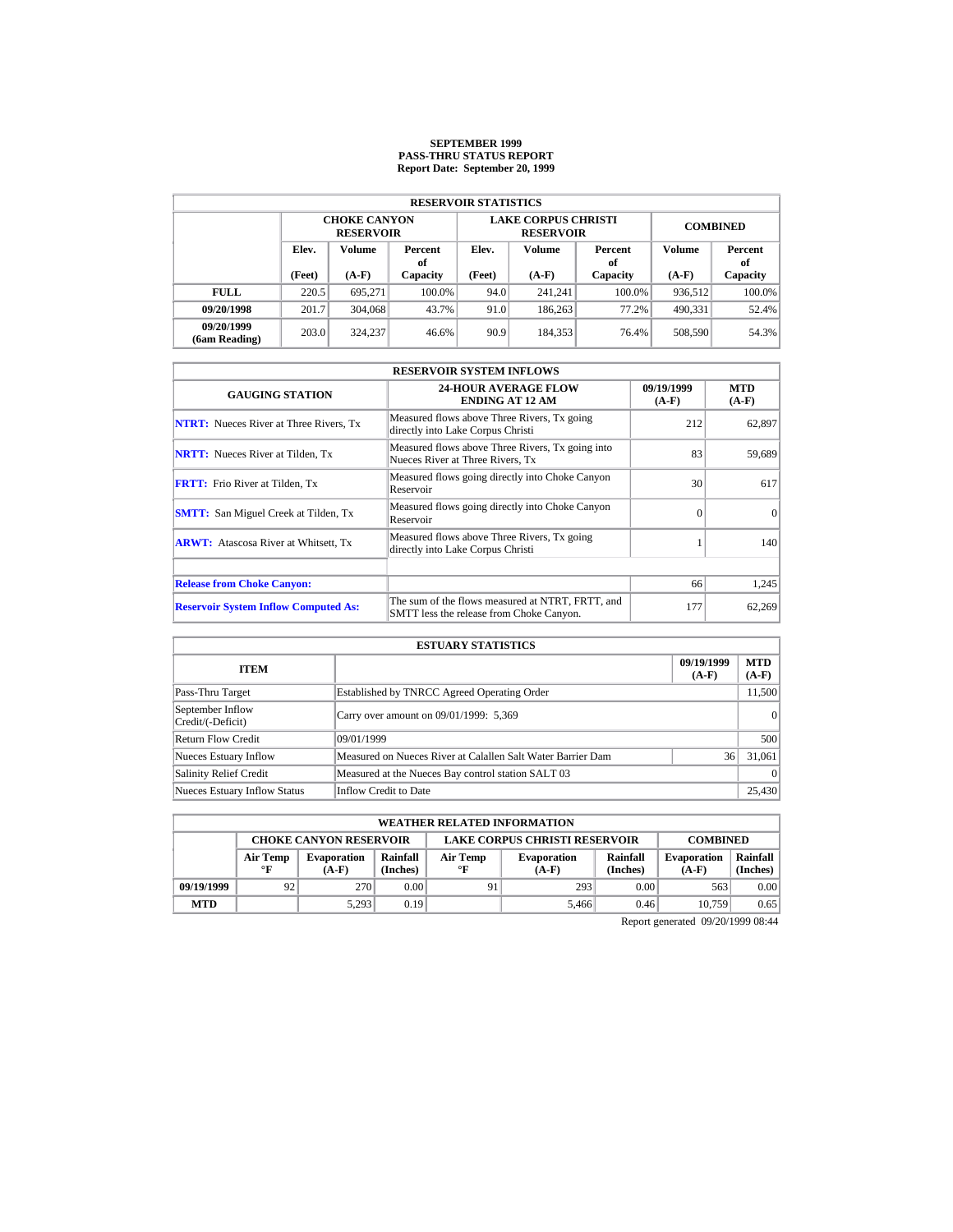### **SEPTEMBER 1999 PASS-THRU STATUS REPORT Report Date: September 20, 1999**

| <b>RESERVOIR STATISTICS</b> |                                         |                                         |        |                         |                                                |                 |               |           |  |  |  |
|-----------------------------|-----------------------------------------|-----------------------------------------|--------|-------------------------|------------------------------------------------|-----------------|---------------|-----------|--|--|--|
|                             |                                         | <b>CHOKE CANYON</b><br><b>RESERVOIR</b> |        |                         | <b>LAKE CORPUS CHRISTI</b><br><b>RESERVOIR</b> | <b>COMBINED</b> |               |           |  |  |  |
|                             | <b>Volume</b><br>Elev.<br>Percent<br>оf |                                         | Elev.  | Volume<br>Percent<br>of |                                                | Volume          | Percent<br>of |           |  |  |  |
|                             | (Feet)                                  | $(A-F)$<br>Capacity                     |        | (Feet)                  | $(A-F)$                                        | Capacity        | $(A-F)$       | Capacity  |  |  |  |
| <b>FULL</b>                 | 220.5                                   | 695.271                                 | 100.0% | 94.0                    | 241.241                                        | $100.0\%$       | 936.512       | $100.0\%$ |  |  |  |
| 09/20/1998                  | 201.7                                   | 304,068                                 | 43.7%  | 91.0                    | 186,263                                        | 77.2%           | 490.331       | 52.4%     |  |  |  |
| 09/20/1999<br>(6am Reading) | 203.0                                   | 324,237                                 | 46.6%  | 90.9                    | 184.353                                        | 76.4%           | 508,590       | 54.3%     |  |  |  |

|                                               | <b>RESERVOIR SYSTEM INFLOWS</b>                                                              |                       |                       |  |  |  |  |  |  |
|-----------------------------------------------|----------------------------------------------------------------------------------------------|-----------------------|-----------------------|--|--|--|--|--|--|
| <b>GAUGING STATION</b>                        | <b>24-HOUR AVERAGE FLOW</b><br><b>ENDING AT 12 AM</b>                                        | 09/19/1999<br>$(A-F)$ | <b>MTD</b><br>$(A-F)$ |  |  |  |  |  |  |
| <b>NTRT:</b> Nueces River at Three Rivers, Tx | Measured flows above Three Rivers, Tx going<br>directly into Lake Corpus Christi             | 212                   | 62,897                |  |  |  |  |  |  |
| <b>NRTT:</b> Nueces River at Tilden, Tx       | Measured flows above Three Rivers, Tx going into<br>Nueces River at Three Rivers, Tx         | 83                    | 59,689                |  |  |  |  |  |  |
| <b>FRTT:</b> Frio River at Tilden, Tx         | Measured flows going directly into Choke Canyon<br>Reservoir                                 | 30                    | 617                   |  |  |  |  |  |  |
| <b>SMTT:</b> San Miguel Creek at Tilden, Tx   | Measured flows going directly into Choke Canyon<br>Reservoir                                 | $\Omega$              | $\Omega$              |  |  |  |  |  |  |
| <b>ARWT:</b> Atascosa River at Whitsett, Tx   | Measured flows above Three Rivers, Tx going<br>directly into Lake Corpus Christi             |                       | 140                   |  |  |  |  |  |  |
| <b>Release from Choke Canyon:</b>             |                                                                                              | 66                    | 1,245                 |  |  |  |  |  |  |
| <b>Reservoir System Inflow Computed As:</b>   | The sum of the flows measured at NTRT, FRTT, and<br>SMTT less the release from Choke Canyon. | 177                   | 62,269                |  |  |  |  |  |  |

| <b>ESTUARY STATISTICS</b>             |                                                             |                       |                       |  |  |  |  |  |
|---------------------------------------|-------------------------------------------------------------|-----------------------|-----------------------|--|--|--|--|--|
| <b>ITEM</b>                           |                                                             | 09/19/1999<br>$(A-F)$ | <b>MTD</b><br>$(A-F)$ |  |  |  |  |  |
| Pass-Thru Target                      | Established by TNRCC Agreed Operating Order                 |                       | 11,500                |  |  |  |  |  |
| September Inflow<br>Credit/(-Deficit) | Carry over amount on 09/01/1999: 5,369                      |                       | 0                     |  |  |  |  |  |
| <b>Return Flow Credit</b>             | 09/01/1999                                                  |                       | 500                   |  |  |  |  |  |
| Nueces Estuary Inflow                 | Measured on Nueces River at Calallen Salt Water Barrier Dam | 36                    | 31,061                |  |  |  |  |  |
| <b>Salinity Relief Credit</b>         | Measured at the Nueces Bay control station SALT 03          |                       | $\Omega$              |  |  |  |  |  |
| <b>Nueces Estuary Inflow Status</b>   | Inflow Credit to Date                                       |                       | 25,430                |  |  |  |  |  |

| <b>WEATHER RELATED INFORMATION</b> |                                                                                          |                               |                      |                |                               |                      |                               |                      |  |  |
|------------------------------------|------------------------------------------------------------------------------------------|-------------------------------|----------------------|----------------|-------------------------------|----------------------|-------------------------------|----------------------|--|--|
|                                    | <b>LAKE CORPUS CHRISTI RESERVOIR</b><br><b>CHOKE CANYON RESERVOIR</b><br><b>COMBINED</b> |                               |                      |                |                               |                      |                               |                      |  |  |
|                                    | Air Temp<br>°F                                                                           | <b>Evaporation</b><br>$(A-F)$ | Rainfall<br>(Inches) | Air Temp<br>°F | <b>Evaporation</b><br>$(A-F)$ | Rainfall<br>(Inches) | <b>Evaporation</b><br>$(A-F)$ | Rainfall<br>(Inches) |  |  |
| 09/19/1999                         | 92                                                                                       | 270                           | 0.00                 | 91             | 293                           | 0.00                 | 563                           | 0.00                 |  |  |
| <b>MTD</b>                         |                                                                                          | 5,293                         | 0.19                 |                | 5.466                         | 0.46                 | 10.759                        | 0.65                 |  |  |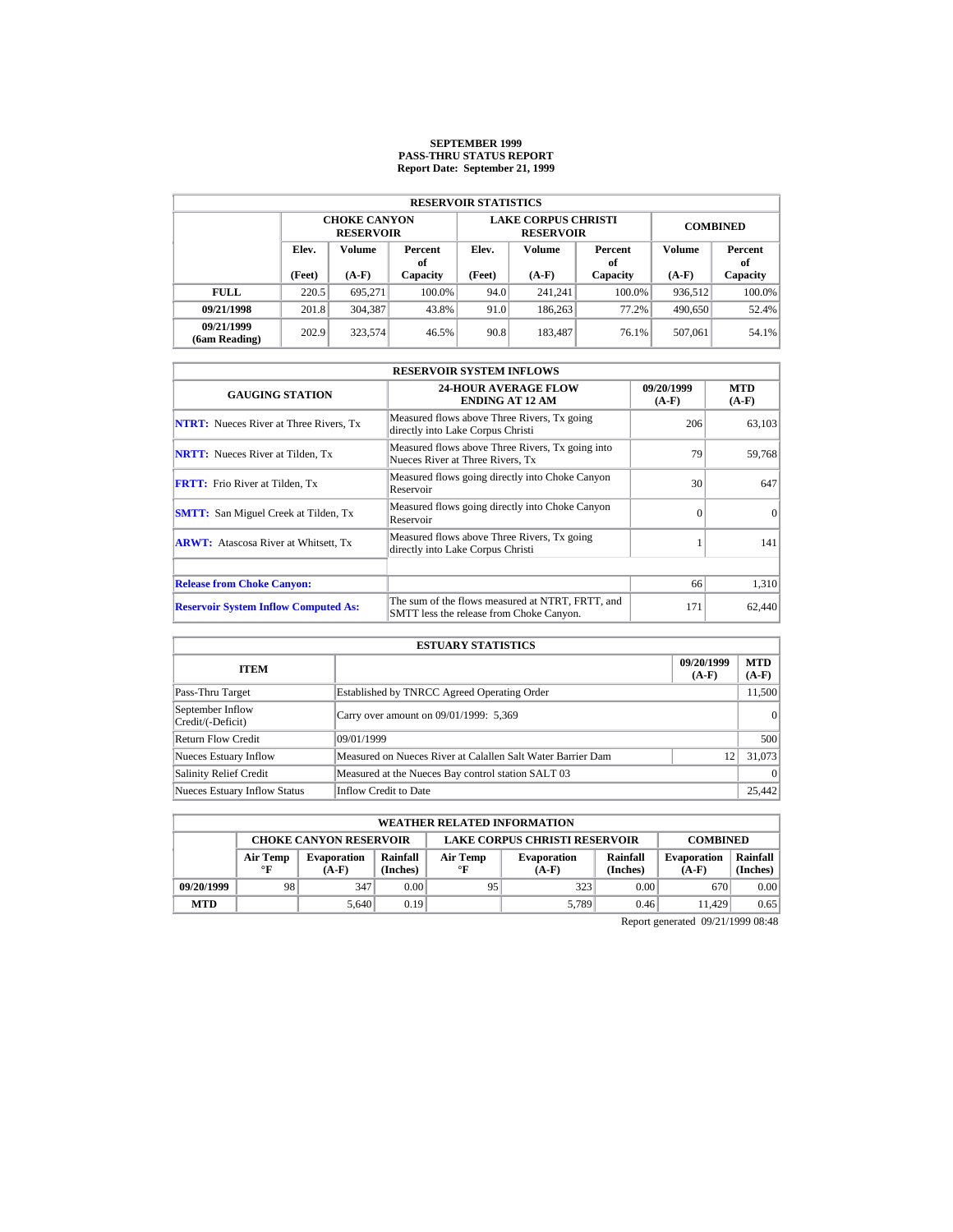### **SEPTEMBER 1999 PASS-THRU STATUS REPORT Report Date: September 21, 1999**

| <b>RESERVOIR STATISTICS</b> |                                         |                                         |        |                         |                                                |                 |               |           |  |  |  |
|-----------------------------|-----------------------------------------|-----------------------------------------|--------|-------------------------|------------------------------------------------|-----------------|---------------|-----------|--|--|--|
|                             |                                         | <b>CHOKE CANYON</b><br><b>RESERVOIR</b> |        |                         | <b>LAKE CORPUS CHRISTI</b><br><b>RESERVOIR</b> | <b>COMBINED</b> |               |           |  |  |  |
|                             | <b>Volume</b><br>Elev.<br>Percent<br>оf |                                         | Elev.  | Volume<br>Percent<br>of |                                                | Volume          | Percent<br>of |           |  |  |  |
|                             | (Feet)                                  | $(A-F)$<br>Capacity                     |        | (Feet)                  | $(A-F)$                                        | Capacity        | $(A-F)$       | Capacity  |  |  |  |
| <b>FULL</b>                 | 220.5                                   | 695.271                                 | 100.0% | 94.0                    | 241.241                                        | $100.0\%$       | 936.512       | $100.0\%$ |  |  |  |
| 09/21/1998                  | 201.8                                   | 304,387                                 | 43.8%  | 91.0                    | 186,263                                        | 77.2%           | 490.650       | 52.4%     |  |  |  |
| 09/21/1999<br>(6am Reading) | 202.9                                   | 323,574                                 | 46.5%  | 90.8                    | 183.487                                        | 76.1%           | 507.061       | 54.1%     |  |  |  |

|                                               | <b>RESERVOIR SYSTEM INFLOWS</b>                                                              |                       |                       |  |  |  |  |  |  |
|-----------------------------------------------|----------------------------------------------------------------------------------------------|-----------------------|-----------------------|--|--|--|--|--|--|
| <b>GAUGING STATION</b>                        | <b>24-HOUR AVERAGE FLOW</b><br><b>ENDING AT 12 AM</b>                                        | 09/20/1999<br>$(A-F)$ | <b>MTD</b><br>$(A-F)$ |  |  |  |  |  |  |
| <b>NTRT:</b> Nueces River at Three Rivers, Tx | Measured flows above Three Rivers, Tx going<br>directly into Lake Corpus Christi             | 206                   | 63,103                |  |  |  |  |  |  |
| <b>NRTT:</b> Nueces River at Tilden, Tx       | Measured flows above Three Rivers, Tx going into<br>Nueces River at Three Rivers, Tx         | 79                    | 59,768                |  |  |  |  |  |  |
| <b>FRTT:</b> Frio River at Tilden, Tx         | Measured flows going directly into Choke Canyon<br>Reservoir                                 | 30                    | 647                   |  |  |  |  |  |  |
| <b>SMTT:</b> San Miguel Creek at Tilden, Tx   | Measured flows going directly into Choke Canyon<br>Reservoir                                 | $\Omega$              | $\Omega$              |  |  |  |  |  |  |
| <b>ARWT:</b> Atascosa River at Whitsett, Tx   | Measured flows above Three Rivers, Tx going<br>directly into Lake Corpus Christi             |                       | 141                   |  |  |  |  |  |  |
|                                               |                                                                                              | 66                    |                       |  |  |  |  |  |  |
| <b>Release from Choke Canyon:</b>             |                                                                                              |                       | 1,310                 |  |  |  |  |  |  |
| <b>Reservoir System Inflow Computed As:</b>   | The sum of the flows measured at NTRT, FRTT, and<br>SMTT less the release from Choke Canyon. | 171                   | 62,440                |  |  |  |  |  |  |

| <b>ESTUARY STATISTICS</b>             |                                                             |                       |                       |  |  |  |  |
|---------------------------------------|-------------------------------------------------------------|-----------------------|-----------------------|--|--|--|--|
| <b>ITEM</b>                           |                                                             | 09/20/1999<br>$(A-F)$ | <b>MTD</b><br>$(A-F)$ |  |  |  |  |
| Pass-Thru Target                      | Established by TNRCC Agreed Operating Order                 |                       | 11,500                |  |  |  |  |
| September Inflow<br>Credit/(-Deficit) | Carry over amount on 09/01/1999: 5,369                      |                       | $\Omega$              |  |  |  |  |
| Return Flow Credit                    | 09/01/1999                                                  |                       | 500                   |  |  |  |  |
| Nueces Estuary Inflow                 | Measured on Nueces River at Calallen Salt Water Barrier Dam | 12                    | 31,073                |  |  |  |  |
| <b>Salinity Relief Credit</b>         | Measured at the Nueces Bay control station SALT 03          |                       | $\Omega$              |  |  |  |  |
| <b>Nueces Estuary Inflow Status</b>   | Inflow Credit to Date                                       |                       | 25,442                |  |  |  |  |

|            | <b>WEATHER RELATED INFORMATION</b> |                               |                                                                                                 |                                      |                 |      |                               |                      |  |  |  |
|------------|------------------------------------|-------------------------------|-------------------------------------------------------------------------------------------------|--------------------------------------|-----------------|------|-------------------------------|----------------------|--|--|--|
|            |                                    | <b>CHOKE CANYON RESERVOIR</b> |                                                                                                 | <b>LAKE CORPUS CHRISTI RESERVOIR</b> | <b>COMBINED</b> |      |                               |                      |  |  |  |
|            | Air Temp<br>$\circ$ F              | <b>Evaporation</b><br>$(A-F)$ | Rainfall<br>Rainfall<br>Air Temp<br><b>Evaporation</b><br>(Inches)<br>(Inches)<br>°F<br>$(A-F)$ |                                      |                 |      | <b>Evaporation</b><br>$(A-F)$ | Rainfall<br>(Inches) |  |  |  |
| 09/20/1999 | 98                                 | 347                           | 0.00                                                                                            | 95                                   | 323             | 0.00 | 670                           | 0.00                 |  |  |  |
| <b>MTD</b> |                                    | 5.640                         | 0.19                                                                                            |                                      | 5.789           | 0.46 | 11.429                        | 0.65                 |  |  |  |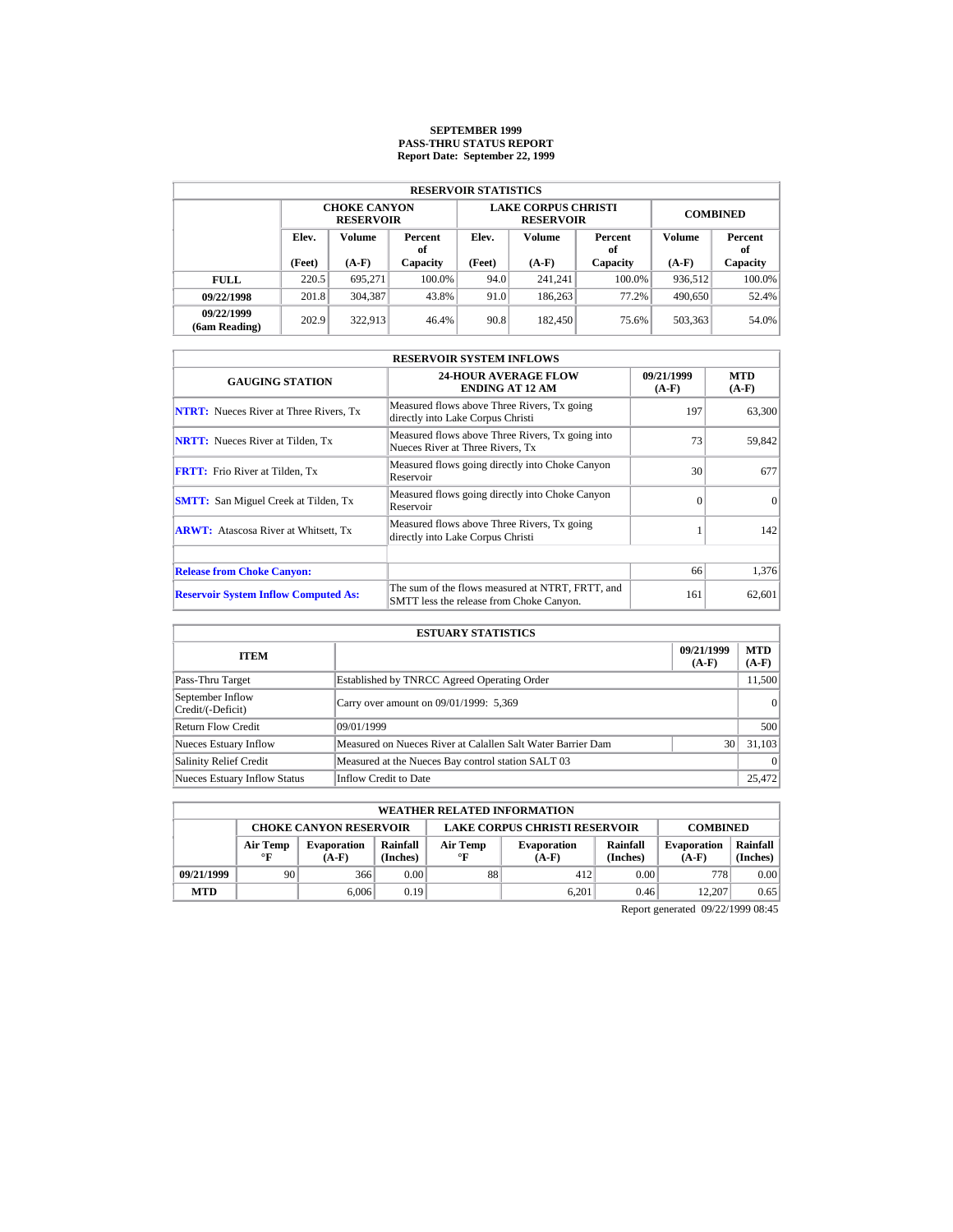# **SEPTEMBER 1999 PASS-THRU STATUS REPORT Report Date: September 22, 1999**

| <b>RESERVOIR STATISTICS</b> |                                         |         |          |        |                                                |                 |         |               |  |  |  |
|-----------------------------|-----------------------------------------|---------|----------|--------|------------------------------------------------|-----------------|---------|---------------|--|--|--|
|                             | <b>CHOKE CANYON</b><br><b>RESERVOIR</b> |         |          |        | <b>LAKE CORPUS CHRISTI</b><br><b>RESERVOIR</b> | <b>COMBINED</b> |         |               |  |  |  |
|                             | Elev.<br>Volume<br>Percent<br>оf        |         |          | Elev.  | Volume                                         | Percent<br>of   | Volume  | Percent<br>of |  |  |  |
|                             | (Feet)                                  | $(A-F)$ | Capacity | (Feet) | $(A-F)$                                        | Capacity        | $(A-F)$ | Capacity      |  |  |  |
| <b>FULL</b>                 | 220.5                                   | 695.271 | 100.0%   | 94.0   | 241.241                                        | $100.0\%$       | 936,512 | $100.0\%$     |  |  |  |
| 09/22/1998                  | 201.8                                   | 304.387 | 43.8%    | 91.0   | 186,263                                        | 77.2%           | 490,650 | 52.4%         |  |  |  |
| 09/22/1999<br>(6am Reading) | 202.9                                   | 322.913 | 46.4%    | 90.8   | 182.450                                        | 75.6%           | 503,363 | 54.0%         |  |  |  |

| <b>RESERVOIR SYSTEM INFLOWS</b>               |                                                                                              |                       |                       |  |  |  |  |  |
|-----------------------------------------------|----------------------------------------------------------------------------------------------|-----------------------|-----------------------|--|--|--|--|--|
| <b>GAUGING STATION</b>                        | <b>24-HOUR AVERAGE FLOW</b><br><b>ENDING AT 12 AM</b>                                        | 09/21/1999<br>$(A-F)$ | <b>MTD</b><br>$(A-F)$ |  |  |  |  |  |
| <b>NTRT:</b> Nueces River at Three Rivers, Tx | Measured flows above Three Rivers, Tx going<br>directly into Lake Corpus Christi             | 197                   | 63,300                |  |  |  |  |  |
| <b>NRTT:</b> Nueces River at Tilden, Tx       | Measured flows above Three Rivers, Tx going into<br>Nueces River at Three Rivers. Tx         | 73                    | 59,842                |  |  |  |  |  |
| <b>FRTT:</b> Frio River at Tilden, Tx         | Measured flows going directly into Choke Canyon<br>Reservoir                                 | 30                    | 677                   |  |  |  |  |  |
| <b>SMTT:</b> San Miguel Creek at Tilden, Tx   | Measured flows going directly into Choke Canyon<br>Reservoir                                 | $\Omega$              | $\Omega$              |  |  |  |  |  |
| <b>ARWT:</b> Atascosa River at Whitsett, Tx   | Measured flows above Three Rivers, Tx going<br>directly into Lake Corpus Christi             |                       | 142                   |  |  |  |  |  |
| <b>Release from Choke Canyon:</b>             |                                                                                              | 66                    | 1,376                 |  |  |  |  |  |
|                                               |                                                                                              |                       |                       |  |  |  |  |  |
| <b>Reservoir System Inflow Computed As:</b>   | The sum of the flows measured at NTRT, FRTT, and<br>SMTT less the release from Choke Canyon. | 161                   | 62,601                |  |  |  |  |  |

|                                       | <b>ESTUARY STATISTICS</b>                                   |                       |                       |
|---------------------------------------|-------------------------------------------------------------|-----------------------|-----------------------|
| <b>ITEM</b>                           |                                                             | 09/21/1999<br>$(A-F)$ | <b>MTD</b><br>$(A-F)$ |
| Pass-Thru Target                      | Established by TNRCC Agreed Operating Order                 |                       | 11,500                |
| September Inflow<br>Credit/(-Deficit) | Carry over amount on 09/01/1999: 5,369                      |                       | 0                     |
| <b>Return Flow Credit</b>             | 09/01/1999                                                  |                       | 500                   |
| <b>Nueces Estuary Inflow</b>          | Measured on Nueces River at Calallen Salt Water Barrier Dam | 30                    | 31.103                |
| <b>Salinity Relief Credit</b>         | Measured at the Nueces Bay control station SALT 03          |                       | $\Omega$              |
| <b>Nueces Estuary Inflow Status</b>   | Inflow Credit to Date                                       |                       | 25,472                |

|            | <b>WEATHER RELATED INFORMATION</b>                                                                                                                                  |       |      |    |       |                               |                      |      |  |  |
|------------|---------------------------------------------------------------------------------------------------------------------------------------------------------------------|-------|------|----|-------|-------------------------------|----------------------|------|--|--|
|            | <b>LAKE CORPUS CHRISTI RESERVOIR</b><br><b>CHOKE CANYON RESERVOIR</b><br><b>COMBINED</b>                                                                            |       |      |    |       |                               |                      |      |  |  |
|            | Rainfall<br>Rainfall<br>Air Temp<br>Air Temp<br><b>Evaporation</b><br><b>Evaporation</b><br>(Inches)<br>(Inches)<br>$\circ$ F<br>$\mathbf{F}$<br>$(A-F)$<br>$(A-F)$ |       |      |    |       | <b>Evaporation</b><br>$(A-F)$ | Rainfall<br>(Inches) |      |  |  |
| 09/21/1999 | 90                                                                                                                                                                  | 366   | 0.00 | 88 | 412   | 0.00                          | 778                  | 0.00 |  |  |
| <b>MTD</b> |                                                                                                                                                                     | 6,006 | 0.19 |    | 6.201 | 0.46                          | 12.207               | 0.65 |  |  |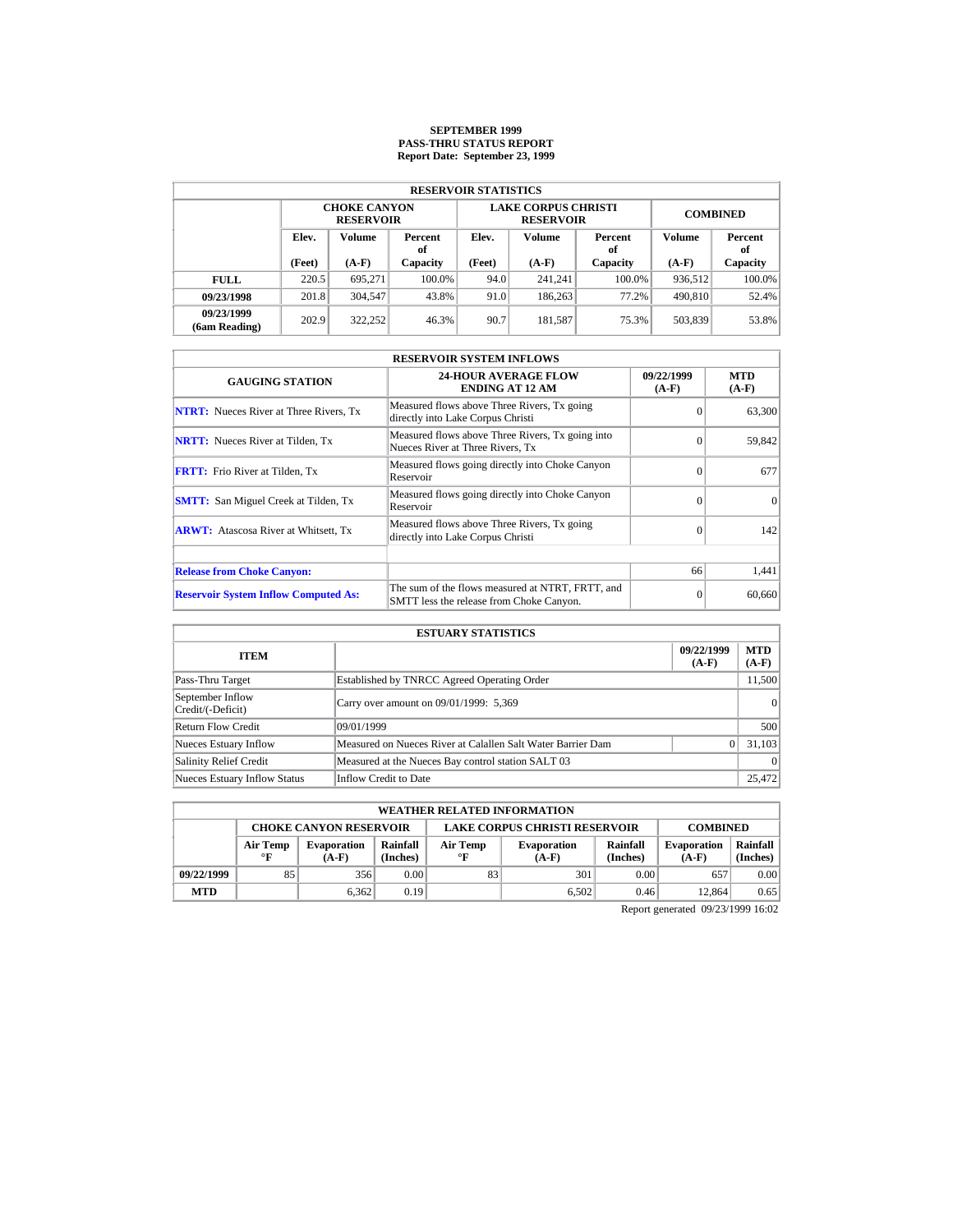# **SEPTEMBER 1999 PASS-THRU STATUS REPORT Report Date: September 23, 1999**

| <b>RESERVOIR STATISTICS</b> |                                         |         |          |        |                                                |                 |         |               |  |  |  |
|-----------------------------|-----------------------------------------|---------|----------|--------|------------------------------------------------|-----------------|---------|---------------|--|--|--|
|                             | <b>CHOKE CANYON</b><br><b>RESERVOIR</b> |         |          |        | <b>LAKE CORPUS CHRISTI</b><br><b>RESERVOIR</b> | <b>COMBINED</b> |         |               |  |  |  |
|                             | Elev.<br>Volume<br>Percent<br>оf        |         |          | Elev.  | Volume                                         | Percent<br>of   | Volume  | Percent<br>of |  |  |  |
|                             | (Feet)                                  | $(A-F)$ | Capacity | (Feet) | $(A-F)$                                        | Capacity        | $(A-F)$ | Capacity      |  |  |  |
| <b>FULL</b>                 | 220.5                                   | 695.271 | 100.0%   | 94.0   | 241.241                                        | $100.0\%$       | 936,512 | $100.0\%$     |  |  |  |
| 09/23/1998                  | 201.8                                   | 304,547 | 43.8%    | 91.0   | 186,263                                        | 77.2%           | 490,810 | 52.4%         |  |  |  |
| 09/23/1999<br>(6am Reading) | 202.9                                   | 322.252 | 46.3%    | 90.7   | 181.587                                        | 75.3%           | 503,839 | 53.8%         |  |  |  |

| <b>RESERVOIR SYSTEM INFLOWS</b>               |                                                                                              |                       |                       |  |  |  |  |  |
|-----------------------------------------------|----------------------------------------------------------------------------------------------|-----------------------|-----------------------|--|--|--|--|--|
| <b>GAUGING STATION</b>                        | <b>24-HOUR AVERAGE FLOW</b><br><b>ENDING AT 12 AM</b>                                        | 09/22/1999<br>$(A-F)$ | <b>MTD</b><br>$(A-F)$ |  |  |  |  |  |
| <b>NTRT:</b> Nueces River at Three Rivers, Tx | Measured flows above Three Rivers, Tx going<br>directly into Lake Corpus Christi             | $\Omega$              | 63,300                |  |  |  |  |  |
| <b>NRTT:</b> Nueces River at Tilden, Tx       | Measured flows above Three Rivers, Tx going into<br>Nueces River at Three Rivers. Tx         | $\Omega$              | 59,842                |  |  |  |  |  |
| <b>FRTT:</b> Frio River at Tilden, Tx         | Measured flows going directly into Choke Canyon<br>Reservoir                                 | $\Omega$              | 677                   |  |  |  |  |  |
| <b>SMTT:</b> San Miguel Creek at Tilden, Tx   | Measured flows going directly into Choke Canyon<br>Reservoir                                 | $\Omega$              | $\Omega$              |  |  |  |  |  |
| <b>ARWT:</b> Atascosa River at Whitsett, Tx   | Measured flows above Three Rivers, Tx going<br>directly into Lake Corpus Christi             | $\Omega$              | 142                   |  |  |  |  |  |
| <b>Release from Choke Canyon:</b>             |                                                                                              | 66                    | 1,441                 |  |  |  |  |  |
| <b>Reservoir System Inflow Computed As:</b>   | The sum of the flows measured at NTRT, FRTT, and<br>SMTT less the release from Choke Canyon. | $\Omega$              | 60,660                |  |  |  |  |  |

|                                       | <b>ESTUARY STATISTICS</b>                                   |                       |                       |
|---------------------------------------|-------------------------------------------------------------|-----------------------|-----------------------|
| <b>ITEM</b>                           |                                                             | 09/22/1999<br>$(A-F)$ | <b>MTD</b><br>$(A-F)$ |
| Pass-Thru Target                      | Established by TNRCC Agreed Operating Order                 |                       | 11,500                |
| September Inflow<br>Credit/(-Deficit) | Carry over amount on 09/01/1999: 5,369                      |                       | 0                     |
| Return Flow Credit                    | 09/01/1999                                                  |                       | 500                   |
| <b>Nueces Estuary Inflow</b>          | Measured on Nueces River at Calallen Salt Water Barrier Dam |                       | 31.103                |
| <b>Salinity Relief Credit</b>         | Measured at the Nueces Bay control station SALT 03          |                       | $\Omega$              |
| <b>Nueces Estuary Inflow Status</b>   | Inflow Credit to Date                                       |                       | 25,472                |

|            | <b>WEATHER RELATED INFORMATION</b>                                                       |                               |                                                                                                        |    |       |      |                               |                      |  |  |  |
|------------|------------------------------------------------------------------------------------------|-------------------------------|--------------------------------------------------------------------------------------------------------|----|-------|------|-------------------------------|----------------------|--|--|--|
|            | <b>LAKE CORPUS CHRISTI RESERVOIR</b><br><b>CHOKE CANYON RESERVOIR</b><br><b>COMBINED</b> |                               |                                                                                                        |    |       |      |                               |                      |  |  |  |
|            | Air Temp<br>$^{\circ}$ F                                                                 | <b>Evaporation</b><br>$(A-F)$ | Rainfall<br>Rainfall<br>Air Temp<br><b>Evaporation</b><br>(Inches)<br>(Inches)<br>$\circ$ F<br>$(A-F)$ |    |       |      | <b>Evaporation</b><br>$(A-F)$ | Rainfall<br>(Inches) |  |  |  |
| 09/22/1999 | 85                                                                                       | 356                           | 0.00                                                                                                   | 83 | 301   | 0.00 | 657                           | 0.00                 |  |  |  |
| <b>MTD</b> |                                                                                          | 6.362                         | 0.19                                                                                                   |    | 6.502 | 0.46 | 12.864                        | 0.65                 |  |  |  |

Report generated 09/23/1999 16:02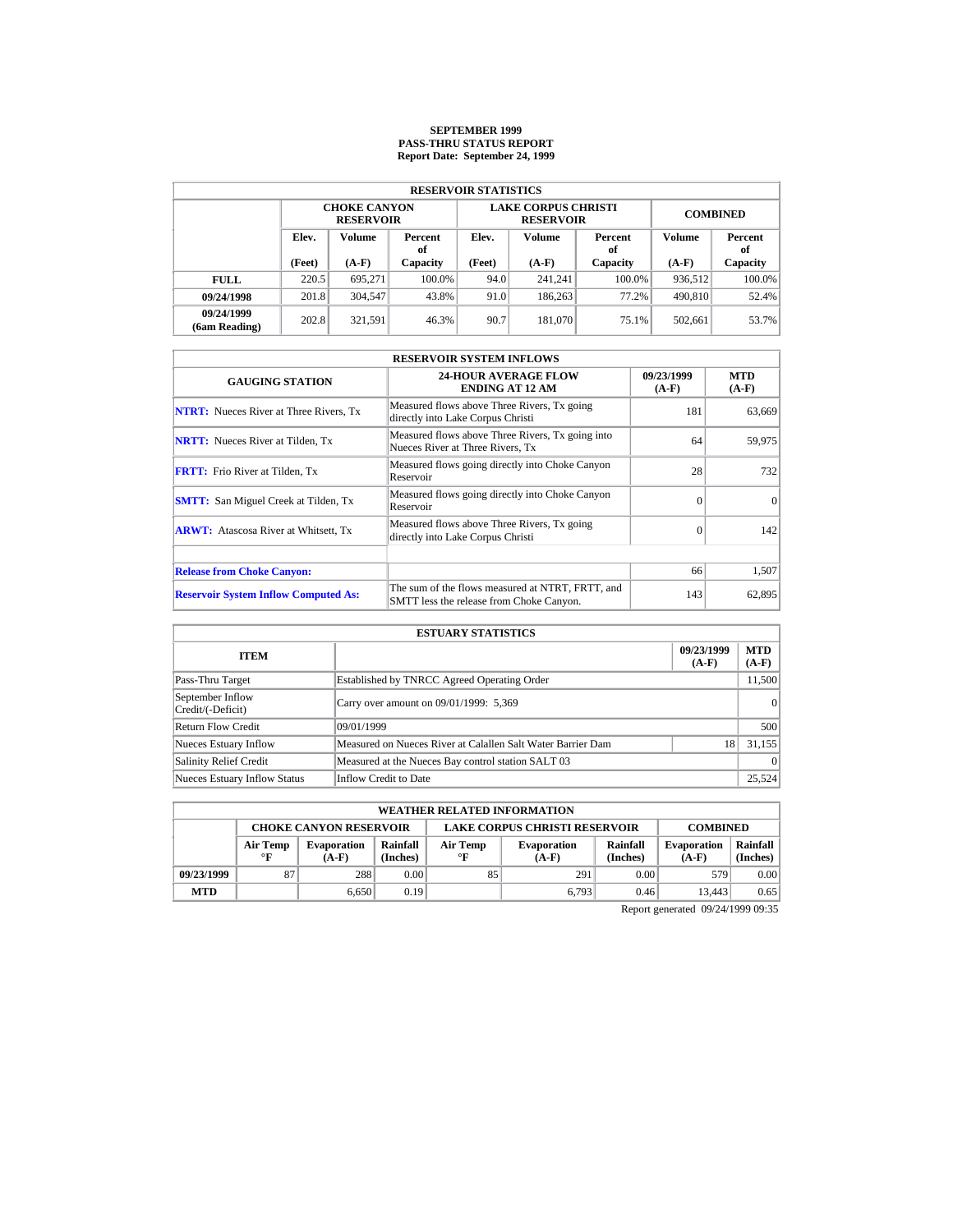# **SEPTEMBER 1999 PASS-THRU STATUS REPORT Report Date: September 24, 1999**

| <b>RESERVOIR STATISTICS</b> |                                         |         |          |        |                                                |                 |               |           |  |  |  |
|-----------------------------|-----------------------------------------|---------|----------|--------|------------------------------------------------|-----------------|---------------|-----------|--|--|--|
|                             | <b>CHOKE CANYON</b><br><b>RESERVOIR</b> |         |          |        | <b>LAKE CORPUS CHRISTI</b><br><b>RESERVOIR</b> | <b>COMBINED</b> |               |           |  |  |  |
|                             | Elev.<br><b>Volume</b><br>Percent<br>оf |         | Elev.    | Volume | Percent<br>of                                  | Volume          | Percent<br>of |           |  |  |  |
|                             | (Feet)                                  | $(A-F)$ | Capacity | (Feet) | $(A-F)$                                        | Capacity        | $(A-F)$       | Capacity  |  |  |  |
| <b>FULL</b>                 | 220.5                                   | 695.271 | 100.0%   | 94.0   | 241.241                                        | $100.0\%$       | 936,512       | $100.0\%$ |  |  |  |
| 09/24/1998                  | 201.8                                   | 304,547 | 43.8%    | 91.0   | 186,263                                        | 77.2%           | 490,810       | 52.4%     |  |  |  |
| 09/24/1999<br>(6am Reading) | 202.8                                   | 321.591 | 46.3%    | 90.7   | 181,070                                        | 75.1%           | 502.661       | 53.7%     |  |  |  |

| <b>RESERVOIR SYSTEM INFLOWS</b>               |                                                                                              |                       |                       |  |  |  |  |  |
|-----------------------------------------------|----------------------------------------------------------------------------------------------|-----------------------|-----------------------|--|--|--|--|--|
| <b>GAUGING STATION</b>                        | <b>24-HOUR AVERAGE FLOW</b><br><b>ENDING AT 12 AM</b>                                        | 09/23/1999<br>$(A-F)$ | <b>MTD</b><br>$(A-F)$ |  |  |  |  |  |
| <b>NTRT:</b> Nueces River at Three Rivers, Tx | Measured flows above Three Rivers, Tx going<br>directly into Lake Corpus Christi             | 181                   | 63,669                |  |  |  |  |  |
| <b>NRTT:</b> Nueces River at Tilden, Tx       | Measured flows above Three Rivers, Tx going into<br>Nueces River at Three Rivers, Tx         | 64                    | 59,975                |  |  |  |  |  |
| <b>FRTT:</b> Frio River at Tilden, Tx         | Measured flows going directly into Choke Canyon<br>Reservoir                                 | 28                    | 732                   |  |  |  |  |  |
| <b>SMTT:</b> San Miguel Creek at Tilden, Tx   | Measured flows going directly into Choke Canyon<br>Reservoir                                 | $\Omega$              | $\Omega$              |  |  |  |  |  |
| <b>ARWT:</b> Atascosa River at Whitsett, Tx   | Measured flows above Three Rivers, Tx going<br>directly into Lake Corpus Christi             | $\Omega$              | 142                   |  |  |  |  |  |
| <b>Release from Choke Canyon:</b>             |                                                                                              | 66                    | 1,507                 |  |  |  |  |  |
| <b>Reservoir System Inflow Computed As:</b>   | The sum of the flows measured at NTRT, FRTT, and<br>SMTT less the release from Choke Canyon. | 143                   | 62,895                |  |  |  |  |  |

|                                       | <b>ESTUARY STATISTICS</b>                                   |                       |                       |
|---------------------------------------|-------------------------------------------------------------|-----------------------|-----------------------|
| <b>ITEM</b>                           |                                                             | 09/23/1999<br>$(A-F)$ | <b>MTD</b><br>$(A-F)$ |
| Pass-Thru Target                      | Established by TNRCC Agreed Operating Order                 |                       | 11,500                |
| September Inflow<br>Credit/(-Deficit) | Carry over amount on 09/01/1999: 5,369                      |                       | 0                     |
| <b>Return Flow Credit</b>             | 09/01/1999                                                  |                       | 500                   |
| <b>Nueces Estuary Inflow</b>          | Measured on Nueces River at Calallen Salt Water Barrier Dam | 18                    | 31.155                |
| <b>Salinity Relief Credit</b>         | Measured at the Nueces Bay control station SALT 03          |                       | $\Omega$              |
| <b>Nueces Estuary Inflow Status</b>   | Inflow Credit to Date                                       |                       | 25,524                |

| <b>WEATHER RELATED INFORMATION</b> |                                                                                                                                                                     |       |      |    |                               |                      |        |      |  |
|------------------------------------|---------------------------------------------------------------------------------------------------------------------------------------------------------------------|-------|------|----|-------------------------------|----------------------|--------|------|--|
|                                    | <b>LAKE CORPUS CHRISTI RESERVOIR</b><br><b>CHOKE CANYON RESERVOIR</b><br><b>COMBINED</b>                                                                            |       |      |    |                               |                      |        |      |  |
|                                    | Rainfall<br>Rainfall<br>Air Temp<br>Air Temp<br><b>Evaporation</b><br><b>Evaporation</b><br>(Inches)<br>(Inches)<br>$\circ$ F<br>$\mathbf{F}$<br>$(A-F)$<br>$(A-F)$ |       |      |    | <b>Evaporation</b><br>$(A-F)$ | Rainfall<br>(Inches) |        |      |  |
| 09/23/1999                         | 87                                                                                                                                                                  | 288   | 0.00 | 85 | 291                           | 0.00                 | 579    | 0.00 |  |
| <b>MTD</b>                         |                                                                                                                                                                     | 6.650 | 0.19 |    | 6.793                         | 0.46                 | 13.443 | 0.65 |  |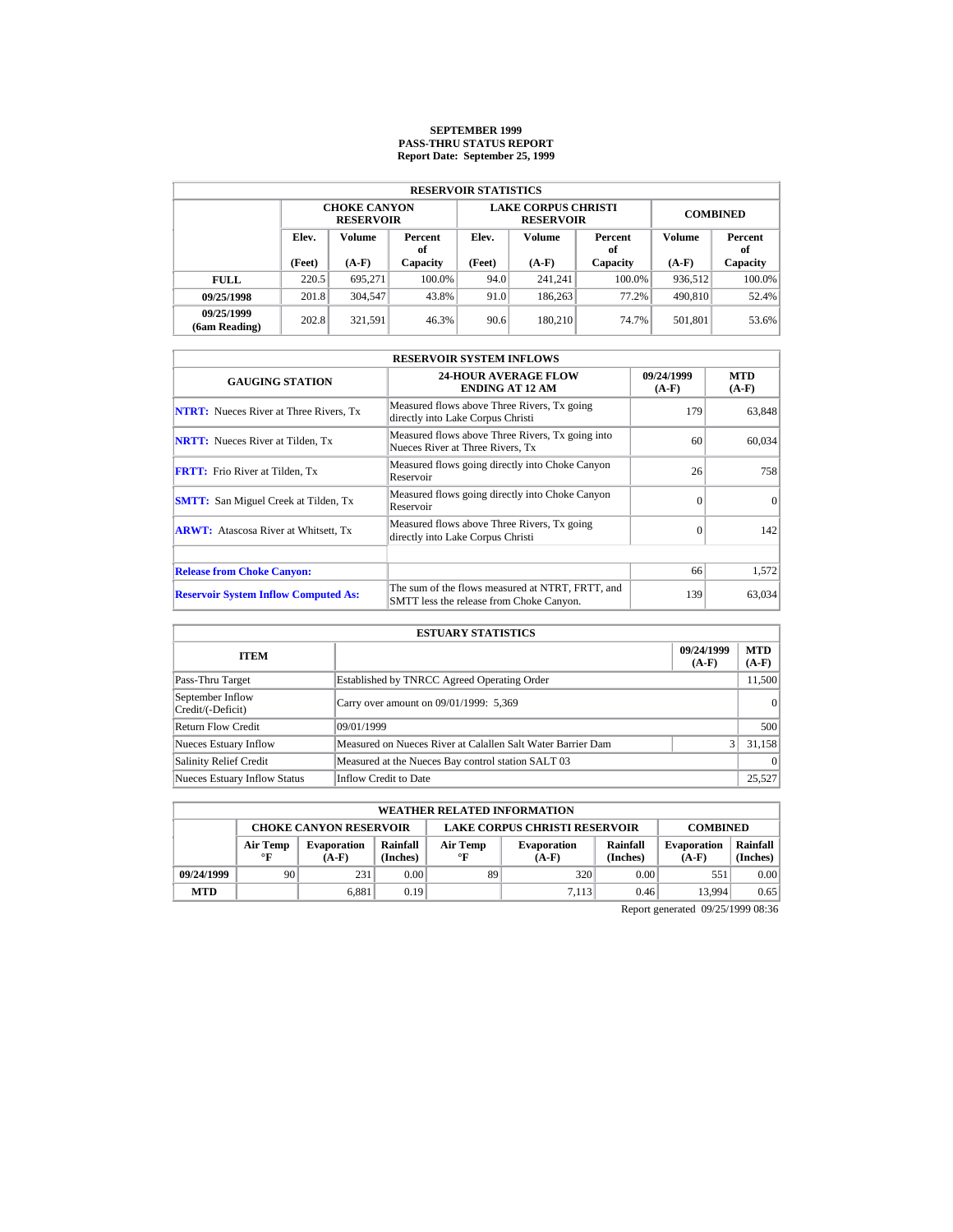# **SEPTEMBER 1999 PASS-THRU STATUS REPORT Report Date: September 25, 1999**

|                             | <b>RESERVOIR STATISTICS</b>             |         |               |                 |                                                |                 |         |               |  |  |  |  |
|-----------------------------|-----------------------------------------|---------|---------------|-----------------|------------------------------------------------|-----------------|---------|---------------|--|--|--|--|
|                             | <b>CHOKE CANYON</b><br><b>RESERVOIR</b> |         |               |                 | <b>LAKE CORPUS CHRISTI</b><br><b>RESERVOIR</b> | <b>COMBINED</b> |         |               |  |  |  |  |
| Elev.<br><b>Volume</b>      |                                         |         | Percent<br>оf | Volume<br>Elev. |                                                | Percent<br>of   | Volume  | Percent<br>of |  |  |  |  |
|                             | (Feet)                                  | $(A-F)$ | Capacity      | (Feet)          | $(A-F)$                                        | Capacity        | $(A-F)$ | Capacity      |  |  |  |  |
| <b>FULL</b>                 | 220.5                                   | 695.271 | 100.0%        | 94.0            | 241.241                                        | $100.0\%$       | 936,512 | $100.0\%$     |  |  |  |  |
| 09/25/1998                  | 201.8                                   | 304,547 | 43.8%         | 91.0            | 186,263                                        | 77.2%           | 490,810 | 52.4%         |  |  |  |  |
| 09/25/1999<br>(6am Reading) | 202.8                                   | 321.591 | 46.3%         | 90.6            | 180.210                                        | 74.7%           | 501.801 | 53.6%         |  |  |  |  |

| <b>RESERVOIR SYSTEM INFLOWS</b>               |                                                                                              |                       |                       |  |  |  |  |  |
|-----------------------------------------------|----------------------------------------------------------------------------------------------|-----------------------|-----------------------|--|--|--|--|--|
| <b>GAUGING STATION</b>                        | <b>24-HOUR AVERAGE FLOW</b><br><b>ENDING AT 12 AM</b>                                        | 09/24/1999<br>$(A-F)$ | <b>MTD</b><br>$(A-F)$ |  |  |  |  |  |
| <b>NTRT:</b> Nueces River at Three Rivers, Tx | Measured flows above Three Rivers, Tx going<br>directly into Lake Corpus Christi             | 179                   | 63,848                |  |  |  |  |  |
| <b>NRTT:</b> Nueces River at Tilden, Tx       | Measured flows above Three Rivers, Tx going into<br>Nueces River at Three Rivers. Tx         | 60                    | 60,034                |  |  |  |  |  |
| <b>FRTT:</b> Frio River at Tilden, Tx         | Measured flows going directly into Choke Canyon<br>Reservoir                                 | 26                    | 758                   |  |  |  |  |  |
| <b>SMTT:</b> San Miguel Creek at Tilden, Tx   | Measured flows going directly into Choke Canyon<br>Reservoir                                 | $\Omega$              | $\Omega$              |  |  |  |  |  |
| <b>ARWT:</b> Atascosa River at Whitsett, Tx   | Measured flows above Three Rivers, Tx going<br>directly into Lake Corpus Christi             | $\Omega$              | 142                   |  |  |  |  |  |
| <b>Release from Choke Canyon:</b>             |                                                                                              | 66                    | 1,572                 |  |  |  |  |  |
|                                               |                                                                                              |                       |                       |  |  |  |  |  |
| <b>Reservoir System Inflow Computed As:</b>   | The sum of the flows measured at NTRT, FRTT, and<br>SMTT less the release from Choke Canyon. | 139                   | 63,034                |  |  |  |  |  |

|                                       | <b>ESTUARY STATISTICS</b>                                   |                       |                       |
|---------------------------------------|-------------------------------------------------------------|-----------------------|-----------------------|
| <b>ITEM</b>                           |                                                             | 09/24/1999<br>$(A-F)$ | <b>MTD</b><br>$(A-F)$ |
| Pass-Thru Target                      | Established by TNRCC Agreed Operating Order                 |                       | 11,500                |
| September Inflow<br>Credit/(-Deficit) | Carry over amount on 09/01/1999: 5,369                      |                       | 0                     |
| Return Flow Credit                    | 09/01/1999                                                  |                       | 500                   |
| <b>Nueces Estuary Inflow</b>          | Measured on Nueces River at Calallen Salt Water Barrier Dam | $\frac{3}{3}$         | 31,158                |
| <b>Salinity Relief Credit</b>         | Measured at the Nueces Bay control station SALT 03          |                       | $\Omega$              |
| <b>Nueces Estuary Inflow Status</b>   | Inflow Credit to Date                                       |                       | 25,527                |

|                                                                                          | <b>WEATHER RELATED INFORMATION</b> |                                                                                                                                         |      |    |       |                               |                      |      |  |  |
|------------------------------------------------------------------------------------------|------------------------------------|-----------------------------------------------------------------------------------------------------------------------------------------|------|----|-------|-------------------------------|----------------------|------|--|--|
| <b>LAKE CORPUS CHRISTI RESERVOIR</b><br><b>CHOKE CANYON RESERVOIR</b><br><b>COMBINED</b> |                                    |                                                                                                                                         |      |    |       |                               |                      |      |  |  |
|                                                                                          | Air Temp<br>$\mathbf{F}$           | Rainfall<br>Rainfall<br>Air Temp<br><b>Evaporation</b><br><b>Evaporation</b><br>(Inches)<br>(Inches)<br>$\circ$ F<br>$(A-F)$<br>$(A-F)$ |      |    |       | <b>Evaporation</b><br>$(A-F)$ | Rainfall<br>(Inches) |      |  |  |
| 09/24/1999                                                                               | 90                                 | 231                                                                                                                                     | 0.00 | 89 | 320   | 0.00                          | 551                  | 0.00 |  |  |
| <b>MTD</b>                                                                               |                                    | 6.881                                                                                                                                   | 0.19 |    | 7.113 | 0.46                          | 13.994               | 0.65 |  |  |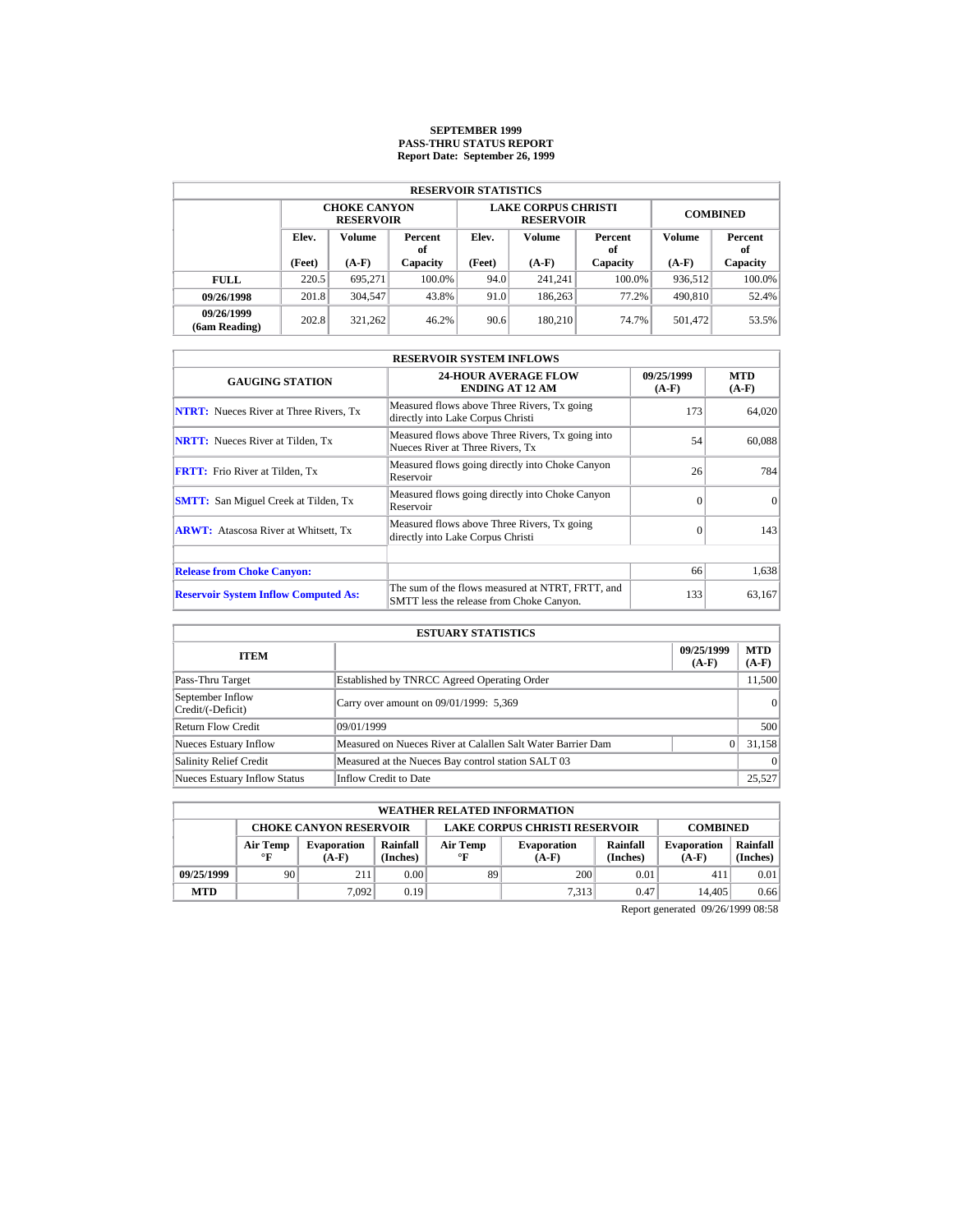# **SEPTEMBER 1999 PASS-THRU STATUS REPORT Report Date: September 26, 1999**

|                             | <b>RESERVOIR STATISTICS</b>             |               |               |                   |                                                |                 |         |               |  |  |  |  |
|-----------------------------|-----------------------------------------|---------------|---------------|-------------------|------------------------------------------------|-----------------|---------|---------------|--|--|--|--|
|                             | <b>CHOKE CANYON</b><br><b>RESERVOIR</b> |               |               |                   | <b>LAKE CORPUS CHRISTI</b><br><b>RESERVOIR</b> | <b>COMBINED</b> |         |               |  |  |  |  |
| Elev.                       |                                         | <b>Volume</b> | Percent<br>оf | Volume<br>Elev.   |                                                | Percent<br>of   | Volume  | Percent<br>of |  |  |  |  |
|                             | (Feet)                                  | $(A-F)$       | Capacity      | (Feet)<br>$(A-F)$ |                                                | Capacity        | $(A-F)$ | Capacity      |  |  |  |  |
| <b>FULL</b>                 | 220.5                                   | 695.271       | 100.0%        | 94.0              | 241.241                                        | $100.0\%$       | 936,512 | $100.0\%$     |  |  |  |  |
| 09/26/1998                  | 201.8                                   | 304,547       | 43.8%         | 91.0              | 186,263                                        | 77.2%           | 490,810 | 52.4%         |  |  |  |  |
| 09/26/1999<br>(6am Reading) | 202.8                                   | 321.262       | 46.2%         | 90.6              | 180.210                                        | 74.7%           | 501.472 | 53.5%         |  |  |  |  |

| <b>RESERVOIR SYSTEM INFLOWS</b>               |                                                                                              |                       |                       |  |  |  |  |  |
|-----------------------------------------------|----------------------------------------------------------------------------------------------|-----------------------|-----------------------|--|--|--|--|--|
| <b>GAUGING STATION</b>                        | <b>24-HOUR AVERAGE FLOW</b><br><b>ENDING AT 12 AM</b>                                        | 09/25/1999<br>$(A-F)$ | <b>MTD</b><br>$(A-F)$ |  |  |  |  |  |
| <b>NTRT:</b> Nueces River at Three Rivers, Tx | Measured flows above Three Rivers, Tx going<br>directly into Lake Corpus Christi             | 173                   | 64,020                |  |  |  |  |  |
| <b>NRTT:</b> Nueces River at Tilden, Tx       | Measured flows above Three Rivers, Tx going into<br>Nueces River at Three Rivers. Tx         | 54                    | 60,088                |  |  |  |  |  |
| <b>FRTT:</b> Frio River at Tilden, Tx         | Measured flows going directly into Choke Canyon<br>Reservoir                                 | 26                    | 784                   |  |  |  |  |  |
| <b>SMTT:</b> San Miguel Creek at Tilden, Tx   | Measured flows going directly into Choke Canyon<br>Reservoir                                 | $\Omega$              | $\Omega$              |  |  |  |  |  |
| <b>ARWT:</b> Atascosa River at Whitsett, Tx   | Measured flows above Three Rivers, Tx going<br>directly into Lake Corpus Christi             | $\Omega$              | 143                   |  |  |  |  |  |
| <b>Release from Choke Canyon:</b>             |                                                                                              | 66                    | 1,638                 |  |  |  |  |  |
| <b>Reservoir System Inflow Computed As:</b>   | The sum of the flows measured at NTRT, FRTT, and<br>SMTT less the release from Choke Canyon. | 133                   | 63,167                |  |  |  |  |  |

|                                       | <b>ESTUARY STATISTICS</b>                                   |                       |                       |
|---------------------------------------|-------------------------------------------------------------|-----------------------|-----------------------|
| <b>ITEM</b>                           |                                                             | 09/25/1999<br>$(A-F)$ | <b>MTD</b><br>$(A-F)$ |
| Pass-Thru Target                      | Established by TNRCC Agreed Operating Order                 |                       | 11,500                |
| September Inflow<br>Credit/(-Deficit) | Carry over amount on 09/01/1999: 5,369                      |                       | 0                     |
| Return Flow Credit                    | 09/01/1999                                                  |                       | 500                   |
| <b>Nueces Estuary Inflow</b>          | Measured on Nueces River at Calallen Salt Water Barrier Dam |                       | 31,158                |
| <b>Salinity Relief Credit</b>         | Measured at the Nueces Bay control station SALT 03          |                       | $\Omega$              |
| <b>Nueces Estuary Inflow Status</b>   | Inflow Credit to Date                                       |                       | 25,527                |

|                                                                                          | <b>WEATHER RELATED INFORMATION</b> |                               |                                                                                                        |    |       |                               |                      |      |  |  |
|------------------------------------------------------------------------------------------|------------------------------------|-------------------------------|--------------------------------------------------------------------------------------------------------|----|-------|-------------------------------|----------------------|------|--|--|
| <b>LAKE CORPUS CHRISTI RESERVOIR</b><br><b>CHOKE CANYON RESERVOIR</b><br><b>COMBINED</b> |                                    |                               |                                                                                                        |    |       |                               |                      |      |  |  |
|                                                                                          | Air Temp<br>$\mathbf{F}$           | <b>Evaporation</b><br>$(A-F)$ | Rainfall<br>Rainfall<br>Air Temp<br><b>Evaporation</b><br>(Inches)<br>(Inches)<br>$\circ$ F<br>$(A-F)$ |    |       | <b>Evaporation</b><br>$(A-F)$ | Rainfall<br>(Inches) |      |  |  |
| 09/25/1999                                                                               | 90                                 | 211                           | 0.00                                                                                                   | 89 | 200   | 0.01                          | 411                  | 0.01 |  |  |
| <b>MTD</b>                                                                               |                                    | 7.092                         | 0.19                                                                                                   |    | 7.313 | 0.47                          | 14.405               | 0.66 |  |  |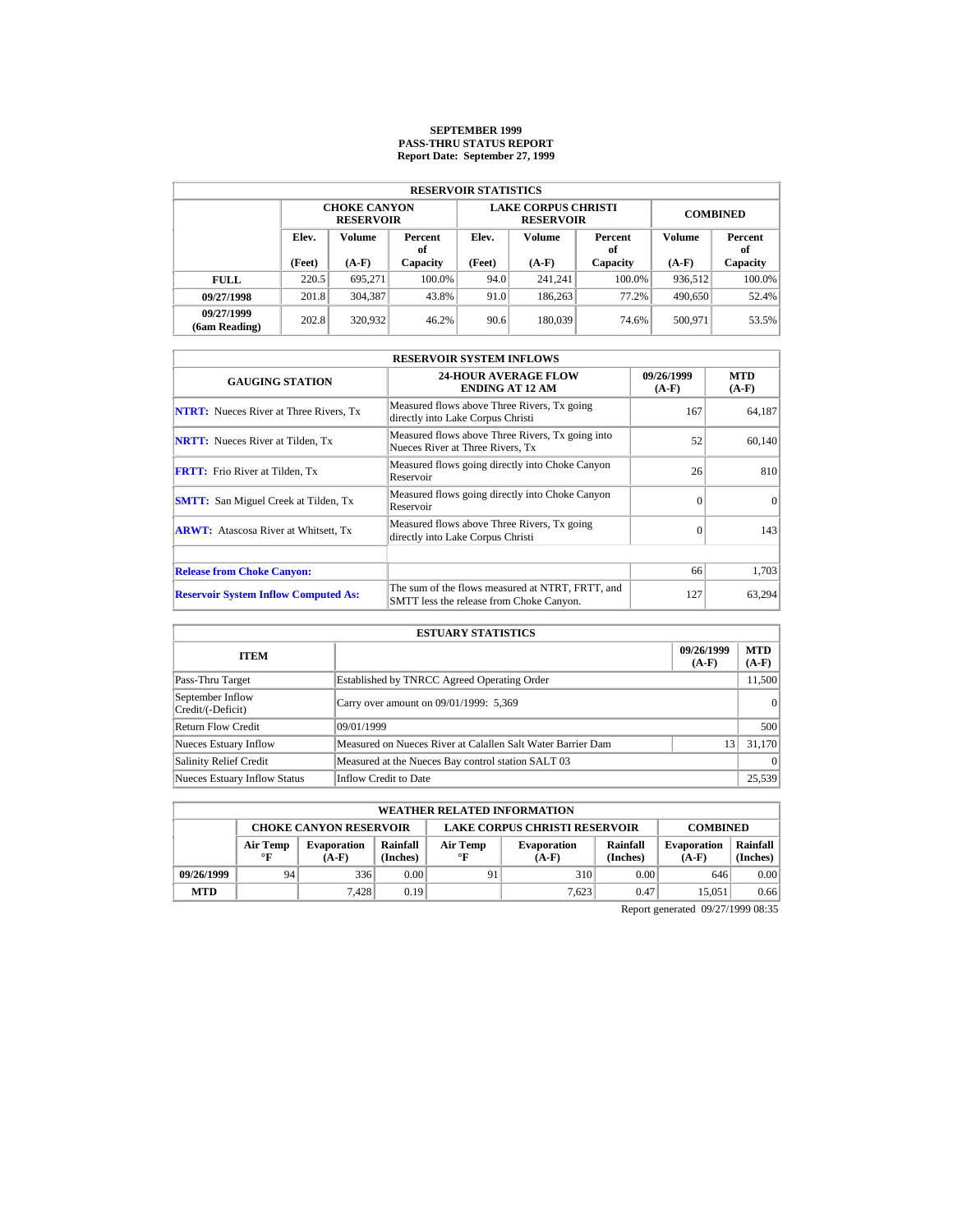# **SEPTEMBER 1999 PASS-THRU STATUS REPORT Report Date: September 27, 1999**

|                             | <b>RESERVOIR STATISTICS</b>             |         |          |                   |                                                |                 |               |           |  |  |  |  |
|-----------------------------|-----------------------------------------|---------|----------|-------------------|------------------------------------------------|-----------------|---------------|-----------|--|--|--|--|
|                             | <b>CHOKE CANYON</b><br><b>RESERVOIR</b> |         |          |                   | <b>LAKE CORPUS CHRISTI</b><br><b>RESERVOIR</b> | <b>COMBINED</b> |               |           |  |  |  |  |
|                             | Elev.<br>Volume<br>Percent<br>of        |         | Elev.    | Volume            | Percent<br>of                                  | Volume          | Percent<br>of |           |  |  |  |  |
|                             | (Feet)                                  | $(A-F)$ | Capacity | (Feet)<br>$(A-F)$ |                                                | Capacity        | $(A-F)$       | Capacity  |  |  |  |  |
| <b>FULL</b>                 | 220.5                                   | 695.271 | 100.0%   | 94.0              | 241.241                                        | $100.0\%$       | 936.512       | $100.0\%$ |  |  |  |  |
| 09/27/1998                  | 201.8                                   | 304,387 | 43.8%    | 91.0              | 186,263                                        | 77.2%           | 490,650       | 52.4%     |  |  |  |  |
| 09/27/1999<br>(6am Reading) | 202.8                                   | 320,932 | 46.2%    | 90.6              | 180.039                                        | 74.6%           | 500.971       | 53.5%     |  |  |  |  |

| <b>RESERVOIR SYSTEM INFLOWS</b>               |                                                                                              |                       |                       |  |  |  |  |  |
|-----------------------------------------------|----------------------------------------------------------------------------------------------|-----------------------|-----------------------|--|--|--|--|--|
| <b>GAUGING STATION</b>                        | <b>24-HOUR AVERAGE FLOW</b><br><b>ENDING AT 12 AM</b>                                        | 09/26/1999<br>$(A-F)$ | <b>MTD</b><br>$(A-F)$ |  |  |  |  |  |
| <b>NTRT:</b> Nueces River at Three Rivers, Tx | Measured flows above Three Rivers, Tx going<br>directly into Lake Corpus Christi             | 167                   | 64,187                |  |  |  |  |  |
| <b>NRTT:</b> Nueces River at Tilden, Tx       | Measured flows above Three Rivers, Tx going into<br>Nueces River at Three Rivers, Tx         | 52                    | 60.140                |  |  |  |  |  |
| <b>FRTT:</b> Frio River at Tilden, Tx         | Measured flows going directly into Choke Canyon<br>Reservoir                                 | 26                    | 810                   |  |  |  |  |  |
| <b>SMTT:</b> San Miguel Creek at Tilden, Tx   | Measured flows going directly into Choke Canyon<br>Reservoir                                 | $\Omega$              | $\Omega$              |  |  |  |  |  |
| <b>ARWT:</b> Atascosa River at Whitsett, Tx   | Measured flows above Three Rivers, Tx going<br>directly into Lake Corpus Christi             | $\Omega$              | 143                   |  |  |  |  |  |
|                                               |                                                                                              |                       |                       |  |  |  |  |  |
| <b>Release from Choke Canyon:</b>             |                                                                                              | 66                    | 1,703                 |  |  |  |  |  |
| <b>Reservoir System Inflow Computed As:</b>   | The sum of the flows measured at NTRT, FRTT, and<br>SMTT less the release from Choke Canyon. | 127                   | 63,294                |  |  |  |  |  |

|                                       | <b>ESTUARY STATISTICS</b>                                   |    |          |  |
|---------------------------------------|-------------------------------------------------------------|----|----------|--|
| 09/26/1999<br><b>ITEM</b><br>$(A-F)$  |                                                             |    |          |  |
| Pass-Thru Target                      | Established by TNRCC Agreed Operating Order                 |    | 11,500   |  |
| September Inflow<br>Credit/(-Deficit) | Carry over amount on 09/01/1999: 5,369                      |    | 0        |  |
| Return Flow Credit                    | 09/01/1999                                                  |    | 500      |  |
| <b>Nueces Estuary Inflow</b>          | Measured on Nueces River at Calallen Salt Water Barrier Dam | 13 | 31.170   |  |
| <b>Salinity Relief Credit</b>         | Measured at the Nueces Bay control station SALT 03          |    | $\Omega$ |  |
| <b>Nueces Estuary Inflow Status</b>   | Inflow Credit to Date                                       |    | 25,539   |  |

|                                                                                          | <b>WEATHER RELATED INFORMATION</b> |                               |                                                                                                        |    |       |                               |                      |      |  |  |
|------------------------------------------------------------------------------------------|------------------------------------|-------------------------------|--------------------------------------------------------------------------------------------------------|----|-------|-------------------------------|----------------------|------|--|--|
| <b>LAKE CORPUS CHRISTI RESERVOIR</b><br><b>CHOKE CANYON RESERVOIR</b><br><b>COMBINED</b> |                                    |                               |                                                                                                        |    |       |                               |                      |      |  |  |
|                                                                                          | Air Temp<br>$^{\circ}$ F           | <b>Evaporation</b><br>$(A-F)$ | Rainfall<br>Rainfall<br>Air Temp<br><b>Evaporation</b><br>(Inches)<br>$\circ$ F<br>(Inches)<br>$(A-F)$ |    |       | <b>Evaporation</b><br>$(A-F)$ | Rainfall<br>(Inches) |      |  |  |
| 09/26/1999                                                                               | 94                                 | 336                           | 0.00                                                                                                   | 91 | 310   | 0.00                          | 646                  | 0.00 |  |  |
| <b>MTD</b>                                                                               |                                    | 7.428                         | 0.19                                                                                                   |    | 7.623 | 0.47                          | 15.051               | 0.66 |  |  |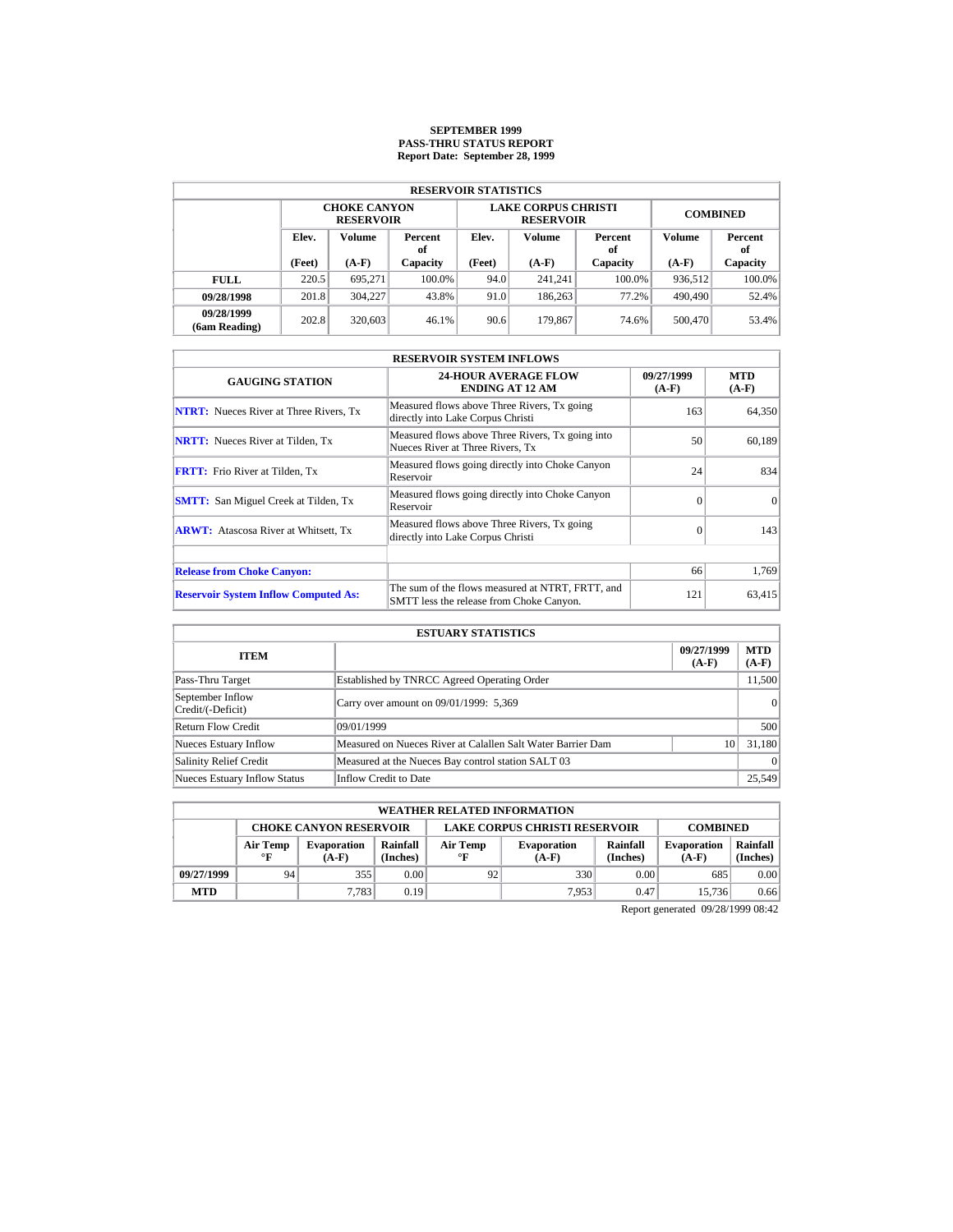# **SEPTEMBER 1999 PASS-THRU STATUS REPORT Report Date: September 28, 1999**

| <b>RESERVOIR STATISTICS</b> |        |                                         |               |                   |                                                |                 |         |               |  |  |  |
|-----------------------------|--------|-----------------------------------------|---------------|-------------------|------------------------------------------------|-----------------|---------|---------------|--|--|--|
|                             |        | <b>CHOKE CANYON</b><br><b>RESERVOIR</b> |               |                   | <b>LAKE CORPUS CHRISTI</b><br><b>RESERVOIR</b> | <b>COMBINED</b> |         |               |  |  |  |
|                             | Elev.  | Volume                                  | Percent<br>оf | Elev.             | Volume                                         | Percent<br>of   | Volume  | Percent<br>of |  |  |  |
|                             | (Feet) | $(A-F)$                                 | Capacity      | (Feet)<br>$(A-F)$ |                                                | Capacity        | $(A-F)$ | Capacity      |  |  |  |
| <b>FULL</b>                 | 220.5  | 695.271                                 | 100.0%        | 94.0              | 241.241                                        | $100.0\%$       | 936,512 | $100.0\%$     |  |  |  |
| 09/28/1998                  | 201.8  | 304.227                                 | 43.8%         | 91.0              | 186,263                                        | 77.2%           | 490,490 | 52.4%         |  |  |  |
| 09/28/1999<br>(6am Reading) | 202.8  | 320,603                                 | 46.1%         | 90.6              | 179.867                                        | 74.6%           | 500,470 | 53.4%         |  |  |  |

| <b>RESERVOIR SYSTEM INFLOWS</b>               |                                                                                              |                       |                       |  |  |  |  |  |
|-----------------------------------------------|----------------------------------------------------------------------------------------------|-----------------------|-----------------------|--|--|--|--|--|
| <b>GAUGING STATION</b>                        | <b>24-HOUR AVERAGE FLOW</b><br><b>ENDING AT 12 AM</b>                                        | 09/27/1999<br>$(A-F)$ | <b>MTD</b><br>$(A-F)$ |  |  |  |  |  |
| <b>NTRT:</b> Nueces River at Three Rivers, Tx | Measured flows above Three Rivers, Tx going<br>directly into Lake Corpus Christi             | 163                   | 64,350                |  |  |  |  |  |
| <b>NRTT:</b> Nueces River at Tilden, Tx       | Measured flows above Three Rivers, Tx going into<br>Nueces River at Three Rivers. Tx         | 50                    | 60,189                |  |  |  |  |  |
| <b>FRTT:</b> Frio River at Tilden, Tx         | Measured flows going directly into Choke Canyon<br>Reservoir                                 | 24                    | 834                   |  |  |  |  |  |
| <b>SMTT:</b> San Miguel Creek at Tilden, Tx   | Measured flows going directly into Choke Canyon<br>Reservoir                                 | $\Omega$              | $\Omega$              |  |  |  |  |  |
| <b>ARWT:</b> Atascosa River at Whitsett, Tx   | Measured flows above Three Rivers, Tx going<br>directly into Lake Corpus Christi             | $\Omega$              | 143                   |  |  |  |  |  |
| <b>Release from Choke Canyon:</b>             |                                                                                              | 66                    | 1,769                 |  |  |  |  |  |
| <b>Reservoir System Inflow Computed As:</b>   | The sum of the flows measured at NTRT, FRTT, and<br>SMTT less the release from Choke Canyon. | 121                   | 63,415                |  |  |  |  |  |

| <b>ESTUARY STATISTICS</b>             |                                                             |                       |                       |  |  |  |  |
|---------------------------------------|-------------------------------------------------------------|-----------------------|-----------------------|--|--|--|--|
| <b>ITEM</b>                           |                                                             | 09/27/1999<br>$(A-F)$ | <b>MTD</b><br>$(A-F)$ |  |  |  |  |
| Pass-Thru Target                      | Established by TNRCC Agreed Operating Order                 |                       | 11,500                |  |  |  |  |
| September Inflow<br>Credit/(-Deficit) | Carry over amount on 09/01/1999: 5,369                      |                       | 0                     |  |  |  |  |
| Return Flow Credit                    | 09/01/1999                                                  |                       | 500                   |  |  |  |  |
| <b>Nueces Estuary Inflow</b>          | Measured on Nueces River at Calallen Salt Water Barrier Dam | 10                    | 31.180                |  |  |  |  |
| <b>Salinity Relief Credit</b>         | Measured at the Nueces Bay control station SALT 03          |                       | $\Omega$              |  |  |  |  |
| <b>Nueces Estuary Inflow Status</b>   | Inflow Credit to Date                                       |                       | 25,549                |  |  |  |  |

|            | <b>WEATHER RELATED INFORMATION</b>                                                                                                                                  |       |      |    |                               |                      |        |      |  |  |
|------------|---------------------------------------------------------------------------------------------------------------------------------------------------------------------|-------|------|----|-------------------------------|----------------------|--------|------|--|--|
|            | <b>LAKE CORPUS CHRISTI RESERVOIR</b><br><b>CHOKE CANYON RESERVOIR</b><br><b>COMBINED</b>                                                                            |       |      |    |                               |                      |        |      |  |  |
|            | Rainfall<br>Rainfall<br>Air Temp<br>Air Temp<br><b>Evaporation</b><br><b>Evaporation</b><br>(Inches)<br>(Inches)<br>$\circ$ F<br>$\mathbf{F}$<br>$(A-F)$<br>$(A-F)$ |       |      |    | <b>Evaporation</b><br>$(A-F)$ | Rainfall<br>(Inches) |        |      |  |  |
| 09/27/1999 | 94                                                                                                                                                                  | 355   | 0.00 | 92 | 330                           | 0.00                 | 685    | 0.00 |  |  |
| <b>MTD</b> |                                                                                                                                                                     | 7.783 | 0.19 |    | 7.953                         | 0.47                 | 15.736 | 0.66 |  |  |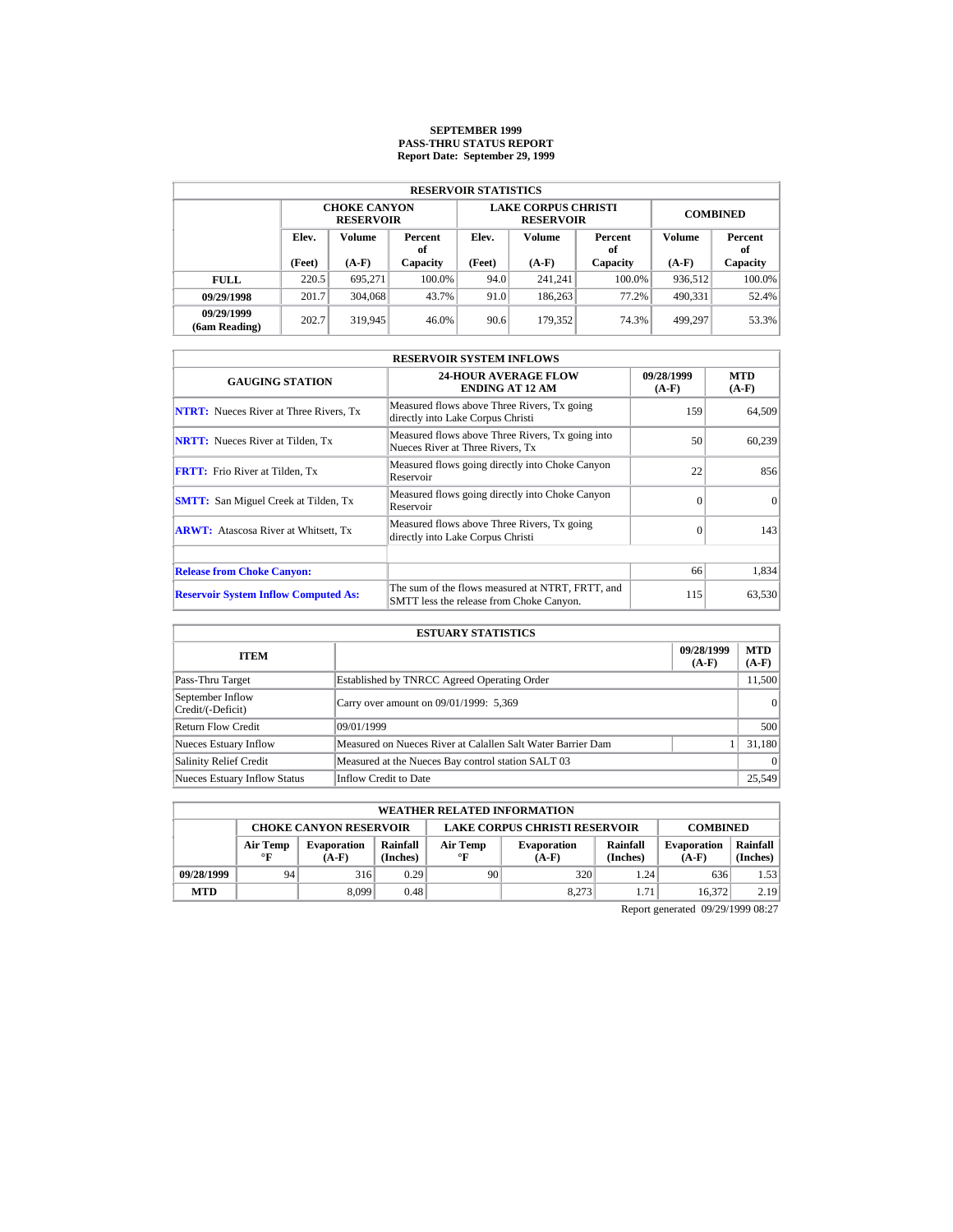# **SEPTEMBER 1999 PASS-THRU STATUS REPORT Report Date: September 29, 1999**

| <b>RESERVOIR STATISTICS</b> |        |                                         |               |                   |                                                |                 |         |               |  |  |  |
|-----------------------------|--------|-----------------------------------------|---------------|-------------------|------------------------------------------------|-----------------|---------|---------------|--|--|--|
|                             |        | <b>CHOKE CANYON</b><br><b>RESERVOIR</b> |               |                   | <b>LAKE CORPUS CHRISTI</b><br><b>RESERVOIR</b> | <b>COMBINED</b> |         |               |  |  |  |
|                             | Elev.  | <b>Volume</b>                           | Percent<br>оf | Elev.             | Volume                                         | Percent<br>of   | Volume  | Percent<br>of |  |  |  |
|                             | (Feet) | $(A-F)$                                 | Capacity      | (Feet)<br>$(A-F)$ |                                                | Capacity        | $(A-F)$ | Capacity      |  |  |  |
| <b>FULL</b>                 | 220.5  | 695.271                                 | 100.0%        | 94.0              | 241.241                                        | $100.0\%$       | 936,512 | $100.0\%$     |  |  |  |
| 09/29/1998                  | 201.7  | 304,068                                 | 43.7%         | 91.0              | 186,263                                        | 77.2%           | 490,331 | 52.4%         |  |  |  |
| 09/29/1999<br>(6am Reading) | 202.7  | 319.945                                 | 46.0%         | 90.6              | 179.352                                        | 74.3%           | 499.297 | 53.3%         |  |  |  |

| <b>RESERVOIR SYSTEM INFLOWS</b>               |                                                                                              |                       |                       |  |  |  |  |  |
|-----------------------------------------------|----------------------------------------------------------------------------------------------|-----------------------|-----------------------|--|--|--|--|--|
| <b>GAUGING STATION</b>                        | <b>24-HOUR AVERAGE FLOW</b><br><b>ENDING AT 12 AM</b>                                        | 09/28/1999<br>$(A-F)$ | <b>MTD</b><br>$(A-F)$ |  |  |  |  |  |
| <b>NTRT:</b> Nueces River at Three Rivers, Tx | Measured flows above Three Rivers, Tx going<br>directly into Lake Corpus Christi             | 159                   | 64,509                |  |  |  |  |  |
| <b>NRTT:</b> Nueces River at Tilden, Tx       | Measured flows above Three Rivers, Tx going into<br>Nueces River at Three Rivers. Tx         | 50                    | 60,239                |  |  |  |  |  |
| <b>FRTT:</b> Frio River at Tilden, Tx         | Measured flows going directly into Choke Canyon<br>Reservoir                                 | 22                    | 856                   |  |  |  |  |  |
| <b>SMTT:</b> San Miguel Creek at Tilden, Tx   | Measured flows going directly into Choke Canyon<br>Reservoir                                 | $\Omega$              | $\Omega$              |  |  |  |  |  |
| <b>ARWT:</b> Atascosa River at Whitsett, Tx   | Measured flows above Three Rivers, Tx going<br>directly into Lake Corpus Christi             | $\Omega$              | 143                   |  |  |  |  |  |
| <b>Release from Choke Canyon:</b>             |                                                                                              | 66                    | 1,834                 |  |  |  |  |  |
| <b>Reservoir System Inflow Computed As:</b>   | The sum of the flows measured at NTRT, FRTT, and<br>SMTT less the release from Choke Canyon. | 115                   | 63,530                |  |  |  |  |  |

| <b>ESTUARY STATISTICS</b>             |                                                             |                       |                       |  |  |  |  |
|---------------------------------------|-------------------------------------------------------------|-----------------------|-----------------------|--|--|--|--|
| <b>ITEM</b>                           |                                                             | 09/28/1999<br>$(A-F)$ | <b>MTD</b><br>$(A-F)$ |  |  |  |  |
| Pass-Thru Target                      | Established by TNRCC Agreed Operating Order                 |                       | 11,500                |  |  |  |  |
| September Inflow<br>Credit/(-Deficit) | Carry over amount on 09/01/1999: 5,369                      |                       | 0                     |  |  |  |  |
| Return Flow Credit                    | 09/01/1999                                                  |                       | 500                   |  |  |  |  |
| <b>Nueces Estuary Inflow</b>          | Measured on Nueces River at Calallen Salt Water Barrier Dam |                       | 31,180                |  |  |  |  |
| <b>Salinity Relief Credit</b>         | Measured at the Nueces Bay control station SALT 03          |                       | $\Omega$              |  |  |  |  |
| <b>Nueces Estuary Inflow Status</b>   | Inflow Credit to Date                                       |                       | 25,549                |  |  |  |  |

|            | <b>WEATHER RELATED INFORMATION</b>                                                       |                               |                      |                       |                               |                                                       |        |                      |  |  |
|------------|------------------------------------------------------------------------------------------|-------------------------------|----------------------|-----------------------|-------------------------------|-------------------------------------------------------|--------|----------------------|--|--|
|            | <b>LAKE CORPUS CHRISTI RESERVOIR</b><br><b>CHOKE CANYON RESERVOIR</b><br><b>COMBINED</b> |                               |                      |                       |                               |                                                       |        |                      |  |  |
|            | Air Temp<br>$\mathbf{F}$                                                                 | <b>Evaporation</b><br>$(A-F)$ | Rainfall<br>(Inches) | Air Temp<br>$\circ$ F | <b>Evaporation</b><br>$(A-F)$ | Rainfall<br><b>Evaporation</b><br>(Inches)<br>$(A-F)$ |        | Rainfall<br>(Inches) |  |  |
| 09/28/1999 | 94                                                                                       | 316                           | 0.29                 | 90                    | 320                           | 1.24                                                  | 636    | 1.53                 |  |  |
| <b>MTD</b> |                                                                                          | 8.099                         | 0.48                 |                       | 8.273                         | 1.71                                                  | 16.372 | 2.19                 |  |  |